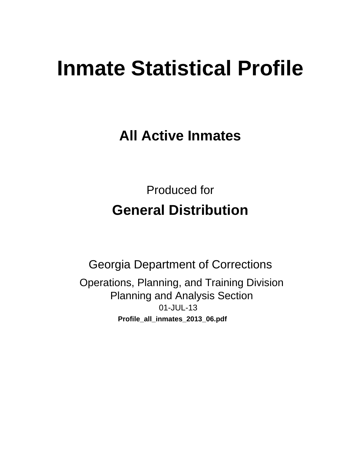# **Inmate Statistical Profile**

**All Active Inmates** 

**Produced for General Distribution** 

**Georgia Department of Corrections** Operations, Planning, and Training Division **Planning and Analysis Section** 01-JUL-13 Profile\_all\_inmates\_2013\_06.pdf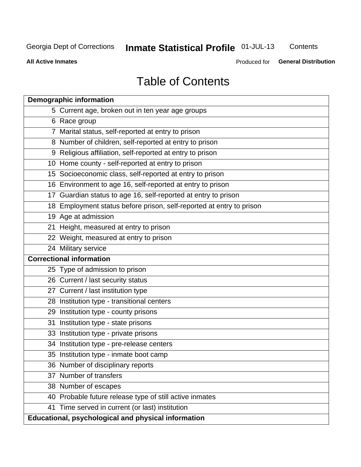# Inmate Statistical Profile 01-JUL-13

Contents

**All Active Inmates** 

Produced for General Distribution

# **Table of Contents**

|    | <b>Demographic information</b>                                       |
|----|----------------------------------------------------------------------|
|    | 5 Current age, broken out in ten year age groups                     |
|    | 6 Race group                                                         |
|    | 7 Marital status, self-reported at entry to prison                   |
|    | 8 Number of children, self-reported at entry to prison               |
|    | 9 Religious affiliation, self-reported at entry to prison            |
|    | 10 Home county - self-reported at entry to prison                    |
|    | 15 Socioeconomic class, self-reported at entry to prison             |
|    | 16 Environment to age 16, self-reported at entry to prison           |
|    | 17 Guardian status to age 16, self-reported at entry to prison       |
|    | 18 Employment status before prison, self-reported at entry to prison |
|    | 19 Age at admission                                                  |
|    | 21 Height, measured at entry to prison                               |
|    | 22 Weight, measured at entry to prison                               |
|    | 24 Military service                                                  |
|    | <b>Correctional information</b>                                      |
|    | 25 Type of admission to prison                                       |
|    | 26 Current / last security status                                    |
|    | 27 Current / last institution type                                   |
|    | 28 Institution type - transitional centers                           |
|    | 29 Institution type - county prisons                                 |
| 31 | Institution type - state prisons                                     |
|    | 33 Institution type - private prisons                                |
|    | 34 Institution type - pre-release centers                            |
|    | 35 Institution type - inmate boot camp                               |
|    | 36 Number of disciplinary reports                                    |
|    | 37 Number of transfers                                               |
|    | 38 Number of escapes                                                 |
|    | 40 Probable future release type of still active inmates              |
|    | 41 Time served in current (or last) institution                      |
|    | Educational, psychological and physical information                  |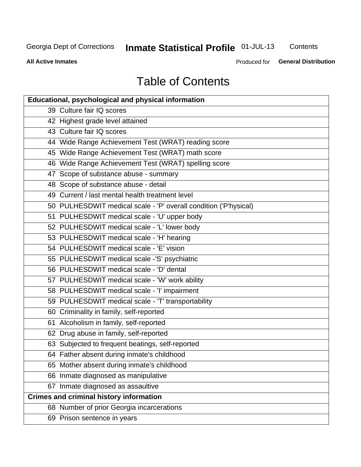# Inmate Statistical Profile 01-JUL-13

Contents

**All Active Inmates** 

Produced for General Distribution

# **Table of Contents**

| <b>Educational, psychological and physical information</b>       |
|------------------------------------------------------------------|
| 39 Culture fair IQ scores                                        |
| 42 Highest grade level attained                                  |
| 43 Culture fair IQ scores                                        |
| 44 Wide Range Achievement Test (WRAT) reading score              |
| 45 Wide Range Achievement Test (WRAT) math score                 |
| 46 Wide Range Achievement Test (WRAT) spelling score             |
| 47 Scope of substance abuse - summary                            |
| 48 Scope of substance abuse - detail                             |
| 49 Current / last mental health treatment level                  |
| 50 PULHESDWIT medical scale - 'P' overall condition ('P'hysical) |
| 51 PULHESDWIT medical scale - 'U' upper body                     |
| 52 PULHESDWIT medical scale - 'L' lower body                     |
| 53 PULHESDWIT medical scale - 'H' hearing                        |
| 54 PULHESDWIT medical scale - 'E' vision                         |
| 55 PULHESDWIT medical scale -'S' psychiatric                     |
| 56 PULHESDWIT medical scale - 'D' dental                         |
| 57 PULHESDWIT medical scale - 'W' work ability                   |
| 58 PULHESDWIT medical scale - 'I' impairment                     |
| 59 PULHESDWIT medical scale - 'T' transportability               |
| 60 Criminality in family, self-reported                          |
| 61 Alcoholism in family, self-reported                           |
| 62 Drug abuse in family, self-reported                           |
| 63 Subjected to frequent beatings, self-reported                 |
| 64 Father absent during inmate's childhood                       |
| 65 Mother absent during inmate's childhood                       |
| 66 Inmate diagnosed as manipulative                              |
| 67 Inmate diagnosed as assaultive                                |
| <b>Crimes and criminal history information</b>                   |
| 68 Number of prior Georgia incarcerations                        |
| 69 Prison sentence in years                                      |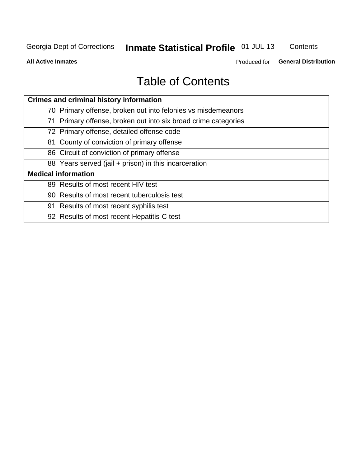# Inmate Statistical Profile 01-JUL-13

Contents

**All Active Inmates** 

Produced for General Distribution

# **Table of Contents**

| <b>Crimes and criminal history information</b>                 |
|----------------------------------------------------------------|
| 70 Primary offense, broken out into felonies vs misdemeanors   |
| 71 Primary offense, broken out into six broad crime categories |
| 72 Primary offense, detailed offense code                      |
| 81 County of conviction of primary offense                     |
| 86 Circuit of conviction of primary offense                    |
| 88 Years served (jail + prison) in this incarceration          |
| <b>Medical information</b>                                     |
| 89 Results of most recent HIV test                             |
| 90 Results of most recent tuberculosis test                    |
| 91 Results of most recent syphilis test                        |
| 92 Results of most recent Hepatitis-C test                     |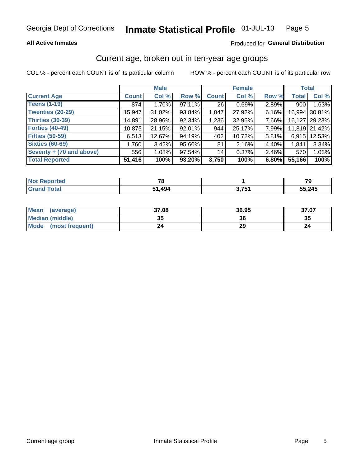### **All Active Inmates**

### Produced for General Distribution

### Current age, broken out in ten-year age groups

COL % - percent each COUNT is of its particular column

|                          |              | <b>Male</b> |        |              | <b>Female</b> |          | <b>Total</b> |               |
|--------------------------|--------------|-------------|--------|--------------|---------------|----------|--------------|---------------|
| <b>Current Age</b>       | <b>Count</b> | Col %       | Row %  | <b>Count</b> | Col %         | Row %    | <b>Total</b> | Col %         |
| <b>Teens (1-19)</b>      | 874          | 1.70%       | 97.11% | 26           | 0.69%         | $2.89\%$ | 900          | 1.63%         |
| <b>Twenties (20-29)</b>  | 15,947       | 31.02%      | 93.84% | 1,047        | 27.92%        | 6.16%    | 16,994       | 30.81%        |
| <b>Thirties (30-39)</b>  | 14,891       | 28.96%      | 92.34% | 1,236        | 32.96%        | 7.66%    | 16,127       | 29.23%        |
| <b>Forties (40-49)</b>   | 10,875       | 21.15%      | 92.01% | 944          | 25.17%        | 7.99%    |              | 11,819 21.42% |
| <b>Fifties (50-59)</b>   | 6,513        | 12.67%      | 94.19% | 402          | 10.72%        | 5.81%    | 6.915        | 12.53%        |
| <b>Sixties (60-69)</b>   | 1,760        | 3.42%       | 95.60% | 81           | 2.16%         | 4.40%    | 1,841        | 3.34%         |
| Seventy + (70 and above) | 556          | 1.08%       | 97.54% | 14           | 0.37%         | 2.46%    | 570          | 1.03%         |
| <b>Total Reported</b>    | 51,416       | 100%        | 93.20% | 3,750        | 100%          | 6.80%    | 55,166       | 100%          |

| <b>Not Reported</b> | 70     |       | 70     |
|---------------------|--------|-------|--------|
| Total               | 51.494 | ? 751 | 55,245 |

| Mean<br>(average)              | 37.08 | 36.95 | 37.07 |
|--------------------------------|-------|-------|-------|
| <b>Median (middle)</b>         | 35    | 36    | 35    |
| <b>Mode</b><br>(most frequent) | 24    | 29    |       |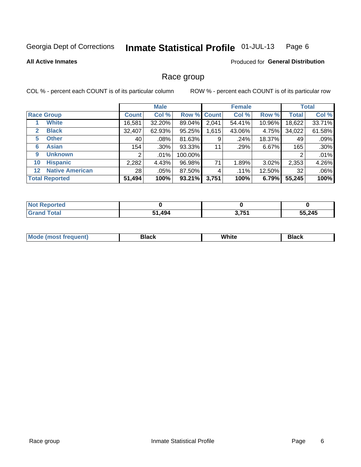#### Inmate Statistical Profile 01-JUL-13 Page 6

### **All Active Inmates**

### **Produced for General Distribution**

### Race group

COL % - percent each COUNT is of its particular column

|                                   |                 | <b>Male</b> |         |             | <b>Female</b> |          |              | <b>Total</b> |
|-----------------------------------|-----------------|-------------|---------|-------------|---------------|----------|--------------|--------------|
| <b>Race Group</b>                 | <b>Count</b>    | Col %       |         | Row % Count | Col %         | Row %    | <b>Total</b> | Col %        |
| <b>White</b>                      | 16,581          | 32.20%      | 89.04%  | 2,041       | 54.41%        | 10.96%   | 18,622       | 33.71%       |
| <b>Black</b><br>$\mathbf{2}$      | 32,407          | 62.93%      | 95.25%  | 1,615       | 43.06%        | 4.75%    | 34,022       | 61.58%       |
| <b>Other</b><br>5.                | 40              | $.08\%$     | 81.63%  | 9           | .24%          | 18.37%   | 49           | .09%         |
| <b>Asian</b><br>6                 | 154             | $.30\%$     | 93.33%  | 11          | .29%          | 6.67%    | 165          | .30%         |
| <b>Unknown</b><br>9               | 2               | $.01\%$     | 100.00% |             |               |          | 2            | .01%         |
| <b>Hispanic</b><br>10             | 2,282           | 4.43%       | 96.98%  | 71          | 1.89%         | $3.02\%$ | 2,353        | 4.26%        |
| <b>Native American</b><br>$12 \,$ | 28 <sub>1</sub> | .05%        | 87.50%  | 4           | .11%          | 12.50%   | 32           | .06%         |
| <b>Total Reported</b>             | 51,494          | 100%        | 93.21%  | 3,751       | 100%          | 6.79%    | 55,245       | 100%         |

| Reported<br>∣N∩f   |             |                   |        |
|--------------------|-------------|-------------------|--------|
| <b>Grand Total</b> | 1,494<br>64 | ) 7E4<br>J. I J I | 55,245 |

| M.<br>____ | . | ------- |
|------------|---|---------|
|            |   |         |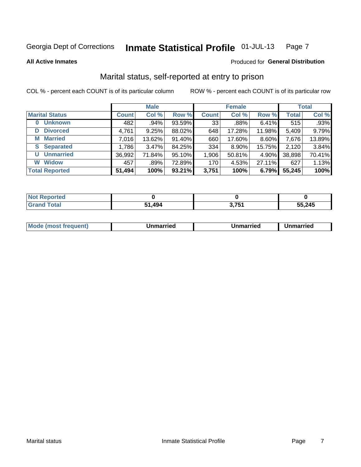#### Inmate Statistical Profile 01-JUL-13 Page 7

**All Active Inmates** 

### Produced for General Distribution

### Marital status, self-reported at entry to prison

COL % - percent each COUNT is of its particular column

|                       |              | <b>Male</b> |        |              | <b>Female</b> |        |              | <b>Total</b> |
|-----------------------|--------------|-------------|--------|--------------|---------------|--------|--------------|--------------|
| <b>Marital Status</b> | <b>Count</b> | Col %       | Row %  | <b>Count</b> | Col %         | Row %  | <b>Total</b> | Col %        |
| <b>Unknown</b><br>0   | 482          | .94%        | 93.59% | 33           | .88%          | 6.41%  | 515          | .93%         |
| <b>Divorced</b><br>D  | 4,761        | 9.25%       | 88.02% | 648          | 17.28%        | 11.98% | 5,409        | 9.79%        |
| <b>Married</b><br>M   | 7,016        | 13.62%      | 91.40% | 660          | 17.60%        | 8.60%  | 7,676        | 13.89%       |
| <b>S</b> Separated    | 1,786        | 3.47%       | 84.25% | 334          | 8.90%         | 15.75% | 2,120        | 3.84%        |
| <b>Unmarried</b><br>U | 36,992       | 71.84%      | 95.10% | 1,906        | 50.81%        | 4.90%  | 38,898       | 70.41%       |
| <b>Widow</b><br>W     | 457          | .89%        | 72.89% | 170          | 4.53%         | 27.11% | 627          | 1.13%        |
| <b>Total Reported</b> | 51,494       | 100%        | 93.21% | 3,751        | 100%          | 6.79%  | 55,245       | 100%         |

| المناسب المستحدث<br>rted<br>NO |     |                     |        |
|--------------------------------|-----|---------------------|--------|
| $\sim$ 100                     | 494 | . .-<br><b>U.IJ</b> | 55,245 |

|--|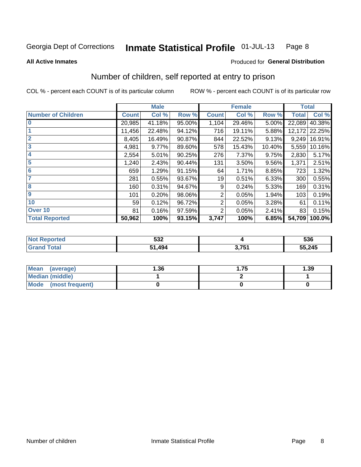#### Inmate Statistical Profile 01-JUL-13 Page 8

**All Active Inmates** 

### Produced for General Distribution

### Number of children, self reported at entry to prison

COL % - percent each COUNT is of its particular column

|                           |              | <b>Male</b> |        |                | <b>Female</b> |        | <b>Total</b> |        |
|---------------------------|--------------|-------------|--------|----------------|---------------|--------|--------------|--------|
| <b>Number of Children</b> | <b>Count</b> | Col %       | Row %  | <b>Count</b>   | Col %         | Row %  | <b>Total</b> | Col %  |
| $\bf{0}$                  | 20,985       | 41.18%      | 95.00% | 1,104          | 29.46%        | 5.00%  | 22,089       | 40.38% |
|                           | 11,456       | 22.48%      | 94.12% | 716            | 19.11%        | 5.88%  | 12,172       | 22.25% |
| $\overline{2}$            | 8,405        | 16.49%      | 90.87% | 844            | 22.52%        | 9.13%  | 9,249        | 16.91% |
| 3                         | 4,981        | 9.77%       | 89.60% | 578            | 15.43%        | 10.40% | 5,559        | 10.16% |
| 4                         | 2,554        | 5.01%       | 90.25% | 276            | 7.37%         | 9.75%  | 2,830        | 5.17%  |
| 5                         | 1,240        | 2.43%       | 90.44% | 131            | 3.50%         | 9.56%  | 1,371        | 2.51%  |
| $6\phantom{1}6$           | 659          | 1.29%       | 91.15% | 64             | 1.71%         | 8.85%  | 723          | 1.32%  |
| 7                         | 281          | 0.55%       | 93.67% | 19             | 0.51%         | 6.33%  | 300          | 0.55%  |
| 8                         | 160          | 0.31%       | 94.67% | 9              | 0.24%         | 5.33%  | 169          | 0.31%  |
| $\boldsymbol{9}$          | 101          | 0.20%       | 98.06% | 2              | 0.05%         | 1.94%  | 103          | 0.19%  |
| 10                        | 59           | 0.12%       | 96.72% | $\overline{2}$ | 0.05%         | 3.28%  | 61           | 0.11%  |
| Over 10                   | 81           | 0.16%       | 97.59% | 2              | 0.05%         | 2.41%  | 83           | 0.15%  |
| <b>Total Reported</b>     | 50,962       | 100%        | 93.15% | 3,747          | 100%          | 6.85%  | 54,709       | 100.0% |

| <b>EOC</b><br>ວວ∠ |           | 536    |
|-------------------|-----------|--------|
| 494<br>- 4        | 27.7<br>ີ | 55,245 |

| <b>Mean</b><br>(average)       | 1.36 | . 75 | 1.39 |
|--------------------------------|------|------|------|
| Median (middle)                |      |      |      |
| <b>Mode</b><br>(most frequent) |      |      |      |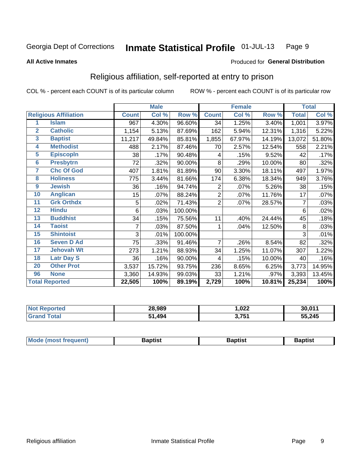#### Inmate Statistical Profile 01-JUL-13 Page 9

**All Active Inmates** 

### Produced for General Distribution

### Religious affiliation, self-reported at entry to prison

COL % - percent each COUNT is of its particular column

|                |                              |              | <b>Male</b> |         |                | <b>Female</b> |        |              | <b>Total</b> |
|----------------|------------------------------|--------------|-------------|---------|----------------|---------------|--------|--------------|--------------|
|                | <b>Religious Affiliation</b> | <b>Count</b> | Col %       | Row %   | <b>Count</b>   | Col %         | Row %  | <b>Total</b> | Col %        |
| 1              | <b>Islam</b>                 | 967          | 4.30%       | 96.60%  | 34             | 1.25%         | 3.40%  | 1,001        | 3.97%        |
| $\overline{2}$ | <b>Catholic</b>              | 1,154        | 5.13%       | 87.69%  | 162            | 5.94%         | 12.31% | 1,316        | 5.22%        |
| 3              | <b>Baptist</b>               | 11,217       | 49.84%      | 85.81%  | 1,855          | 67.97%        | 14.19% | 13,072       | 51.80%       |
| 4              | <b>Methodist</b>             | 488          | 2.17%       | 87.46%  | 70             | 2.57%         | 12.54% | 558          | 2.21%        |
| 5              | <b>EpiscopIn</b>             | 38           | .17%        | 90.48%  | 4              | .15%          | 9.52%  | 42           | .17%         |
| $6\phantom{a}$ | <b>Presbytrn</b>             | 72           | .32%        | 90.00%  | 8              | .29%          | 10.00% | 80           | .32%         |
| 7              | <b>Chc Of God</b>            | 407          | 1.81%       | 81.89%  | 90             | 3.30%         | 18.11% | 497          | 1.97%        |
| 8              | <b>Holiness</b>              | 775          | 3.44%       | 81.66%  | 174            | 6.38%         | 18.34% | 949          | 3.76%        |
| 9              | <b>Jewish</b>                | 36           | .16%        | 94.74%  | 2              | .07%          | 5.26%  | 38           | .15%         |
| 10             | <b>Anglican</b>              | 15           | .07%        | 88.24%  | $\overline{2}$ | .07%          | 11.76% | 17           | .07%         |
| 11             | <b>Grk Orthdx</b>            | 5            | .02%        | 71.43%  | $\overline{2}$ | .07%          | 28.57% | 7            | .03%         |
| 12             | <b>Hindu</b>                 | 6            | .03%        | 100.00% |                |               |        | 6            | .02%         |
| 13             | <b>Buddhist</b>              | 34           | .15%        | 75.56%  | 11             | .40%          | 24.44% | 45           | .18%         |
| 14             | <b>Taoist</b>                | 7            | .03%        | 87.50%  | 1              | .04%          | 12.50% | 8            | .03%         |
| 15             | <b>Shintoist</b>             | 3            | .01%        | 100.00% |                |               |        | 3            | .01%         |
| 16             | <b>Seven D Ad</b>            | 75           | .33%        | 91.46%  | 7              | .26%          | 8.54%  | 82           | .32%         |
| 17             | <b>Jehovah Wt</b>            | 273          | 1.21%       | 88.93%  | 34             | 1.25%         | 11.07% | 307          | 1.22%        |
| 18             | <b>Latr Day S</b>            | 36           | .16%        | 90.00%  | 4              | .15%          | 10.00% | 40           | .16%         |
| 20             | <b>Other Prot</b>            | 3,537        | 15.72%      | 93.75%  | 236            | 8.65%         | 6.25%  | 3,773        | 14.95%       |
| 96             | <b>None</b>                  | 3,360        | 14.93%      | 99.03%  | 33             | 1.21%         | .97%   | 3,393        | 13.45%       |
|                | <b>Total Reported</b>        | 22,505       | 100%        | 89.19%  | 2,729          | 100%          | 10.81% | 25,234       | 100%         |

|                 | 28.989<br>the contract of the contract of | 022, ا | 30.011 |
|-----------------|-------------------------------------------|--------|--------|
| $\sim$ 4 $\sim$ | 494<br>E7                                 | ? 751  | 55,245 |

|  | Mode (most frequent) | 3aptist | 3aptist | Baptist |
|--|----------------------|---------|---------|---------|
|--|----------------------|---------|---------|---------|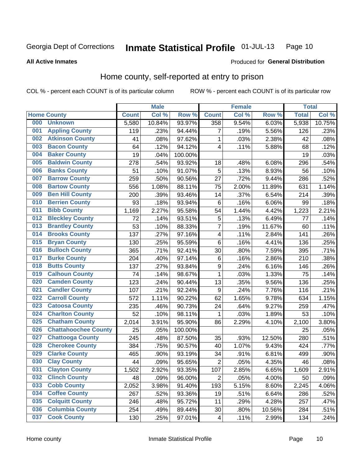#### Inmate Statistical Profile 01-JUL-13 Page 10

### **All Active Inmates**

### Produced for General Distribution

### Home county, self-reported at entry to prison

COL % - percent each COUNT is of its particular column

|     |                             |              | <b>Male</b> |         |                         | <b>Female</b> |        | <b>Total</b> |        |
|-----|-----------------------------|--------------|-------------|---------|-------------------------|---------------|--------|--------------|--------|
|     | <b>Home County</b>          | <b>Count</b> | Col %       | Row %   | <b>Count</b>            | Col %         | Row %  | <b>Total</b> | Col %  |
| 000 | <b>Unknown</b>              | 5,580        | 10.84%      | 93.97%  | 358                     | 9.54%         | 6.03%  | 5,938        | 10.75% |
| 001 | <b>Appling County</b>       | 119          | .23%        | 94.44%  | 7                       | .19%          | 5.56%  | 126          | .23%   |
| 002 | <b>Atkinson County</b>      | 41           | .08%        | 97.62%  | $\mathbf{1}$            | .03%          | 2.38%  | 42           | .08%   |
| 003 | <b>Bacon County</b>         | 64           | .12%        | 94.12%  | 4                       | .11%          | 5.88%  | 68           | .12%   |
| 004 | <b>Baker County</b>         | 19           | .04%        | 100.00% |                         |               |        | 19           | .03%   |
| 005 | <b>Baldwin County</b>       | 278          | .54%        | 93.92%  | 18                      | .48%          | 6.08%  | 296          | .54%   |
| 006 | <b>Banks County</b>         | 51           | .10%        | 91.07%  | 5                       | .13%          | 8.93%  | 56           | .10%   |
| 007 | <b>Barrow County</b>        | 259          | .50%        | 90.56%  | 27                      | .72%          | 9.44%  | 286          | .52%   |
| 008 | <b>Bartow County</b>        | 556          | 1.08%       | 88.11%  | 75                      | 2.00%         | 11.89% | 631          | 1.14%  |
| 009 | <b>Ben Hill County</b>      | 200          | .39%        | 93.46%  | 14                      | .37%          | 6.54%  | 214          | .39%   |
| 010 | <b>Berrien County</b>       | 93           | .18%        | 93.94%  | $\,6$                   | .16%          | 6.06%  | 99           | .18%   |
| 011 | <b>Bibb County</b>          | 1,169        | 2.27%       | 95.58%  | 54                      | 1.44%         | 4.42%  | 1,223        | 2.21%  |
| 012 | <b>Bleckley County</b>      | 72           | .14%        | 93.51%  | 5                       | .13%          | 6.49%  | 77           | .14%   |
| 013 | <b>Brantley County</b>      | 53           | .10%        | 88.33%  | 7                       | .19%          | 11.67% | 60           | .11%   |
| 014 | <b>Brooks County</b>        | 137          | .27%        | 97.16%  | $\overline{\mathbf{4}}$ | .11%          | 2.84%  | 141          | .26%   |
| 015 | <b>Bryan County</b>         | 130          | .25%        | 95.59%  | $\,6$                   | .16%          | 4.41%  | 136          | .25%   |
| 016 | <b>Bulloch County</b>       | 365          | .71%        | 92.41%  | 30                      | .80%          | 7.59%  | 395          | .71%   |
| 017 | <b>Burke County</b>         | 204          | .40%        | 97.14%  | $\,6$                   | .16%          | 2.86%  | 210          | .38%   |
| 018 | <b>Butts County</b>         | 137          | .27%        | 93.84%  | $\boldsymbol{9}$        | .24%          | 6.16%  | 146          | .26%   |
| 019 | <b>Calhoun County</b>       | 74           | .14%        | 98.67%  | 1                       | .03%          | 1.33%  | 75           | .14%   |
| 020 | <b>Camden County</b>        | 123          | .24%        | 90.44%  | 13                      | .35%          | 9.56%  | 136          | .25%   |
| 021 | <b>Candler County</b>       | 107          | .21%        | 92.24%  | $\boldsymbol{9}$        | .24%          | 7.76%  | 116          | .21%   |
| 022 | <b>Carroll County</b>       | 572          | 1.11%       | 90.22%  | 62                      | 1.65%         | 9.78%  | 634          | 1.15%  |
| 023 | <b>Catoosa County</b>       | 235          | .46%        | 90.73%  | 24                      | .64%          | 9.27%  | 259          | .47%   |
| 024 | <b>Charlton County</b>      | 52           | .10%        | 98.11%  | 1                       | .03%          | 1.89%  | 53           | .10%   |
| 025 | <b>Chatham County</b>       | 2,014        | 3.91%       | 95.90%  | 86                      | 2.29%         | 4.10%  | 2,100        | 3.80%  |
| 026 | <b>Chattahoochee County</b> | 25           | .05%        | 100.00% |                         |               |        | 25           | .05%   |
| 027 | <b>Chattooga County</b>     | 245          | .48%        | 87.50%  | 35                      | .93%          | 12.50% | 280          | .51%   |
| 028 | <b>Cherokee County</b>      | 384          | .75%        | 90.57%  | 40                      | 1.07%         | 9.43%  | 424          | .77%   |
| 029 | <b>Clarke County</b>        | 465          | .90%        | 93.19%  | 34                      | .91%          | 6.81%  | 499          | .90%   |
| 030 | <b>Clay County</b>          | 44           | .09%        | 95.65%  | $\overline{2}$          | .05%          | 4.35%  | 46           | .08%   |
| 031 | <b>Clayton County</b>       | 1,502        | 2.92%       | 93.35%  | 107                     | 2.85%         | 6.65%  | 1,609        | 2.91%  |
| 032 | <b>Clinch County</b>        | 48           | .09%        | 96.00%  | 2                       | .05%          | 4.00%  | 50           | .09%   |
| 033 | <b>Cobb County</b>          | 2,052        | 3.98%       | 91.40%  | 193                     | 5.15%         | 8.60%  | 2,245        | 4.06%  |
| 034 | <b>Coffee County</b>        | 267          | .52%        | 93.36%  | 19                      | .51%          | 6.64%  | 286          | .52%   |
| 035 | <b>Colquitt County</b>      | 246          | .48%        | 95.72%  | 11                      | .29%          | 4.28%  | 257          | .47%   |
| 036 | <b>Columbia County</b>      | 254          | .49%        | 89.44%  | 30                      | .80%          | 10.56% | 284          | .51%   |
| 037 | <b>Cook County</b>          | 130          | .25%        | 97.01%  | 4                       | .11%          | 2.99%  | 134          | .24%   |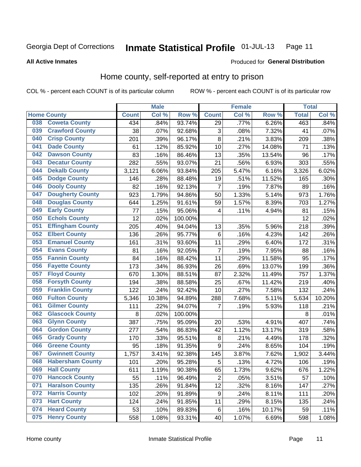#### Inmate Statistical Profile 01-JUL-13 Page 11

**All Active Inmates** 

### Produced for General Distribution

### Home county, self-reported at entry to prison

COL % - percent each COUNT is of its particular column

|     |                         |              | <b>Male</b> |                  |                  | <b>Female</b> |        | <b>Total</b> |        |
|-----|-------------------------|--------------|-------------|------------------|------------------|---------------|--------|--------------|--------|
|     | <b>Home County</b>      | <b>Count</b> | Col %       | Row <sup>%</sup> | <b>Count</b>     | Col %         | Row %  | <b>Total</b> | Col %  |
| 038 | <b>Coweta County</b>    | 434          | .84%        | 93.74%           | 29               | .77%          | 6.26%  | 463          | .84%   |
| 039 | <b>Crawford County</b>  | 38           | .07%        | 92.68%           | 3                | .08%          | 7.32%  | 41           | .07%   |
| 040 | <b>Crisp County</b>     | 201          | .39%        | 96.17%           | 8                | .21%          | 3.83%  | 209          | .38%   |
| 041 | <b>Dade County</b>      | 61           | .12%        | 85.92%           | 10               | .27%          | 14.08% | 71           | .13%   |
| 042 | <b>Dawson County</b>    | 83           | .16%        | 86.46%           | 13               | .35%          | 13.54% | 96           | .17%   |
| 043 | <b>Decatur County</b>   | 282          | .55%        | 93.07%           | 21               | .56%          | 6.93%  | 303          | .55%   |
| 044 | <b>Dekalb County</b>    | 3,121        | 6.06%       | 93.84%           | 205              | 5.47%         | 6.16%  | 3,326        | 6.02%  |
| 045 | <b>Dodge County</b>     | 146          | .28%        | 88.48%           | 19               | .51%          | 11.52% | 165          | .30%   |
| 046 | <b>Dooly County</b>     | 82           | .16%        | 92.13%           | 7                | .19%          | 7.87%  | 89           | .16%   |
| 047 | <b>Dougherty County</b> | 923          | 1.79%       | 94.86%           | 50               | 1.33%         | 5.14%  | 973          | 1.76%  |
| 048 | <b>Douglas County</b>   | 644          | 1.25%       | 91.61%           | 59               | 1.57%         | 8.39%  | 703          | 1.27%  |
| 049 | <b>Early County</b>     | 77           | .15%        | 95.06%           | 4                | .11%          | 4.94%  | 81           | .15%   |
| 050 | <b>Echols County</b>    | 12           | .02%        | 100.00%          |                  |               |        | 12           | .02%   |
| 051 | <b>Effingham County</b> | 205          | .40%        | 94.04%           | 13               | .35%          | 5.96%  | 218          | .39%   |
| 052 | <b>Elbert County</b>    | 136          | .26%        | 95.77%           | $\,6$            | .16%          | 4.23%  | 142          | .26%   |
| 053 | <b>Emanuel County</b>   | 161          | .31%        | 93.60%           | 11               | .29%          | 6.40%  | 172          | .31%   |
| 054 | <b>Evans County</b>     | 81           | .16%        | 92.05%           | 7                | .19%          | 7.95%  | 88           | .16%   |
| 055 | <b>Fannin County</b>    | 84           | .16%        | 88.42%           | 11               | .29%          | 11.58% | 95           | .17%   |
| 056 | <b>Fayette County</b>   | 173          | .34%        | 86.93%           | 26               | .69%          | 13.07% | 199          | .36%   |
| 057 | <b>Floyd County</b>     | 670          | 1.30%       | 88.51%           | 87               | 2.32%         | 11.49% | 757          | 1.37%  |
| 058 | <b>Forsyth County</b>   | 194          | .38%        | 88.58%           | 25               | .67%          | 11.42% | 219          | .40%   |
| 059 | <b>Franklin County</b>  | 122          | .24%        | 92.42%           | 10               | .27%          | 7.58%  | 132          | .24%   |
| 060 | <b>Fulton County</b>    | 5,346        | 10.38%      | 94.89%           | 288              | 7.68%         | 5.11%  | 5,634        | 10.20% |
| 061 | <b>Gilmer County</b>    | 111          | .22%        | 94.07%           | 7                | .19%          | 5.93%  | 118          | .21%   |
| 062 | <b>Glascock County</b>  | 8            | .02%        | 100.00%          |                  |               |        | 8            | .01%   |
| 063 | <b>Glynn County</b>     | 387          | .75%        | 95.09%           | 20               | .53%          | 4.91%  | 407          | .74%   |
| 064 | <b>Gordon County</b>    | 277          | .54%        | 86.83%           | 42               | 1.12%         | 13.17% | 319          | .58%   |
| 065 | <b>Grady County</b>     | 170          | .33%        | 95.51%           | 8                | .21%          | 4.49%  | 178          | .32%   |
| 066 | <b>Greene County</b>    | 95           | .18%        | 91.35%           | 9                | .24%          | 8.65%  | 104          | .19%   |
| 067 | <b>Gwinnett County</b>  | 1,757        | 3.41%       | 92.38%           | 145              | 3.87%         | 7.62%  | 1,902        | 3.44%  |
| 068 | <b>Habersham County</b> | 101          | .20%        | 95.28%           | 5                | .13%          | 4.72%  | 106          | .19%   |
| 069 | <b>Hall County</b>      | 611          | 1.19%       | 90.38%           | 65               | 1.73%         | 9.62%  | 676          | 1.22%  |
| 070 | <b>Hancock County</b>   | 55           | .11%        | 96.49%           | $\overline{2}$   | .05%          | 3.51%  | 57           | .10%   |
| 071 | <b>Haralson County</b>  | 135          | .26%        | 91.84%           | 12               | .32%          | 8.16%  | 147          | .27%   |
| 072 | <b>Harris County</b>    | 102          | .20%        | 91.89%           | $\boldsymbol{9}$ | .24%          | 8.11%  | 111          | .20%   |
| 073 | <b>Hart County</b>      | 124          | .24%        | 91.85%           | 11               | .29%          | 8.15%  | 135          | .24%   |
| 074 | <b>Heard County</b>     | 53           | .10%        | 89.83%           | $\,6$            | .16%          | 10.17% | 59           | .11%   |
| 075 | <b>Henry County</b>     | 558          | 1.08%       | 93.31%           | 40               | 1.07%         | 6.69%  | 598          | 1.08%  |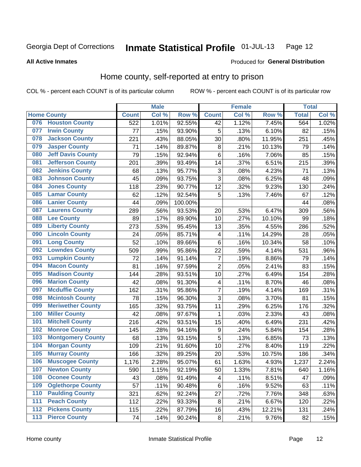#### Inmate Statistical Profile 01-JUL-13 Page 12

**All Active Inmates** 

### Produced for General Distribution

### Home county, self-reported at entry to prison

COL % - percent each COUNT is of its particular column

|     |                          |              | <b>Male</b> |                  |                  | <b>Female</b> |        | <b>Total</b> |       |
|-----|--------------------------|--------------|-------------|------------------|------------------|---------------|--------|--------------|-------|
|     | <b>Home County</b>       | <b>Count</b> | Col %       | Row <sup>%</sup> | <b>Count</b>     | Col %         | Row %  | <b>Total</b> | Col % |
|     | 076 Houston County       | 522          | 1.01%       | 92.55%           | 42               | 1.12%         | 7.45%  | 564          | 1.02% |
| 077 | <b>Irwin County</b>      | 77           | .15%        | 93.90%           | 5                | .13%          | 6.10%  | 82           | .15%  |
| 078 | <b>Jackson County</b>    | 221          | .43%        | 88.05%           | 30               | .80%          | 11.95% | 251          | .45%  |
| 079 | <b>Jasper County</b>     | 71           | .14%        | 89.87%           | 8                | .21%          | 10.13% | 79           | .14%  |
| 080 | <b>Jeff Davis County</b> | 79           | .15%        | 92.94%           | 6                | .16%          | 7.06%  | 85           | .15%  |
| 081 | <b>Jefferson County</b>  | 201          | .39%        | 93.49%           | 14               | .37%          | 6.51%  | 215          | .39%  |
| 082 | <b>Jenkins County</b>    | 68           | .13%        | 95.77%           | $\mathbf{3}$     | .08%          | 4.23%  | 71           | .13%  |
| 083 | <b>Johnson County</b>    | 45           | .09%        | 93.75%           | 3                | .08%          | 6.25%  | 48           | .09%  |
| 084 | <b>Jones County</b>      | 118          | .23%        | 90.77%           | 12               | .32%          | 9.23%  | 130          | .24%  |
| 085 | <b>Lamar County</b>      | 62           | .12%        | 92.54%           | 5                | .13%          | 7.46%  | 67           | .12%  |
| 086 | <b>Lanier County</b>     | 44           | .09%        | 100.00%          |                  |               |        | 44           | .08%  |
| 087 | <b>Laurens County</b>    | 289          | .56%        | 93.53%           | 20               | .53%          | 6.47%  | 309          | .56%  |
| 088 | <b>Lee County</b>        | 89           | .17%        | 89.90%           | 10               | .27%          | 10.10% | 99           | .18%  |
| 089 | <b>Liberty County</b>    | 273          | .53%        | 95.45%           | 13               | .35%          | 4.55%  | 286          | .52%  |
| 090 | <b>Lincoln County</b>    | 24           | .05%        | 85.71%           | 4                | .11%          | 14.29% | 28           | .05%  |
| 091 | <b>Long County</b>       | 52           | .10%        | 89.66%           | $\,6$            | .16%          | 10.34% | 58           | .10%  |
| 092 | <b>Lowndes County</b>    | 509          | .99%        | 95.86%           | 22               | .59%          | 4.14%  | 531          | .96%  |
| 093 | <b>Lumpkin County</b>    | 72           | .14%        | 91.14%           | $\overline{7}$   | .19%          | 8.86%  | 79           | .14%  |
| 094 | <b>Macon County</b>      | 81           | .16%        | 97.59%           | $\overline{2}$   | .05%          | 2.41%  | 83           | .15%  |
| 095 | <b>Madison County</b>    | 144          | .28%        | 93.51%           | 10               | .27%          | 6.49%  | 154          | .28%  |
| 096 | <b>Marion County</b>     | 42           | .08%        | 91.30%           | 4                | .11%          | 8.70%  | 46           | .08%  |
| 097 | <b>Mcduffie County</b>   | 162          | .31%        | 95.86%           | $\overline{7}$   | .19%          | 4.14%  | 169          | .31%  |
| 098 | <b>Mcintosh County</b>   | 78           | .15%        | 96.30%           | 3                | .08%          | 3.70%  | 81           | .15%  |
| 099 | <b>Meriwether County</b> | 165          | .32%        | 93.75%           | 11               | .29%          | 6.25%  | 176          | .32%  |
| 100 | <b>Miller County</b>     | 42           | .08%        | 97.67%           | 1                | .03%          | 2.33%  | 43           | .08%  |
| 101 | <b>Mitchell County</b>   | 216          | .42%        | 93.51%           | 15               | .40%          | 6.49%  | 231          | .42%  |
| 102 | <b>Monroe County</b>     | 145          | .28%        | 94.16%           | $\boldsymbol{9}$ | .24%          | 5.84%  | 154          | .28%  |
| 103 | <b>Montgomery County</b> | 68           | .13%        | 93.15%           | 5                | .13%          | 6.85%  | 73           | .13%  |
| 104 | <b>Morgan County</b>     | 109          | .21%        | 91.60%           | 10               | .27%          | 8.40%  | 119          | .22%  |
| 105 | <b>Murray County</b>     | 166          | .32%        | 89.25%           | 20               | .53%          | 10.75% | 186          | .34%  |
| 106 | <b>Muscogee County</b>   | 1,176        | 2.28%       | 95.07%           | 61               | 1.63%         | 4.93%  | 1,237        | 2.24% |
| 107 | <b>Newton County</b>     | 590          | 1.15%       | 92.19%           | 50               | 1.33%         | 7.81%  | 640          | 1.16% |
| 108 | <b>Oconee County</b>     | 43           | .08%        | 91.49%           | 4                | .11%          | 8.51%  | 47           | .09%  |
| 109 | <b>Oglethorpe County</b> | 57           | .11%        | 90.48%           | $\,6$            | .16%          | 9.52%  | 63           | .11%  |
| 110 | <b>Paulding County</b>   | 321          | .62%        | 92.24%           | 27               | .72%          | 7.76%  | 348          | .63%  |
| 111 | <b>Peach County</b>      | 112          | .22%        | 93.33%           | 8                | .21%          | 6.67%  | 120          | .22%  |
| 112 | <b>Pickens County</b>    | 115          | .22%        | 87.79%           | 16               | .43%          | 12.21% | 131          | .24%  |
| 113 | <b>Pierce County</b>     | 74           | .14%        | 90.24%           | $\bf 8$          | .21%          | 9.76%  | 82           | .15%  |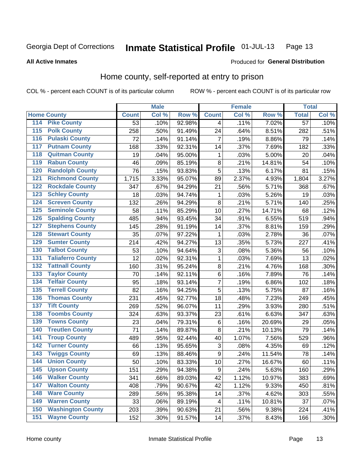#### Inmate Statistical Profile 01-JUL-13 Page 13

### **All Active Inmates**

### Produced for General Distribution

### Home county, self-reported at entry to prison

COL % - percent each COUNT is of its particular column

|                                 |              | <b>Male</b> |        |                | <b>Female</b> |        | <b>Total</b>    |       |
|---------------------------------|--------------|-------------|--------|----------------|---------------|--------|-----------------|-------|
| <b>Home County</b>              | <b>Count</b> | Col %       | Row %  | <b>Count</b>   | Col %         | Row %  | <b>Total</b>    | Col % |
| 114<br><b>Pike County</b>       | 53           | .10%        | 92.98% | 4              | .11%          | 7.02%  | $\overline{57}$ | .10%  |
| <b>Polk County</b><br>115       | 258          | .50%        | 91.49% | 24             | .64%          | 8.51%  | 282             | .51%  |
| <b>Pulaski County</b><br>116    | 72           | .14%        | 91.14% | 7              | .19%          | 8.86%  | 79              | .14%  |
| <b>Putnam County</b><br>117     | 168          | .33%        | 92.31% | 14             | .37%          | 7.69%  | 182             | .33%  |
| 118<br><b>Quitman County</b>    | 19           | .04%        | 95.00% | 1              | .03%          | 5.00%  | 20              | .04%  |
| <b>Rabun County</b><br>119      | 46           | .09%        | 85.19% | 8              | .21%          | 14.81% | 54              | .10%  |
| <b>Randolph County</b><br>120   | 76           | .15%        | 93.83% | 5              | .13%          | 6.17%  | 81              | .15%  |
| <b>Richmond County</b><br>121   | 1,715        | 3.33%       | 95.07% | 89             | 2.37%         | 4.93%  | 1,804           | 3.27% |
| <b>Rockdale County</b><br>122   | 347          | .67%        | 94.29% | 21             | .56%          | 5.71%  | 368             | .67%  |
| <b>Schley County</b><br>123     | 18           | .03%        | 94.74% | $\mathbf{1}$   | .03%          | 5.26%  | 19              | .03%  |
| <b>Screven County</b><br>124    | 132          | .26%        | 94.29% | 8              | .21%          | 5.71%  | 140             | .25%  |
| <b>Seminole County</b><br>125   | 58           | .11%        | 85.29% | 10             | .27%          | 14.71% | 68              | .12%  |
| <b>Spalding County</b><br>126   | 485          | .94%        | 93.45% | 34             | .91%          | 6.55%  | 519             | .94%  |
| <b>Stephens County</b><br>127   | 145          | .28%        | 91.19% | 14             | .37%          | 8.81%  | 159             | .29%  |
| <b>Stewart County</b><br>128    | 35           | .07%        | 97.22% | 1              | .03%          | 2.78%  | 36              | .07%  |
| <b>Sumter County</b><br>129     | 214          | .42%        | 94.27% | 13             | .35%          | 5.73%  | 227             | .41%  |
| <b>Talbot County</b><br>130     | 53           | .10%        | 94.64% | 3              | .08%          | 5.36%  | 56              | .10%  |
| <b>Taliaferro County</b><br>131 | 12           | .02%        | 92.31% | 1              | .03%          | 7.69%  | 13              | .02%  |
| <b>Tattnall County</b><br>132   | 160          | .31%        | 95.24% | $\bf 8$        | .21%          | 4.76%  | 168             | .30%  |
| <b>Taylor County</b><br>133     | 70           | .14%        | 92.11% | 6              | .16%          | 7.89%  | 76              | .14%  |
| <b>Telfair County</b><br>134    | 95           | .18%        | 93.14% | $\overline{7}$ | .19%          | 6.86%  | 102             | .18%  |
| <b>Terrell County</b><br>135    | 82           | .16%        | 94.25% | 5              | .13%          | 5.75%  | 87              | .16%  |
| <b>Thomas County</b><br>136     | 231          | .45%        | 92.77% | 18             | .48%          | 7.23%  | 249             | .45%  |
| <b>Tift County</b><br>137       | 269          | .52%        | 96.07% | 11             | .29%          | 3.93%  | 280             | .51%  |
| <b>Toombs County</b><br>138     | 324          | .63%        | 93.37% | 23             | .61%          | 6.63%  | 347             | .63%  |
| <b>Towns County</b><br>139      | 23           | .04%        | 79.31% | 6              | .16%          | 20.69% | 29              | .05%  |
| <b>Treutlen County</b><br>140   | 71           | .14%        | 89.87% | 8              | .21%          | 10.13% | 79              | .14%  |
| <b>Troup County</b><br>141      | 489          | .95%        | 92.44% | 40             | 1.07%         | 7.56%  | 529             | .96%  |
| <b>Turner County</b><br>142     | 66           | .13%        | 95.65% | $\sqrt{3}$     | .08%          | 4.35%  | 69              | .12%  |
| <b>Twiggs County</b><br>143     | 69           | .13%        | 88.46% | 9              | .24%          | 11.54% | 78              | .14%  |
| <b>Union County</b><br>144      | 50           | .10%        | 83.33% | 10             | .27%          | 16.67% | 60              | .11%  |
| 145<br><b>Upson County</b>      | 151          | .29%        | 94.38% | 9              | .24%          | 5.63%  | 160             | .29%  |
| <b>Walker County</b><br>146     | 341          | .66%        | 89.03% | 42             | 1.12%         | 10.97% | 383             | .69%  |
| <b>Walton County</b><br>147     | 408          | .79%        | 90.67% | 42             | 1.12%         | 9.33%  | 450             | .81%  |
| <b>Ware County</b><br>148       | 289          | .56%        | 95.38% | 14             | .37%          | 4.62%  | 303             | .55%  |
| <b>Warren County</b><br>149     | 33           | .06%        | 89.19% | 4              | .11%          | 10.81% | 37              | .07%  |
| <b>Washington County</b><br>150 | 203          | .39%        | 90.63% | 21             | .56%          | 9.38%  | 224             | .41%  |
| <b>Wayne County</b><br>151      | 152          | .30%        | 91.57% | 14             | .37%          | 8.43%  | 166             | .30%  |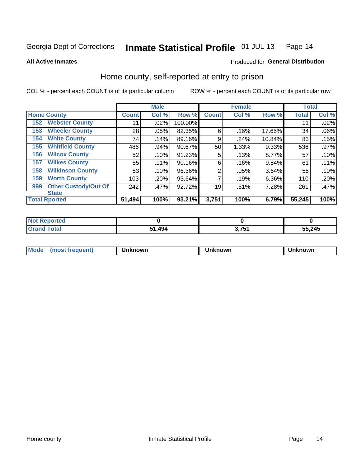#### Inmate Statistical Profile 01-JUL-13 Page 14

### **All Active Inmates**

### Produced for General Distribution

### Home county, self-reported at entry to prison

COL % - percent each COUNT is of its particular column

|     |                             |              | <b>Male</b> |         |                | <b>Female</b> |        | <b>Total</b> |         |
|-----|-----------------------------|--------------|-------------|---------|----------------|---------------|--------|--------------|---------|
|     | <b>Home County</b>          | <b>Count</b> | Col %       | Row %   | <b>Count</b>   | Col %         | Row %  | <b>Total</b> | Col %   |
| 152 | <b>Webster County</b>       | 11           | .02%        | 100.00% |                |               |        | 11           | .02%    |
| 153 | <b>Wheeler County</b>       | 28           | .05%        | 82.35%  | 6              | .16%          | 17.65% | 34           | .06%    |
| 154 | <b>White County</b>         | 74           | .14%        | 89.16%  | 9              | .24%          | 10.84% | 83           | .15%    |
| 155 | <b>Whitfield County</b>     | 486          | .94%        | 90.67%  | 50             | 1.33%         | 9.33%  | 536          | $.97\%$ |
| 156 | <b>Wilcox County</b>        | 52           | .10%        | 91.23%  | 5              | .13%          | 8.77%  | 57           | .10%    |
| 157 | <b>Wilkes County</b>        | 55           | .11%        | 90.16%  | 6              | .16%          | 9.84%  | 61           | .11%    |
| 158 | <b>Wilkinson County</b>     | 53           | .10%        | 96.36%  | $\overline{2}$ | .05%          | 3.64%  | 55           | .10%    |
| 159 | <b>Worth County</b>         | 103          | .20%        | 93.64%  | 7              | .19%          | 6.36%  | 110          | .20%    |
| 999 | <b>Other Custody/Out Of</b> | 242          | .47%        | 92.72%  | 19             | .51%          | 7.28%  | 261          | .47%    |
|     | <b>State</b>                |              |             |         |                |               |        |              |         |
|     | <b>Total Rported</b>        | 51,494       | 100%        | 93.21%  | 3,751          | 100%          | 6.79%  | 55,245       | 100%    |

| NO<br>τeα   |           |     |        |
|-------------|-----------|-----|--------|
| <b>otal</b> | 494<br>E4 | 754 | 55,245 |

| Mode<br><b>Tequent)</b><br>ns | nown | mown | เทown |
|-------------------------------|------|------|-------|
|                               |      |      |       |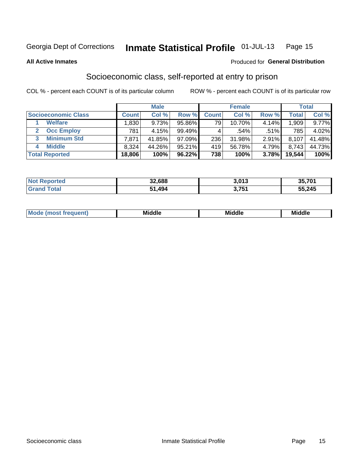#### Inmate Statistical Profile 01-JUL-13 Page 15

**All Active Inmates** 

### **Produced for General Distribution**

### Socioeconomic class, self-reported at entry to prison

COL % - percent each COUNT is of its particular column

|                            |                | <b>Male</b> |        |              | <b>Female</b> |          |        | <b>Total</b> |
|----------------------------|----------------|-------------|--------|--------------|---------------|----------|--------|--------------|
| <b>Socioeconomic Class</b> | <b>Count</b> l | Col %       | Row %  | <b>Count</b> | Col %         | Row %    | Total  | Col %        |
| <b>Welfare</b>             | .830           | 9.73%       | 95.86% | 79           | 10.70%        | $4.14\%$ | 1,909  | $9.77\%$     |
| <b>Occ Employ</b>          | 781            | 4.15%       | 99.49% |              | $.54\%$       | .51%     | 785    | 4.02%        |
| <b>Minimum Std</b>         | 7,871          | 41.85%      | 97.09% | 236          | 31.98%        | 2.91%    | 8,107  | 41.48%       |
| <b>Middle</b><br>4         | 8,324          | 44.26%      | 95.21% | 419          | 56.78%        | 4.79%    | 8,743  | 44.73%       |
| <b>Total Reported</b>      | 18,806         | 100%        | 96.22% | 738          | 100%          | 3.78%    | 19,544 | 100%         |

| <b>Not Reported</b> | 32,688      | 3,013 | 35,701<br>JJ |
|---------------------|-------------|-------|--------------|
|                     | ,494<br>64. | 3.751 | 55,245       |

| ____<br>____ |
|--------------|
|--------------|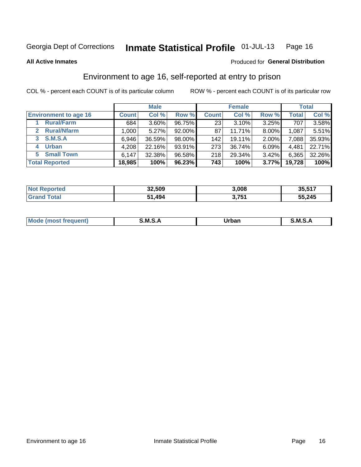#### Inmate Statistical Profile 01-JUL-13 Page 16

**All Active Inmates** 

### **Produced for General Distribution**

### Environment to age 16, self-reported at entry to prison

COL % - percent each COUNT is of its particular column

|                                    |              | <b>Male</b> |           |              | <b>Female</b> |          |              | <b>Total</b> |
|------------------------------------|--------------|-------------|-----------|--------------|---------------|----------|--------------|--------------|
| <b>Environment to age 16</b>       | <b>Count</b> | Col %       | Row %     | <b>Count</b> | Col %         | Row %    | <b>Total</b> | Col %        |
| <b>Rural/Farm</b>                  | 684          | 3.60%       | 96.75%    | 23           | 3.10%         | 3.25%    | 707          | 3.58%        |
| <b>Rural/Nfarm</b><br>$\mathbf{2}$ | 1,000        | 5.27%       | $92.00\%$ | 87           | 11.71%        | $8.00\%$ | 1,087        | 5.51%        |
| <b>S.M.S.A</b><br>3                | 6,946        | 36.59%      | 98.00%    | 142          | 19.11%        | $2.00\%$ | 7,088        | 35.93%       |
| <b>Urban</b>                       | 4,208        | 22.16%      | 93.91%    | 273          | 36.74%        | 6.09%    | 4,481        | 22.71%       |
| <b>Small Town</b><br>5.            | 6,147        | 32.38%      | 96.58%    | 218          | 29.34%        | 3.42%    | 6,365        | 32.26%       |
| <b>Total Reported</b>              | 18,985       | 100%        | 96.23%    | 743          | 100%          | 3.77%    | 19,728       | 100%         |

| <b>Not Reported</b> | 32,509 | 3,008 | 35,517 |
|---------------------|--------|-------|--------|
| <b>Grand Total</b>  | 51,494 | 3,751 | 55,245 |

| Mo | . M S 1 | ----<br>_____ | -<br>M |
|----|---------|---------------|--------|
|    |         |               |        |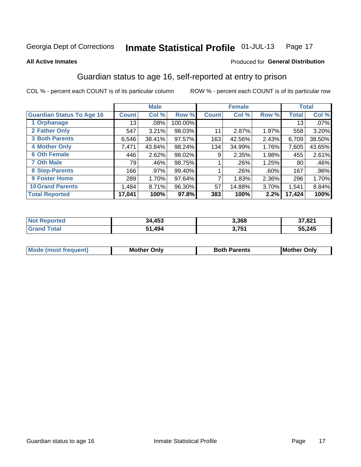#### Inmate Statistical Profile 01-JUL-13 Page 17

### **All Active Inmates**

### Produced for General Distribution

### Guardian status to age 16, self-reported at entry to prison

COL % - percent each COUNT is of its particular column

|                                  |              | <b>Male</b> |           |              | <b>Female</b> |       |        | <b>Total</b> |
|----------------------------------|--------------|-------------|-----------|--------------|---------------|-------|--------|--------------|
| <b>Guardian Status To Age 16</b> | <b>Count</b> | Col %       | Row %     | <b>Count</b> | Col %         | Row % | Total  | Col %        |
| 1 Orphanage                      | 13           | $.08\%$     | 100.00%   |              |               |       | 13     | $.07\%$      |
| 2 Father Only                    | 547          | 3.21%       | 98.03%    | 11           | 2.87%         | 1.97% | 558    | 3.20%        |
| <b>3 Both Parents</b>            | 6,546        | 38.41%      | $97.57\%$ | 163          | 42.56%        | 2.43% | 6,709  | 38.50%       |
| <b>4 Mother Only</b>             | 7,471        | 43.84%      | 98.24%    | 134          | 34.99%        | 1.76% | 7,605  | 43.65%       |
| <b>6 Oth Female</b>              | 446          | 2.62%       | 98.02%    | 9            | 2.35%         | 1.98% | 455    | 2.61%        |
| <b>7 Oth Male</b>                | 79           | .46%        | 98.75%    |              | .26%          | 1.25% | 80     | .46%         |
| 8 Step-Parents                   | 166          | .97%        | 99.40%    |              | $.26\%$       | .60%  | 167    | .96%         |
| 9 Foster Home                    | 289          | 1.70%       | 97.64%    | ⇁            | 1.83%         | 2.36% | 296    | 1.70%        |
| <b>10 Grand Parents</b>          | 1,484        | 8.71%       | 96.30%    | 57           | 14.88%        | 3.70% | 1,541  | 8.84%        |
| <b>Total Reported</b>            | 17,041       | 100%        | 97.8%     | 383          | 100%          | 2.2%  | 17,424 | 100%         |

| <b>orteg</b><br>NOT | 34,453 | 3,368 | 37,821 |
|---------------------|--------|-------|--------|
| .Gr                 | 1,494خ | 3,751 | 55,245 |

| Mode | วทIv<br>Mot | <b>Both Parents</b><br>Parents | lM.<br>Only<br>. |
|------|-------------|--------------------------------|------------------|
|      |             |                                |                  |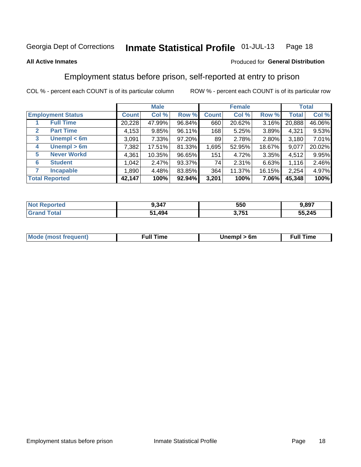#### Inmate Statistical Profile 01-JUL-13 Page 18

### **All Active Inmates**

### Produced for General Distribution

### Employment status before prison, self-reported at entry to prison

COL % - percent each COUNT is of its particular column

|                                  |         | <b>Male</b> |        |              | <b>Female</b> |        |        | <b>Total</b> |
|----------------------------------|---------|-------------|--------|--------------|---------------|--------|--------|--------------|
| <b>Employment Status</b>         | Count l | Col %       | Row %  | <b>Count</b> | Col %         | Row %  | Total  | Col %        |
| <b>Full Time</b>                 | 20,228  | 47.99%      | 96.84% | 660          | 20.62%        | 3.16%  | 20,888 | 46.06%       |
| <b>Part Time</b><br>$\mathbf{2}$ | 4,153   | 9.85%       | 96.11% | 168          | 5.25%         | 3.89%  | 4,321  | 9.53%        |
| Unempl $<$ 6m<br>3               | 3,091   | $7.33\%$    | 97.20% | 89           | 2.78%         | 2.80%  | 3,180  | 7.01%        |
| Unempl > 6m<br>4                 | 7,382   | 17.51%      | 81.33% | 1,695        | 52.95%        | 18.67% | 9,077  | 20.02%       |
| <b>Never Workd</b><br>5          | 4,361   | 10.35%      | 96.65% | 151          | 4.72%         | 3.35%  | 4,512  | 9.95%        |
| <b>Student</b><br>6              | 1,042   | 2.47%       | 93.37% | 74           | 2.31%         | 6.63%  | 1,116  | 2.46%        |
| <b>Incapable</b>                 | 1,890   | 4.48%       | 83.85% | 364          | 11.37%        | 16.15% | 2,254  | 4.97%        |
| <b>Total Reported</b>            | 42,147  | 100%        | 92.94% | 3,201        | 100%          | 7.06%  | 45,348 | 100%         |

| тес.<br>NG | 9.347 | 550   | .897   |
|------------|-------|-------|--------|
| $\sim$     | .494  | つ フロイ | 55,245 |

| <b>Moo.</b><br><b>THOST</b> | the contract of the contract of the contract of the contract of the contract of the contract of the contract of | 6m | ıme |
|-----------------------------|-----------------------------------------------------------------------------------------------------------------|----|-----|
|                             |                                                                                                                 |    |     |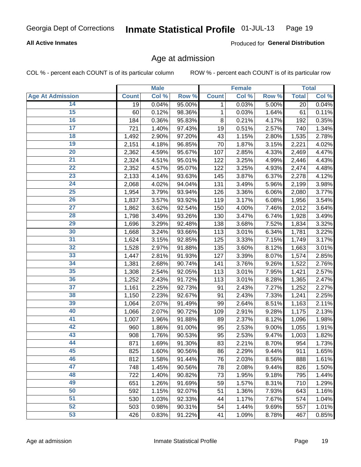### **All Active Inmates**

Produced for General Distribution

### Age at admission

COL % - percent each COUNT is of its particular column

|                         |              | <b>Male</b> |        |              | <b>Female</b> |       |              | <b>Total</b> |
|-------------------------|--------------|-------------|--------|--------------|---------------|-------|--------------|--------------|
| <b>Age At Admission</b> | <b>Count</b> | Col %       | Row %  | <b>Count</b> | Col %         | Row % | <b>Total</b> | Col %        |
| 14                      | 19           | 0.04%       | 95.00% | 1            | 0.03%         | 5.00% | 20           | 0.04%        |
| 15                      | 60           | 0.12%       | 98.36% | 1            | 0.03%         | 1.64% | 61           | 0.11%        |
| 16                      | 184          | 0.36%       | 95.83% | 8            | 0.21%         | 4.17% | 192          | 0.35%        |
| $\overline{17}$         | 721          | 1.40%       | 97.43% | 19           | 0.51%         | 2.57% | 740          | 1.34%        |
| $\overline{18}$         | 1,492        | 2.90%       | 97.20% | 43           | 1.15%         | 2.80% | 1,535        | 2.78%        |
| 19                      | 2,151        | 4.18%       | 96.85% | 70           | 1.87%         | 3.15% | 2,221        | 4.02%        |
| 20                      | 2,362        | 4.59%       | 95.67% | 107          | 2.85%         | 4.33% | 2,469        | 4.47%        |
| $\overline{21}$         | 2,324        | 4.51%       | 95.01% | 122          | 3.25%         | 4.99% | 2,446        | 4.43%        |
| $\overline{22}$         | 2,352        | 4.57%       | 95.07% | 122          | 3.25%         | 4.93% | 2,474        | 4.48%        |
| 23                      | 2,133        | 4.14%       | 93.63% | 145          | 3.87%         | 6.37% | 2,278        | 4.12%        |
| 24                      | 2,068        | 4.02%       | 94.04% | 131          | 3.49%         | 5.96% | 2,199        | 3.98%        |
| $\overline{25}$         | 1,954        | 3.79%       | 93.94% | 126          | 3.36%         | 6.06% | 2,080        | 3.77%        |
| $\overline{26}$         | 1,837        | 3.57%       | 93.92% | 119          | 3.17%         | 6.08% | 1,956        | 3.54%        |
| $\overline{27}$         | 1,862        | 3.62%       | 92.54% | 150          | 4.00%         | 7.46% | 2,012        | 3.64%        |
| 28                      | 1,798        | 3.49%       | 93.26% | 130          | 3.47%         | 6.74% | 1,928        | 3.49%        |
| 29                      | 1,696        | 3.29%       | 92.48% | 138          | 3.68%         | 7.52% | 1,834        | 3.32%        |
| 30                      | 1,668        | 3.24%       | 93.66% | 113          | 3.01%         | 6.34% | 1,781        | 3.22%        |
| 31                      | 1,624        | 3.15%       | 92.85% | 125          | 3.33%         | 7.15% | 1,749        | 3.17%        |
| 32                      | 1,528        | 2.97%       | 91.88% | 135          | 3.60%         | 8.12% | 1,663        | 3.01%        |
| 33                      | 1,447        | 2.81%       | 91.93% | 127          | 3.39%         | 8.07% | 1,574        | 2.85%        |
| 34                      | 1,381        | 2.68%       | 90.74% | 141          | 3.76%         | 9.26% | 1,522        | 2.76%        |
| 35                      | 1,308        | 2.54%       | 92.05% | 113          | 3.01%         | 7.95% | 1,421        | 2.57%        |
| 36                      | 1,252        | 2.43%       | 91.72% | 113          | 3.01%         | 8.28% | 1,365        | 2.47%        |
| $\overline{37}$         | 1,161        | 2.25%       | 92.73% | 91           | 2.43%         | 7.27% | 1,252        | 2.27%        |
| 38                      | 1,150        | 2.23%       | 92.67% | 91           | 2.43%         | 7.33% | 1,241        | 2.25%        |
| 39                      | 1,064        | 2.07%       | 91.49% | 99           | 2.64%         | 8.51% | 1,163        | 2.11%        |
| 40                      | 1,066        | 2.07%       | 90.72% | 109          | 2.91%         | 9.28% | 1,175        | 2.13%        |
| 41                      | 1,007        | 1.96%       | 91.88% | 89           | 2.37%         | 8.12% | 1,096        | 1.98%        |
| 42                      | 960          | 1.86%       | 91.00% | 95           | 2.53%         | 9.00% | 1,055        | 1.91%        |
| 43                      | 908          | 1.76%       | 90.53% | 95           | 2.53%         | 9.47% | 1,003        | 1.82%        |
| 44                      | 871          | 1.69%       | 91.30% | 83           | 2.21%         | 8.70% | 954          | 1.73%        |
| 45                      | 825          | 1.60%       | 90.56% | 86           | 2.29%         | 9.44% | 911          | 1.65%        |
| 46                      | 812          | 1.58%       | 91.44% | 76           | 2.03%         | 8.56% | 888          | 1.61%        |
| 47                      | 748          | 1.45%       | 90.56% | 78           | 2.08%         | 9.44% | 826          | 1.50%        |
| 48                      | 722          | 1.40%       | 90.82% | 73           | 1.95%         | 9.18% | 795          | 1.44%        |
| 49                      | 651          | 1.26%       | 91.69% | 59           | 1.57%         | 8.31% | 710          | 1.29%        |
| 50                      | 592          | 1.15%       | 92.07% | 51           | 1.36%         | 7.93% | 643          | 1.16%        |
| 51                      | 530          | 1.03%       | 92.33% | 44           | 1.17%         | 7.67% | 574          | 1.04%        |
| 52                      | 503          | 0.98%       | 90.31% | 54           | 1.44%         | 9.69% | 557          | 1.01%        |
| 53                      | 426          | 0.83%       | 91.22% | 41           | 1.09%         | 8.78% | 467          | 0.85%        |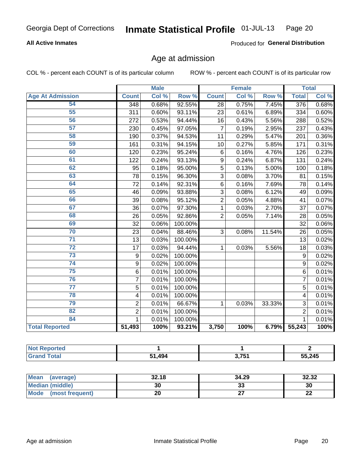### **All Active Inmates**

Produced for General Distribution

### Age at admission

COL % - percent each COUNT is of its particular column

|                         | <b>Male</b>             |       | <b>Female</b> |                |       | <b>Total</b> |                |       |
|-------------------------|-------------------------|-------|---------------|----------------|-------|--------------|----------------|-------|
| <b>Age At Admission</b> | <b>Count</b>            | Col % | Row %         | <b>Count</b>   | Col % | Row %        | <b>Total</b>   | Col % |
| 54                      | 348                     | 0.68% | 92.55%        | 28             | 0.75% | 7.45%        | 376            | 0.68% |
| 55                      | 311                     | 0.60% | 93.11%        | 23             | 0.61% | 6.89%        | 334            | 0.60% |
| 56                      | 272                     | 0.53% | 94.44%        | 16             | 0.43% | 5.56%        | 288            | 0.52% |
| 57                      | 230                     | 0.45% | 97.05%        | 7              | 0.19% | 2.95%        | 237            | 0.43% |
| 58                      | 190                     | 0.37% | 94.53%        | 11             | 0.29% | 5.47%        | 201            | 0.36% |
| 59                      | 161                     | 0.31% | 94.15%        | 10             | 0.27% | 5.85%        | 171            | 0.31% |
| 60                      | 120                     | 0.23% | 95.24%        | 6              | 0.16% | 4.76%        | 126            | 0.23% |
| 61                      | 122                     | 0.24% | 93.13%        | 9              | 0.24% | 6.87%        | 131            | 0.24% |
| 62                      | 95                      | 0.18% | 95.00%        | 5              | 0.13% | 5.00%        | 100            | 0.18% |
| 63                      | 78                      | 0.15% | 96.30%        | 3              | 0.08% | 3.70%        | 81             | 0.15% |
| 64                      | 72                      | 0.14% | 92.31%        | 6              | 0.16% | 7.69%        | 78             | 0.14% |
| 65                      | 46                      | 0.09% | 93.88%        | 3              | 0.08% | 6.12%        | 49             | 0.09% |
| 66                      | 39                      | 0.08% | 95.12%        | $\overline{2}$ | 0.05% | 4.88%        | 41             | 0.07% |
| 67                      | 36                      | 0.07% | 97.30%        | 1              | 0.03% | 2.70%        | 37             | 0.07% |
| 68                      | 26                      | 0.05% | 92.86%        | $\overline{2}$ | 0.05% | 7.14%        | 28             | 0.05% |
| 69                      | 32                      | 0.06% | 100.00%       |                |       |              | 32             | 0.06% |
| 70                      | 23                      | 0.04% | 88.46%        | 3              | 0.08% | 11.54%       | 26             | 0.05% |
| $\overline{71}$         | 13                      | 0.03% | 100.00%       |                |       |              | 13             | 0.02% |
| $\overline{72}$         | 17                      | 0.03% | 94.44%        | 1              | 0.03% | 5.56%        | 18             | 0.03% |
| $\overline{73}$         | 9                       | 0.02% | 100.00%       |                |       |              | 9              | 0.02% |
| 74                      | 9                       | 0.02% | 100.00%       |                |       |              | $\overline{9}$ | 0.02% |
| 75                      | 6                       | 0.01% | 100.00%       |                |       |              | 6              | 0.01% |
| 76                      | $\overline{7}$          | 0.01% | 100.00%       |                |       |              | 7              | 0.01% |
| $\overline{77}$         | 5                       | 0.01% | 100.00%       |                |       |              | 5              | 0.01% |
| 78                      | $\overline{\mathbf{4}}$ | 0.01% | 100.00%       |                |       |              | 4              | 0.01% |
| 79                      | $\overline{2}$          | 0.01% | 66.67%        | 1              | 0.03% | 33.33%       | $\overline{3}$ | 0.01% |
| 82                      | $\overline{2}$          | 0.01% | 100.00%       |                |       |              | $\overline{2}$ | 0.01% |
| 84                      | 1                       | 0.01% | 100.00%       |                |       |              | 1              | 0.01% |
| <b>Total Reported</b>   | 51,493                  | 100%  | 93.21%        | 3,750          | 100%  | 6.79%        | 55,243         | 100%  |

| ∖rte∩<br>'N ( |             |      |        |
|---------------|-------------|------|--------|
| <b>otal</b>   | .494<br>C 4 | 2754 | 55,245 |

| <b>Mean</b><br>(average) | 32.18 | 34.29   | 32.32     |
|--------------------------|-------|---------|-----------|
| Median (middle)          | 30    | ົ<br>აა | 30        |
| Mode<br>(most frequent)  | 20    |         | ne.<br>LL |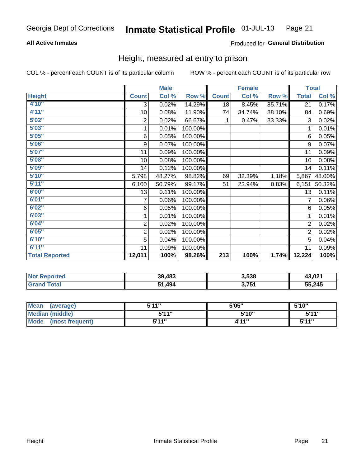### **All Active Inmates**

### Produced for General Distribution

### Height, measured at entry to prison

COL % - percent each COUNT is of its particular column

|                       |                         | <b>Male</b>               |         |                  | <b>Female</b> |        | <b>Total</b>   |        |
|-----------------------|-------------------------|---------------------------|---------|------------------|---------------|--------|----------------|--------|
| <b>Height</b>         | <b>Count</b>            | $\overline{\text{Col}}$ % | Row %   | <b>Count</b>     | Col %         | Row %  | <b>Total</b>   | Col %  |
| 4'10''                | 3                       | 0.02%                     | 14.29%  | 18               | 8.45%         | 85.71% | 21             | 0.17%  |
| 4'11''                | 10                      | 0.08%                     | 11.90%  | 74               | 34.74%        | 88.10% | 84             | 0.69%  |
| 5'02''                | 2                       | 0.02%                     | 66.67%  | 1                | 0.47%         | 33.33% | 3              | 0.02%  |
| 5'03"                 | 1                       | 0.01%                     | 100.00% |                  |               |        | 1              | 0.01%  |
| 5'05''                | 6                       | 0.05%                     | 100.00% |                  |               |        | 6              | 0.05%  |
| 5'06''                | 9                       | 0.07%                     | 100.00% |                  |               |        | 9              | 0.07%  |
| 5'07''                | 11                      | 0.09%                     | 100.00% |                  |               |        | 11             | 0.09%  |
| 5'08''                | 10                      | 0.08%                     | 100.00% |                  |               |        | 10             | 0.08%  |
| 5'09''                | 14                      | 0.12%                     | 100.00% |                  |               |        | 14             | 0.11%  |
| 5'10''                | 5,798                   | 48.27%                    | 98.82%  | 69               | 32.39%        | 1.18%  | 5,867          | 48.00% |
| 5'11''                | 6,100                   | 50.79%                    | 99.17%  | 51               | 23.94%        | 0.83%  | 6,151          | 50.32% |
| 6'00''                | 13                      | 0.11%                     | 100.00% |                  |               |        | 13             | 0.11%  |
| 6'01''                | 7                       | 0.06%                     | 100.00% |                  |               |        |                | 0.06%  |
| 6'02"                 | 6                       | 0.05%                     | 100.00% |                  |               |        | 6              | 0.05%  |
| 6'03''                | 1                       | 0.01%                     | 100.00% |                  |               |        | 1              | 0.01%  |
| 6'04''                | $\overline{\mathbf{c}}$ | 0.02%                     | 100.00% |                  |               |        | 2              | 0.02%  |
| 6'05''                | $\overline{2}$          | 0.02%                     | 100.00% |                  |               |        | $\overline{2}$ | 0.02%  |
| 6'10''                | 5                       | 0.04%                     | 100.00% |                  |               |        | 5              | 0.04%  |
| 6'11''                | 11                      | 0.09%                     | 100.00% |                  |               |        | 11             | 0.09%  |
| <b>Total Reported</b> | 12,011                  | 100%                      | 98.26%  | $\overline{213}$ | 100%          | 1.74%  | 12,224         | 100%   |

| <b>Not Reported</b> | 39,483   | 3,538     | 13,021 |
|---------------------|----------|-----------|--------|
| ™otar               | (1, 494) | ⊿ת כ<br>. | 55,245 |

| Mean<br>(average)              | 544"<br>. J. I. I | 5'05" | 5'10"        |
|--------------------------------|-------------------|-------|--------------|
| <b>Median (middle)</b>         | 5'11"             | 5'10" | 5'11"        |
| <b>Mode</b><br>(most frequent) | 544"              | 4'11" | <b>5'44"</b> |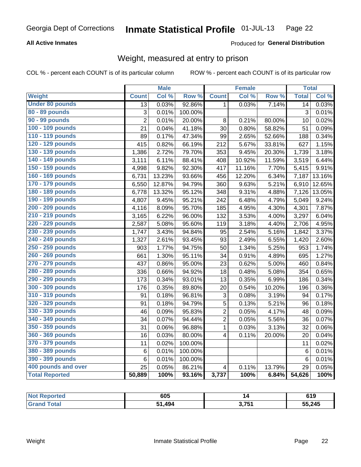### **All Active Inmates**

### Produced for General Distribution

### Weight, measured at entry to prison

COL % - percent each COUNT is of its particular column

|                        |                 | <b>Male</b> |                  |                          | <b>Female</b> |        | <b>Total</b>    |        |
|------------------------|-----------------|-------------|------------------|--------------------------|---------------|--------|-----------------|--------|
| <b>Weight</b>          | <b>Count</b>    | Col %       | Row <sup>%</sup> | <b>Count</b>             | Col %         | Row %  | <b>Total</b>    | Col %  |
| <b>Under 80 pounds</b> | $\overline{13}$ | 0.03%       | 92.86%           | $\mathbf{1}$             | 0.03%         | 7.14%  | 14              | 0.03%  |
| 80 - 89 pounds         | 3               | 0.01%       | 100.00%          |                          |               |        | 3               | 0.01%  |
| 90 - 99 pounds         | $\overline{2}$  | 0.01%       | 20.00%           | 8                        | 0.21%         | 80.00% | 10              | 0.02%  |
| 100 - 109 pounds       | 21              | 0.04%       | 41.18%           | 30                       | 0.80%         | 58.82% | 51              | 0.09%  |
| 110 - 119 pounds       | 89              | 0.17%       | 47.34%           | 99                       | 2.65%         | 52.66% | 188             | 0.34%  |
| 120 - 129 pounds       | 415             | 0.82%       | 66.19%           | 212                      | 5.67%         | 33.81% | 627             | 1.15%  |
| 130 - 139 pounds       | 1,386           | 2.72%       | 79.70%           | 353                      | 9.45%         | 20.30% | 1,739           | 3.18%  |
| 140 - 149 pounds       | 3,111           | 6.11%       | 88.41%           | 408                      | 10.92%        | 11.59% | 3,519           | 6.44%  |
| 150 - 159 pounds       | 4,998           | 9.82%       | 92.30%           | 417                      | 11.16%        | 7.70%  | 5,415           | 9.91%  |
| 160 - 169 pounds       | 6,731           | 13.23%      | 93.66%           | 456                      | 12.20%        | 6.34%  | 7,187           | 13.16% |
| 170 - 179 pounds       | 6,550           | 12.87%      | 94.79%           | 360                      | 9.63%         | 5.21%  | 6,910           | 12.65% |
| 180 - 189 pounds       | 6,778           | 13.32%      | 95.12%           | 348                      | 9.31%         | 4.88%  | 7,126           | 13.05% |
| 190 - 199 pounds       | 4,807           | 9.45%       | 95.21%           | 242                      | 6.48%         | 4.79%  | 5,049           | 9.24%  |
| 200 - 209 pounds       | 4,116           | 8.09%       | 95.70%           | 185                      | 4.95%         | 4.30%  | 4,301           | 7.87%  |
| 210 - 219 pounds       | 3,165           | 6.22%       | 96.00%           | 132                      | 3.53%         | 4.00%  | 3,297           | 6.04%  |
| 220 - 229 pounds       | 2,587           | 5.08%       | 95.60%           | 119                      | 3.18%         | 4.40%  | 2,706           | 4.95%  |
| 230 - 239 pounds       | 1,747           | 3.43%       | 94.84%           | 95                       | 2.54%         | 5.16%  | 1,842           | 3.37%  |
| 240 - 249 pounds       | 1,327           | 2.61%       | 93.45%           | 93                       | 2.49%         | 6.55%  | 1,420           | 2.60%  |
| 250 - 259 pounds       | 903             | 1.77%       | 94.75%           | 50                       | 1.34%         | 5.25%  | 953             | 1.74%  |
| 260 - 269 pounds       | 661             | 1.30%       | 95.11%           | 34                       | 0.91%         | 4.89%  | 695             | 1.27%  |
| 270 - 279 pounds       | 437             | 0.86%       | 95.00%           | 23                       | 0.62%         | 5.00%  | 460             | 0.84%  |
| 280 - 289 pounds       | 336             | 0.66%       | 94.92%           | 18                       | 0.48%         | 5.08%  | 354             | 0.65%  |
| 290 - 299 pounds       | 173             | 0.34%       | 93.01%           | 13                       | 0.35%         | 6.99%  | 186             | 0.34%  |
| 300 - 309 pounds       | 176             | 0.35%       | 89.80%           | 20                       | 0.54%         | 10.20% | 196             | 0.36%  |
| 310 - 319 pounds       | 91              | 0.18%       | 96.81%           | 3                        | 0.08%         | 3.19%  | 94              | 0.17%  |
| 320 - 329 pounds       | 91              | 0.18%       | 94.79%           | $\overline{5}$           | 0.13%         | 5.21%  | 96              | 0.18%  |
| 330 - 339 pounds       | 46              | 0.09%       | 95.83%           | $\overline{2}$           | 0.05%         | 4.17%  | 48              | 0.09%  |
| 340 - 349 pounds       | 34              | 0.07%       | 94.44%           | $\overline{2}$           | 0.05%         | 5.56%  | 36              | 0.07%  |
| 350 - 359 pounds       | 31              | 0.06%       | 96.88%           | 1                        | 0.03%         | 3.13%  | 32              | 0.06%  |
| 360 - 369 pounds       | 16              | 0.03%       | 80.00%           | $\overline{\mathbf{4}}$  | 0.11%         | 20.00% | 20              | 0.04%  |
| 370 - 379 pounds       | 11              | 0.02%       | 100.00%          |                          |               |        | 11              | 0.02%  |
| 380 - 389 pounds       | 6               | 0.01%       | 100.00%          |                          |               |        | $6\phantom{1}6$ | 0.01%  |
| 390 - 399 pounds       | 6               | 0.01%       | 100.00%          |                          |               |        | $\,6$           | 0.01%  |
| 400 pounds and over    | 25              | 0.05%       | 86.21%           | $\overline{\mathcal{A}}$ | 0.11%         | 13.79% | 29              | 0.05%  |
| <b>Total Reported</b>  | 50,889          | 100%        | 93.16%           | 3,737                    | 100%          | 6.84%  | 54,626          | 100%   |

| <b>rted</b><br>NO1 | 605   |               | 619    |
|--------------------|-------|---------------|--------|
|                    | .494. | ? 751<br>J.IJ | 55,245 |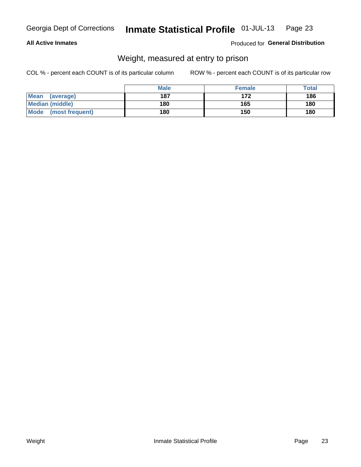### **All Active Inmates**

### Produced for General Distribution

### Weight, measured at entry to prison

COL % - percent each COUNT is of its particular column

|                          | <b>Male</b> | <b>Female</b> | Total |
|--------------------------|-------------|---------------|-------|
| <b>Mean</b><br>(average) | 187         | 172           | 186   |
| <b>Median (middle)</b>   | 180         | 165           | 180   |
| Mode<br>(most frequent)  | 180         | 150           | 180   |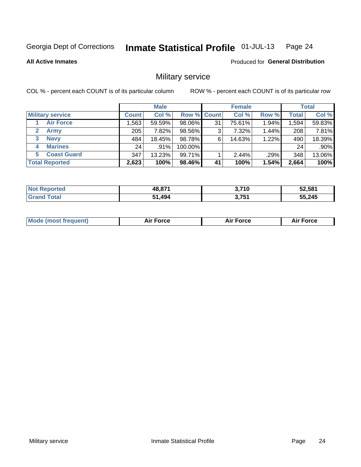#### Inmate Statistical Profile 01-JUL-13 Page 24

**All Active Inmates** 

**Produced for General Distribution** 

### Military service

COL % - percent each COUNT is of its particular column

|                               | <b>Male</b>  |        |                    |    | <b>Female</b> |       |              | <b>Total</b> |  |
|-------------------------------|--------------|--------|--------------------|----|---------------|-------|--------------|--------------|--|
| <b>Military service</b>       | <b>Count</b> | Col %  | <b>Row % Count</b> |    | Col %         | Row % | <b>Total</b> | Col %        |  |
| <b>Air Force</b>              | .563         | 59.59% | 98.06%             | 31 | 75.61%        | 1.94% | .594         | 59.83%       |  |
| $\mathbf{2}^-$<br><b>Army</b> | 205          | 7.82%  | 98.56%             | 3  | 7.32%         | 1.44% | 208          | 7.81%        |  |
| <b>Navy</b><br>3              | 484          | 18.45% | 98.78%             | 6  | 14.63%        | 1.22% | 490          | 18.39%       |  |
| <b>Marines</b><br>4           | 24           | .91%   | 100.00%            |    |               |       | 24           | $.90\%$      |  |
| <b>Coast Guard</b><br>5.      | 347          | 13.23% | 99.71%             |    | 2.44%         | .29%  | 348          | 13.06%       |  |
| <b>Total Reported</b>         | 2,623        | 100%   | 98.46%             | 41 | 100%          | 1.54% | 2,664        | 100%         |  |

| <b>Not Reported</b> | 48,871 | 3,710<br>v. | 52,581 |
|---------------------|--------|-------------|--------|
| $\mathsf{total}$    | ,494   | 3.751       | 55,245 |

| Mo | <br>ъc | . |
|----|--------|---|
|    |        |   |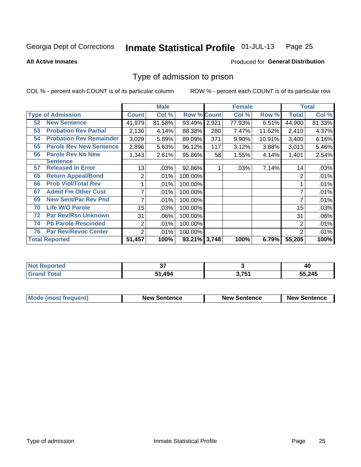#### Inmate Statistical Profile 01-JUL-13 Page 25

**All Active Inmates** 

### Produced for General Distribution

### Type of admission to prison

COL % - percent each COUNT is of its particular column

|    |                                | <b>Male</b>     |        |                    |       | <b>Female</b> |        | <b>Total</b>   |        |
|----|--------------------------------|-----------------|--------|--------------------|-------|---------------|--------|----------------|--------|
|    | <b>Type of Admission</b>       | <b>Count</b>    | Col %  | <b>Row % Count</b> |       | Col%          | Row %  | <b>Total</b>   | Col %  |
| 52 | <b>New Sentence</b>            | 41,979          | 81.58% | 93.49%             | 2,921 | 77.93%        | 6.51%  | 44,900         | 81.33% |
| 53 | <b>Probation Rev Partial</b>   | 2,130           | 4.14%  | 88.38%             | 280   | 7.47%         | 11.62% | 2,410          | 4.37%  |
| 54 | <b>Probation Rev Remainder</b> | 3,029           | 5.89%  | 89.09%             | 371   | 9.90%         | 10.91% | 3,400          | 6.16%  |
| 55 | <b>Parole Rev New Sentence</b> | 2,896           | 5.63%  | 96.12%             | 117   | 3.12%         | 3.88%  | 3,013          | 5.46%  |
| 56 | <b>Parole Rev No New</b>       | 1,343           | 2.61%  | 95.86%             | 58    | 1.55%         | 4.14%  | 1,401          | 2.54%  |
|    | <b>Sentence</b>                |                 |        |                    |       |               |        |                |        |
| 57 | <b>Released In Error</b>       | 13              | .03%   | 92.86%             |       | .03%          | 7.14%  | 14             | .03%   |
| 65 | <b>Return Appeal/Bond</b>      | 2               | .01%   | 100.00%            |       |               |        | 2              | .01%   |
| 66 | <b>Prob Viol/Total Rev</b>     |                 | .01%   | 100.00%            |       |               |        |                | .01%   |
| 67 | <b>Admit Fm Other Cust</b>     | 7               | .01%   | 100.00%            |       |               |        | ⇁              | .01%   |
| 69 | <b>New Sent/Par Rev Pnd</b>    | 7               | .01%   | 100.00%            |       |               |        |                | .01%   |
| 70 | <b>Life W/O Parole</b>         | 15 <sub>1</sub> | .03%   | 100.00%            |       |               |        | 15             | .03%   |
| 72 | <b>Par Rev/Rsn Unknown</b>     | 31              | .06%   | 100.00%            |       |               |        | 31             | .06%   |
| 74 | <b>Pb Parole Rescinded</b>     | $\overline{c}$  | .01%   | 100.00%            |       |               |        | $\overline{2}$ | .01%   |
| 76 | <b>Par Rev/Revoc Center</b>    | 2               | .01%   | 100.00%            |       |               |        | $\overline{2}$ | .01%   |
|    | <b>Total Reported</b>          | 51,457          | 100%   | 93.21% 3,748       |       | 100%          | 6.79%  | 55,205         | 100%   |

| morted and<br><b>NOT</b> | ~-           |      | 40     |
|--------------------------|--------------|------|--------|
| <b>Cotal</b>             | 1.494<br>54. | 2751 | 55,245 |

| <b>Mode (most frequent)</b> | <b>New Sentence</b> | <b>New Sentence</b> | <b>New Sentence</b> |
|-----------------------------|---------------------|---------------------|---------------------|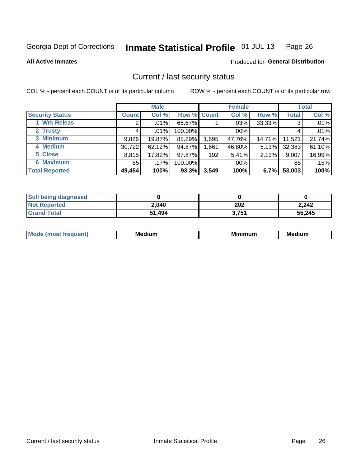#### Inmate Statistical Profile 01-JUL-13 Page 26

**All Active Inmates** 

### **Produced for General Distribution**

### Current / last security status

COL % - percent each COUNT is of its particular column

|                        |                | <b>Male</b> |             |       | <b>Female</b> |        |              | <b>Total</b> |
|------------------------|----------------|-------------|-------------|-------|---------------|--------|--------------|--------------|
| <b>Security Status</b> | <b>Count</b>   | Col %       | Row % Count |       | Col %         | Row %  | <b>Total</b> | Col %        |
| 1 Wrk Releas           | $\overline{2}$ | $.01\%$     | 66.67%      |       | $.03\%$       | 33.33% | 3            | .01%         |
| 2 Trusty               |                | $.01\%$     | 100.00%     |       | $.00\%$       |        |              | .01%         |
| 3 Minimum              | 9,826          | 19.87%      | 85.29%      | ,695  | 47.76%        | 14.71% | 11,521       | 21.74%       |
| 4 Medium               | 30,722         | 62.12%      | 94.87%      | ,661  | 46.80%        | 5.13%  | 32,383       | 61.10%       |
| 5 Close                | 8,815          | 17.82%      | 97.87%      | 192   | 5.41%         | 2.13%  | 9,007        | 16.99%       |
| <b>6 Maximum</b>       | 85             | $.17\%$     | 100.00%     |       | $.00\%$       |        | 85           | .16%         |
| <b>Total Reported</b>  | 49,454         | 100%        | 93.3%       | 3,549 | 100%          | 6.7%   | 53,003       | 100%         |

| <b>Still being diagnosed</b> |        |       |        |
|------------------------------|--------|-------|--------|
| <b>Not Reported</b>          | 2,040  | 202   | 2,242  |
| <b>Grand Total</b>           | 51,494 | 3,751 | 55,245 |

| M | NЛ<br><br>dilim<br>_____ | ---<br>-- | . .<br>Medium<br>Me |
|---|--------------------------|-----------|---------------------|
|   |                          |           |                     |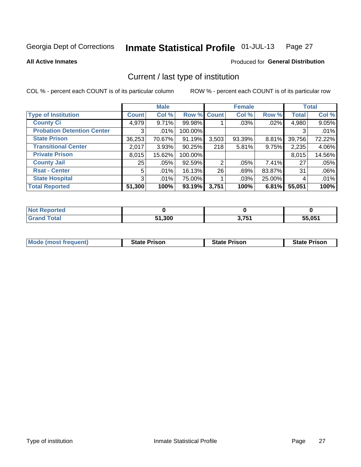#### Inmate Statistical Profile 01-JUL-13 Page 27

**All Active Inmates** 

### Produced for General Distribution

### Current / last type of institution

COL % - percent each COUNT is of its particular column

|                                   |                | <b>Male</b> |             |       | <b>Female</b> |        |              | <b>Total</b> |
|-----------------------------------|----------------|-------------|-------------|-------|---------------|--------|--------------|--------------|
| <b>Type of Institution</b>        | <b>Count</b>   | Col %       | Row % Count |       | Col %         | Row %  | <b>Total</b> | Col %        |
| <b>County Ci</b>                  | 4,979          | 9.71%       | 99.98%      |       | .03%          | .02%   | 4,980        | 9.05%        |
| <b>Probation Detention Center</b> | 3 <sub>1</sub> | $.01\%$     | 100.00%     |       |               |        | 3            | .01%         |
| <b>State Prison</b>               | 36,253         | 70.67%      | 91.19%      | 3,503 | 93.39%        | 8.81%  | 39,756       | 72.22%       |
| <b>Transitional Center</b>        | 2,017          | 3.93%       | $90.25\%$   | 218   | 5.81%         | 9.75%  | 2,235        | 4.06%        |
| <b>Private Prison</b>             | 8,015          | 15.62%      | 100.00%     |       |               |        | 8,015        | 14.56%       |
| <b>County Jail</b>                | 25             | .05%        | 92.59%      | 2     | $.05\%$       | 7.41%  | 27           | .05%         |
| <b>Rsat - Center</b>              | 5              | .01%        | 16.13%      | 26    | .69%          | 83.87% | 31           | .06%         |
| <b>State Hospital</b>             | 3 <sup>1</sup> | $.01\%$     | 75.00%      |       | .03%          | 25.00% | 4            | .01%         |
| <b>Total Reported</b>             | 51,300         | 100%        | 93.19%      | 3,751 | 100%          | 6.81%  | 55,051       | 100%         |

| dorted<br><b>NOT</b> |        |              |        |
|----------------------|--------|--------------|--------|
| <b>cotal</b>         | 51,300 | 2751<br>וטוט | 55,051 |

| Mode (most frequent) | <b>State Prison</b> | <b>State Prison</b> | <b>State Prison</b> |
|----------------------|---------------------|---------------------|---------------------|
|                      |                     |                     |                     |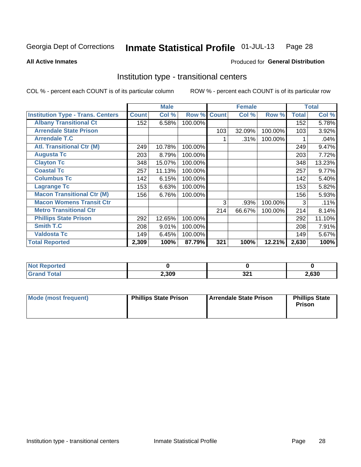#### Inmate Statistical Profile 01-JUL-13 Page 28

**All Active Inmates** 

### Produced for General Distribution

### Institution type - transitional centers

COL % - percent each COUNT is of its particular column

|                                          |              | <b>Male</b> |         |              | <b>Female</b> |         |              | <b>Total</b> |
|------------------------------------------|--------------|-------------|---------|--------------|---------------|---------|--------------|--------------|
| <b>Institution Type - Trans. Centers</b> | <b>Count</b> | Col %       | Row %   | <b>Count</b> | Col %         | Row %   | <b>Total</b> | Col %        |
| <b>Albany Transitional Ct</b>            | 152          | 6.58%       | 100.00% |              |               |         | 152          | 5.78%        |
| <b>Arrendale State Prison</b>            |              |             |         | 103          | 32.09%        | 100.00% | 103          | 3.92%        |
| <b>Arrendale T.C</b>                     |              |             |         |              | .31%          | 100.00% |              | .04%         |
| <b>Atl. Transitional Ctr (M)</b>         | 249          | 10.78%      | 100.00% |              |               |         | 249          | 9.47%        |
| <b>Augusta Tc</b>                        | 203          | 8.79%       | 100.00% |              |               |         | 203          | 7.72%        |
| <b>Clayton Tc</b>                        | 348          | 15.07%      | 100.00% |              |               |         | 348          | 13.23%       |
| <b>Coastal Tc</b>                        | 257          | 11.13%      | 100.00% |              |               |         | 257          | 9.77%        |
| <b>Columbus Tc</b>                       | 142          | 6.15%       | 100.00% |              |               |         | 142          | 5.40%        |
| <b>Lagrange Tc</b>                       | 153          | 6.63%       | 100.00% |              |               |         | 153          | 5.82%        |
| <b>Macon Transitional Ctr (M)</b>        | 156          | 6.76%       | 100.00% |              |               |         | 156          | 5.93%        |
| <b>Macon Womens Transit Ctr</b>          |              |             |         | 3            | .93%          | 100.00% | 3            | .11%         |
| <b>Metro Transitional Ctr</b>            |              |             |         | 214          | 66.67%        | 100.00% | 214          | 8.14%        |
| <b>Phillips State Prison</b>             | 292          | 12.65%      | 100.00% |              |               |         | 292          | 11.10%       |
| Smith T.C                                | 208          | 9.01%       | 100.00% |              |               |         | 208          | 7.91%        |
| <b>Valdosta Tc</b>                       | 149          | 6.45%       | 100.00% |              |               |         | 149          | 5.67%        |
| <b>Total Reported</b>                    | 2,309        | 100%        | 87.79%  | 321          | 100%          | 12.21%  | 2,630        | 100%         |

| <b>eported</b><br>. |       |                   |      |
|---------------------|-------|-------------------|------|
|                     | 2,309 | <b>00.</b><br>JZI | ,630 |

| Mode (most frequent) | <b>Phillips State Prison</b> | Arrendale State Prison | <b>Phillips State</b><br><b>Prison</b> |
|----------------------|------------------------------|------------------------|----------------------------------------|
|----------------------|------------------------------|------------------------|----------------------------------------|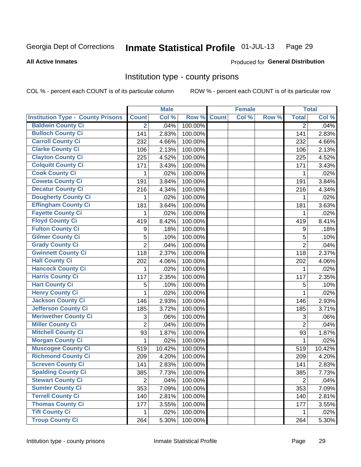#### Inmate Statistical Profile 01-JUL-13 Page 29

**All Active Inmates** 

Produced for General Distribution

### Institution type - county prisons

COL % - percent each COUNT is of its particular column

|                                          |                | <b>Male</b> |         |              | <b>Female</b> |       |                | <b>Total</b> |
|------------------------------------------|----------------|-------------|---------|--------------|---------------|-------|----------------|--------------|
| <b>Institution Type - County Prisons</b> | <b>Count</b>   | Col %       | Row %   | <b>Count</b> | Col %         | Row % | <b>Total</b>   | Col %        |
| <b>Baldwin County Ci</b>                 | $\overline{2}$ | .04%        | 100.00% |              |               |       | $\overline{2}$ | .04%         |
| <b>Bulloch County Ci</b>                 | 141            | 2.83%       | 100.00% |              |               |       | 141            | 2.83%        |
| <b>Carroll County Ci</b>                 | 232            | 4.66%       | 100.00% |              |               |       | 232            | 4.66%        |
| <b>Clarke County Ci</b>                  | 106            | 2.13%       | 100.00% |              |               |       | 106            | 2.13%        |
| <b>Clayton County Ci</b>                 | 225            | 4.52%       | 100.00% |              |               |       | 225            | 4.52%        |
| <b>Colquitt County Ci</b>                | 171            | 3.43%       | 100.00% |              |               |       | 171            | 3.43%        |
| <b>Cook County Ci</b>                    | 1              | .02%        | 100.00% |              |               |       | 1              | .02%         |
| <b>Coweta County Ci</b>                  | 191            | 3.84%       | 100.00% |              |               |       | 191            | 3.84%        |
| <b>Decatur County Ci</b>                 | 216            | 4.34%       | 100.00% |              |               |       | 216            | 4.34%        |
| <b>Dougherty County Ci</b>               | 1              | .02%        | 100.00% |              |               |       | 1              | .02%         |
| <b>Effingham County Ci</b>               | 181            | 3.64%       | 100.00% |              |               |       | 181            | 3.63%        |
| <b>Fayette County Ci</b>                 | 1              | .02%        | 100.00% |              |               |       | 1              | .02%         |
| <b>Floyd County Ci</b>                   | 419            | 8.42%       | 100.00% |              |               |       | 419            | 8.41%        |
| <b>Fulton County Ci</b>                  | 9              | .18%        | 100.00% |              |               |       | 9              | .18%         |
| <b>Gilmer County Ci</b>                  | 5              | .10%        | 100.00% |              |               |       | 5              | .10%         |
| <b>Grady County Ci</b>                   | $\overline{2}$ | .04%        | 100.00% |              |               |       | $\overline{2}$ | .04%         |
| <b>Gwinnett County Ci</b>                | 118            | 2.37%       | 100.00% |              |               |       | 118            | 2.37%        |
| <b>Hall County Ci</b>                    | 202            | 4.06%       | 100.00% |              |               |       | 202            | 4.06%        |
| <b>Hancock County Ci</b>                 | 1              | .02%        | 100.00% |              |               |       | 1              | .02%         |
| <b>Harris County Ci</b>                  | 117            | 2.35%       | 100.00% |              |               |       | 117            | 2.35%        |
| <b>Hart County Ci</b>                    | 5              | .10%        | 100.00% |              |               |       | 5              | .10%         |
| <b>Henry County Ci</b>                   | 1              | .02%        | 100.00% |              |               |       | 1              | .02%         |
| <b>Jackson County Ci</b>                 | 146            | 2.93%       | 100.00% |              |               |       | 146            | 2.93%        |
| <b>Jefferson County Ci</b>               | 185            | 3.72%       | 100.00% |              |               |       | 185            | 3.71%        |
| <b>Meriwether County Ci</b>              | 3              | .06%        | 100.00% |              |               |       | 3              | .06%         |
| <b>Miller County Ci</b>                  | $\overline{2}$ | .04%        | 100.00% |              |               |       | $\overline{2}$ | .04%         |
| <b>Mitchell County Ci</b>                | 93             | 1.87%       | 100.00% |              |               |       | 93             | 1.87%        |
| <b>Morgan County Ci</b>                  | $\mathbf{1}$   | .02%        | 100.00% |              |               |       | $\mathbf 1$    | .02%         |
| <b>Muscogee County Ci</b>                | 519            | 10.42%      | 100.00% |              |               |       | 519            | 10.42%       |
| <b>Richmond County Ci</b>                | 209            | 4.20%       | 100.00% |              |               |       | 209            | 4.20%        |
| <b>Screven County Ci</b>                 | 141            | 2.83%       | 100.00% |              |               |       | 141            | 2.83%        |
| <b>Spalding County Ci</b>                | 385            | 7.73%       | 100.00% |              |               |       | 385            | 7.73%        |
| <b>Stewart County Ci</b>                 | $\overline{2}$ | .04%        | 100.00% |              |               |       | $\overline{2}$ | .04%         |
| <b>Sumter County Ci</b>                  | 353            | 7.09%       | 100.00% |              |               |       | 353            | 7.09%        |
| <b>Terrell County Ci</b>                 | 140            | 2.81%       | 100.00% |              |               |       | 140            | 2.81%        |
| <b>Thomas County Ci</b>                  | 177            | 3.55%       | 100.00% |              |               |       | 177            | 3.55%        |
| <b>Tift County Ci</b>                    | 1.             | .02%        | 100.00% |              |               |       | 1              | .02%         |
| <b>Troup County Ci</b>                   | 264            | 5.30%       | 100.00% |              |               |       | 264            | 5.30%        |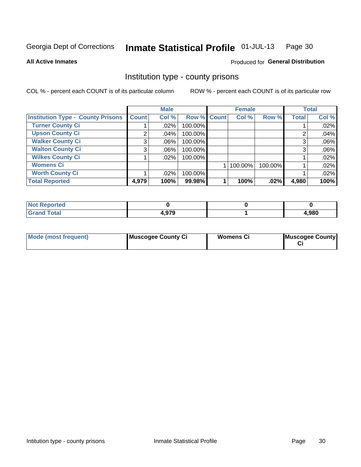#### Inmate Statistical Profile 01-JUL-13 Page 30

### **All Active Inmates**

### Produced for General Distribution

### Institution type - county prisons

COL % - percent each COUNT is of its particular column

|                                          |              | <b>Male</b> |             | <b>Female</b> |         |              | <b>Total</b> |
|------------------------------------------|--------------|-------------|-------------|---------------|---------|--------------|--------------|
| <b>Institution Type - County Prisons</b> | <b>Count</b> | Col %       | Row % Count | Col %         | Row %   | <b>Total</b> | Col %        |
| <b>Turner County Ci</b>                  |              | .02%        | 100.00%     |               |         |              | .02%         |
| <b>Upson County Ci</b>                   | 2            | .04%        | 100.00%     |               |         | 2            | .04%         |
| <b>Walker County Ci</b>                  | 3            | $.06\%$     | 100.00%     |               |         | 3            | .06%         |
| <b>Walton County Ci</b>                  | 3            | .06%        | 100.00%     |               |         | 3            | .06%         |
| <b>Wilkes County Ci</b>                  |              | $.02\%$     | 100.00%     |               |         |              | .02%         |
| <b>Womens Ci</b>                         |              |             |             | 100.00%       | 100.00% |              | .02%         |
| <b>Worth County Ci</b>                   |              | .02%        | 100.00%     |               |         |              | .02%         |
| <b>Total Reported</b>                    | 4,979        | 100%        | 99.98%      | 100%          | $.02\%$ | 4,980        | 100%         |

| enorted |              |      |
|---------|--------------|------|
| Total   | 070<br>4.979 | ,980 |

| <b>Mode (most frequent)</b> | Muscogee County Ci | <b>Womens Ci</b> | Muscogee County |
|-----------------------------|--------------------|------------------|-----------------|
|-----------------------------|--------------------|------------------|-----------------|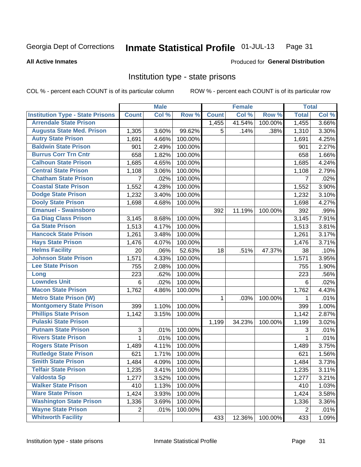#### Inmate Statistical Profile 01-JUL-13 Page 31

**All Active Inmates** 

### Produced for General Distribution

### Institution type - state prisons

COL % - percent each COUNT is of its particular column

|                                         |                 | <b>Male</b> |         |              | <b>Female</b> |         | <b>Total</b>   |       |
|-----------------------------------------|-----------------|-------------|---------|--------------|---------------|---------|----------------|-------|
| <b>Institution Type - State Prisons</b> | <b>Count</b>    | Col %       | Row %   | <b>Count</b> | Col %         | Row %   | <b>Total</b>   | Col % |
| <b>Arrendale State Prison</b>           |                 |             |         | 1,455        | 41.54%        | 100.00% | 1,455          | 3.66% |
| <b>Augusta State Med. Prison</b>        | 1,305           | 3.60%       | 99.62%  | 5            | .14%          | .38%    | 1,310          | 3.30% |
| <b>Autry State Prison</b>               | 1,691           | 4.66%       | 100.00% |              |               |         | 1,691          | 4.25% |
| <b>Baldwin State Prison</b>             | 901             | 2.49%       | 100.00% |              |               |         | 901            | 2.27% |
| <b>Burrus Corr Trn Cntr</b>             | 658             | 1.82%       | 100.00% |              |               |         | 658            | 1.66% |
| <b>Calhoun State Prison</b>             | 1,685           | 4.65%       | 100.00% |              |               |         | 1,685          | 4.24% |
| <b>Central State Prison</b>             | 1,108           | 3.06%       | 100.00% |              |               |         | 1,108          | 2.79% |
| <b>Chatham State Prison</b>             | $\overline{7}$  | .02%        | 100.00% |              |               |         | $\overline{7}$ | .02%  |
| <b>Coastal State Prison</b>             | 1,552           | 4.28%       | 100.00% |              |               |         | 1,552          | 3.90% |
| <b>Dodge State Prison</b>               | 1,232           | 3.40%       | 100.00% |              |               |         | 1,232          | 3.10% |
| <b>Dooly State Prison</b>               | 1,698           | 4.68%       | 100.00% |              |               |         | 1,698          | 4.27% |
| <b>Emanuel - Swainsboro</b>             |                 |             |         | 392          | 11.19%        | 100.00% | 392            | .99%  |
| <b>Ga Diag Class Prison</b>             | 3,145           | 8.68%       | 100.00% |              |               |         | 3,145          | 7.91% |
| <b>Ga State Prison</b>                  | 1,513           | 4.17%       | 100.00% |              |               |         | 1,513          | 3.81% |
| <b>Hancock State Prison</b>             | 1,261           | 3.48%       | 100.00% |              |               |         | 1,261          | 3.17% |
| <b>Hays State Prison</b>                | 1,476           | 4.07%       | 100.00% |              |               |         | 1,476          | 3.71% |
| <b>Helms Facility</b>                   | 20              | $.06\%$     | 52.63%  | 18           | .51%          | 47.37%  | 38             | .10%  |
| <b>Johnson State Prison</b>             | 1,571           | 4.33%       | 100.00% |              |               |         | 1,571          | 3.95% |
| <b>Lee State Prison</b>                 | 755             | 2.08%       | 100.00% |              |               |         | 755            | 1.90% |
| Long                                    | 223             | .62%        | 100.00% |              |               |         | 223            | .56%  |
| <b>Lowndes Unit</b>                     | $6\phantom{1}6$ | .02%        | 100.00% |              |               |         | 6              | .02%  |
| <b>Macon State Prison</b>               | 1,762           | 4.86%       | 100.00% |              |               |         | 1,762          | 4.43% |
| <b>Metro State Prison (W)</b>           |                 |             |         | $\mathbf{1}$ | .03%          | 100.00% | 1              | .01%  |
| <b>Montgomery State Prison</b>          | 399             | 1.10%       | 100.00% |              |               |         | 399            | 1.00% |
| <b>Phillips State Prison</b>            | 1,142           | 3.15%       | 100.00% |              |               |         | 1,142          | 2.87% |
| <b>Pulaski State Prison</b>             |                 |             |         | 1,199        | 34.23%        | 100.00% | 1,199          | 3.02% |
| <b>Putnam State Prison</b>              | 3               | .01%        | 100.00% |              |               |         | 3              | .01%  |
| <b>Rivers State Prison</b>              | 1               | .01%        | 100.00% |              |               |         | 1              | .01%  |
| <b>Rogers State Prison</b>              | 1,489           | 4.11%       | 100.00% |              |               |         | 1,489          | 3.75% |
| <b>Rutledge State Prison</b>            | 621             | 1.71%       | 100.00% |              |               |         | 621            | 1.56% |
| <b>Smith State Prison</b>               | 1,484           | 4.09%       | 100.00% |              |               |         | 1,484          | 3.73% |
| <b>Telfair State Prison</b>             | 1,235           | 3.41%       | 100.00% |              |               |         | 1,235          | 3.11% |
| <b>Valdosta Sp</b>                      | 1,277           | 3.52%       | 100.00% |              |               |         | 1,277          | 3.21% |
| <b>Walker State Prison</b>              | 410             | 1.13%       | 100.00% |              |               |         | 410            | 1.03% |
| <b>Ware State Prison</b>                | 1,424           | 3.93%       | 100.00% |              |               |         | 1,424          | 3.58% |
| <b>Washington State Prison</b>          | 1,336           | 3.69%       | 100.00% |              |               |         | 1,336          | 3.36% |
| <b>Wayne State Prison</b>               | 2               | .01%        | 100.00% |              |               |         | $\overline{2}$ | .01%  |
| <b>Whitworth Facility</b>               |                 |             |         | 433          | 12.36%        | 100.00% | 433            | 1.09% |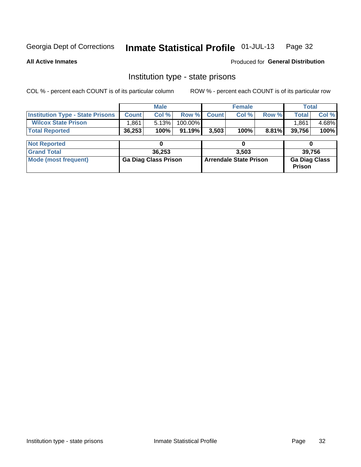#### Inmate Statistical Profile 01-JUL-13 Page 32

**All Active Inmates** 

**Produced for General Distribution** 

### Institution type - state prisons

COL % - percent each COUNT is of its particular column

|                                         |              | <b>Male</b>                 |           |              | <b>Female</b>                 |          | <b>Total</b>                          |       |
|-----------------------------------------|--------------|-----------------------------|-----------|--------------|-------------------------------|----------|---------------------------------------|-------|
| <b>Institution Type - State Prisons</b> | <b>Count</b> | Col %                       | Row %     | <b>Count</b> | Col %                         | Row %    | <b>Total</b>                          | Col % |
| <b>Wilcox State Prison</b>              | .861         | 5.13%                       | 100.00%   |              |                               |          | 1.861                                 | 4.68% |
| <b>Total Reported</b>                   | 36,253       | 100%                        | $91.19\%$ | 3,503        | 100%                          | $8.81\%$ | 39,756                                | 100%  |
| <b>Not Reported</b>                     |              | 0                           |           |              | 0                             |          |                                       |       |
| <b>Grand Total</b>                      |              | 36,253                      |           |              | 3.503                         |          | 39,756                                |       |
| <b>Mode (most frequent)</b>             |              | <b>Ga Diag Class Prison</b> |           |              | <b>Arrendale State Prison</b> |          | <b>Ga Diag Class</b><br><b>Prison</b> |       |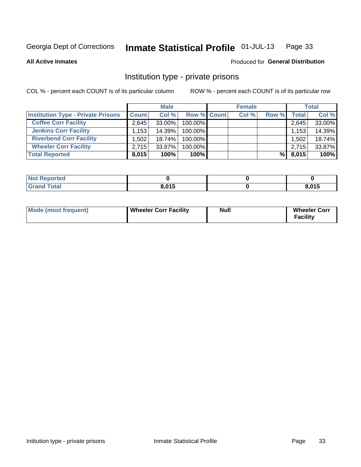#### Inmate Statistical Profile 01-JUL-13 Page 33

Produced for General Distribution

### **All Active Inmates**

# Institution type - private prisons

COL % - percent each COUNT is of its particular column

|                                           | <b>Male</b>  |        | <b>Female</b>      |  |       | <b>Total</b> |       |        |
|-------------------------------------------|--------------|--------|--------------------|--|-------|--------------|-------|--------|
| <b>Institution Type - Private Prisons</b> | <b>Count</b> | Col %  | <b>Row % Count</b> |  | Col % | Row %        | Total | Col %  |
| <b>Coffee Corr Facility</b>               | 2,645        | 33.00% | 100.00%            |  |       |              | 2,645 | 33.00% |
| <b>Jenkins Corr Facility</b>              | 1,153        | 14.39% | 100.00%            |  |       |              | 1,153 | 14.39% |
| <b>Riverbend Corr Facility</b>            | ا 502. ا     | 18.74% | 100.00%            |  |       |              | 1,502 | 18.74% |
| <b>Wheeler Corr Facility</b>              | 2,715        | 33.87% | 100.00%            |  |       |              | 2,715 | 33.87% |
| <b>Total Reported</b>                     | 8,015        | 100%   | $100\%$            |  |       | %            | 8,015 | 100%   |

| 'Not<br><b>Reported</b> |       |       |
|-------------------------|-------|-------|
| <b>Total</b>            | 8,015 | 8,015 |

| <b>Mode (most frequent)</b> | <b>Wheeler Corr Facility</b> | Null | <b>Wheeler Corr</b><br><b>Facility</b> |
|-----------------------------|------------------------------|------|----------------------------------------|
|-----------------------------|------------------------------|------|----------------------------------------|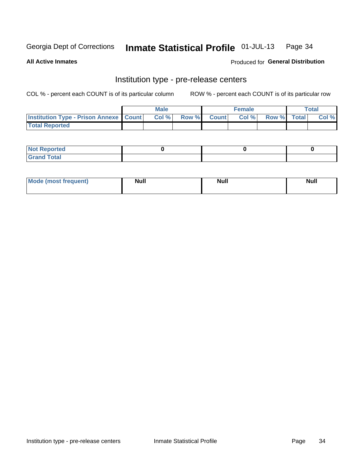#### Inmate Statistical Profile 01-JUL-13 Page 34

**All Active Inmates** 

Produced for General Distribution

## Institution type - pre-release centers

COL % - percent each COUNT is of its particular column

|                                                   | <b>Male</b> |       |  |             | <b>Female</b> |             | <b>Total</b> |       |
|---------------------------------------------------|-------------|-------|--|-------------|---------------|-------------|--------------|-------|
| <b>Institution Type - Prison Annexe   Count  </b> |             | Col % |  | Row % Count | Col %         | Row % Total |              | Col % |
| <b>Total Reported</b>                             |             |       |  |             |               |             |              |       |

| <b>Reported</b><br>I NOT |  |  |
|--------------------------|--|--|
| <b>Total</b><br>$C$ ren  |  |  |

| Mor<br><b>ruent</b> )<br>rea<br>nos | <b>Null</b> | <b>Moll</b><br>_____ | . .<br><b>Null</b> |
|-------------------------------------|-------------|----------------------|--------------------|
|                                     |             |                      |                    |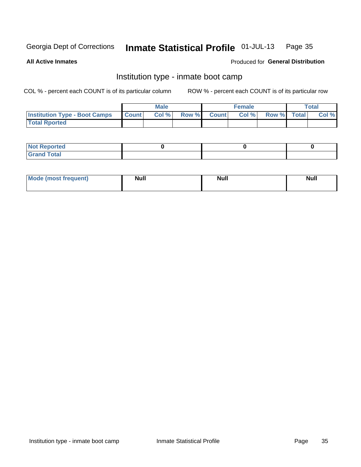#### Inmate Statistical Profile 01-JUL-13 Page 35

**All Active Inmates** 

### Produced for General Distribution

### Institution type - inmate boot camp

COL % - percent each COUNT is of its particular column

|                                      |              | <b>Male</b> |       |              | <b>Female</b> |             | <b>Total</b> |
|--------------------------------------|--------------|-------------|-------|--------------|---------------|-------------|--------------|
| <b>Institution Type - Boot Camps</b> | <b>Count</b> | Col %       | Row % | <b>Count</b> | Col %         | Row % Total | Col %        |
| <b>Total Rported</b>                 |              |             |       |              |               |             |              |

| <b>Not Reported</b> |  |  |
|---------------------|--|--|
| <b>Total</b><br>Cro |  |  |

| <b>I Mode (most frequent)</b> | <b>Null</b> | <b>Null</b> | <b>Null</b> |
|-------------------------------|-------------|-------------|-------------|
|                               |             |             |             |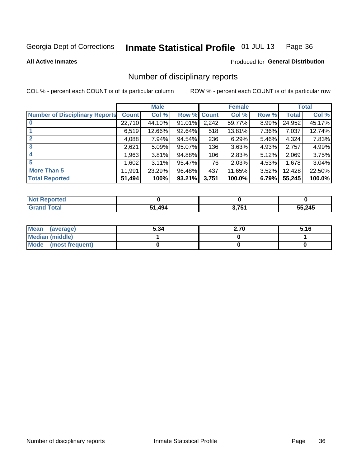#### Inmate Statistical Profile 01-JUL-13 Page 36

**All Active Inmates** 

### Produced for General Distribution

### Number of disciplinary reports

COL % - percent each COUNT is of its particular column

|                                       |              | <b>Male</b> |             |       | <b>Female</b> |          |              | <b>Total</b> |
|---------------------------------------|--------------|-------------|-------------|-------|---------------|----------|--------------|--------------|
| <b>Number of Disciplinary Reports</b> | <b>Count</b> | Col %       | Row % Count |       | Col %         | Row %    | <b>Total</b> | Col %        |
|                                       | 22,710       | 44.10%      | 91.01%      | 2,242 | 59.77%        | $8.99\%$ | 24,952       | 45.17%       |
|                                       | 6,519        | 12.66%      | 92.64%      | 518   | 13.81%        | 7.36%    | 7,037        | 12.74%       |
|                                       | 4,088        | 7.94%       | 94.54%      | 236   | 6.29%         | $5.46\%$ | 4,324        | 7.83%        |
| 3                                     | 2,621        | 5.09%       | 95.07%      | 136   | 3.63%         | 4.93%    | 2,757        | 4.99%        |
|                                       | .963         | 3.81%       | 94.88%      | 106   | 2.83%         | 5.12%    | 2,069        | 3.75%        |
| 5                                     | 602, ا       | 3.11%       | 95.47%      | 76    | 2.03%         | 4.53%    | 1,678        | 3.04%        |
| <b>More Than 5</b>                    | 11,991       | 23.29%      | 96.48%      | 437   | 11.65%        | $3.52\%$ | 12,428       | 22.50%       |
| <b>Total Reported</b>                 | 51,494       | 100%        | 93.21%      | 3,751 | 100.0%        | 6.79%    | 55,245       | 100.0%       |

| orted<br>NO. |                              |              |        |
|--------------|------------------------------|--------------|--------|
| Total        | $\Lambda$ 0 $\Lambda$<br>- 4 | ? 751<br>1 J | 55,245 |

| Mean (average)       | 5.34 | 2.70 | 5.16 |
|----------------------|------|------|------|
| Median (middle)      |      |      |      |
| Mode (most frequent) |      |      |      |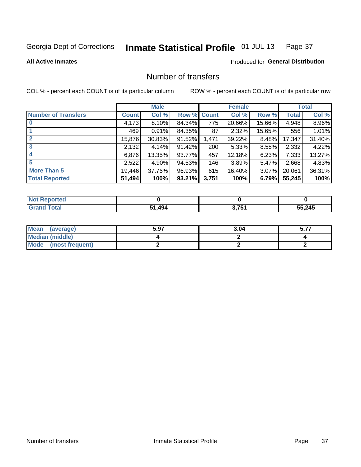#### Inmate Statistical Profile 01-JUL-13 Page 37

**All Active Inmates** 

### **Produced for General Distribution**

## Number of transfers

COL % - percent each COUNT is of its particular column

|                            |         | <b>Male</b> |             |       | <b>Female</b> |          |              | <b>Total</b> |
|----------------------------|---------|-------------|-------------|-------|---------------|----------|--------------|--------------|
| <b>Number of Transfers</b> | Count l | Col %       | Row % Count |       | Col %         | Row %    | <b>Total</b> | Col %        |
|                            | 4,173   | 8.10%       | 84.34%      | 775   | 20.66%        | 15.66%   | 4,948        | 8.96%        |
|                            | 469     | 0.91%       | 84.35%      | 87    | 2.32%         | 15.65%   | 556          | 1.01%        |
| $\mathbf{2}$               | 15,876  | 30.83%      | 91.52%      | 1,471 | 39.22%        | 8.48%    | 17,347       | 31.40%       |
| 3                          | 2,132   | 4.14%       | 91.42%      | 200   | 5.33%         | 8.58%    | 2,332        | 4.22%        |
| 4                          | 6,876   | 13.35%      | 93.77%      | 457   | 12.18%        | 6.23%    | 7,333        | 13.27%       |
| 5                          | 2,522   | 4.90%       | 94.53%      | 146   | 3.89%         | $5.47\%$ | 2,668        | 4.83%        |
| <b>More Than 5</b>         | 19,446  | 37.76%      | 96.93%      | 615   | 16.40%        | $3.07\%$ | 20,061       | 36.31%       |
| <b>Total Reported</b>      | 51,494  | 100%        | 93.21%      | 3,751 | 100%          | 6.79%    | 55,245       | 100%         |

| วrted<br>NO: |             |               |        |
|--------------|-------------|---------------|--------|
| <b>Total</b> | .494<br>- 4 | 7.751<br>J.IJ | 55,245 |

| Mean (average)       | 5.97 | 3.04 | - -- |
|----------------------|------|------|------|
| Median (middle)      |      |      |      |
| Mode (most frequent) |      |      |      |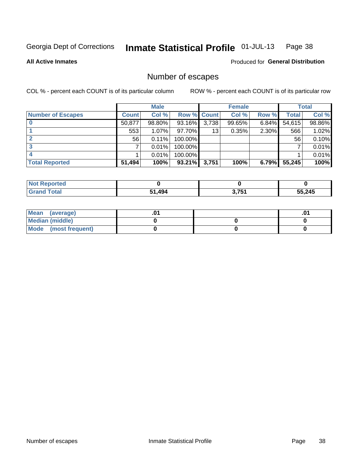#### Inmate Statistical Profile 01-JUL-13 Page 38

**All Active Inmates** 

## **Produced for General Distribution**

# Number of escapes

COL % - percent each COUNT is of its particular column

|                          |              | <b>Male</b> |                    |       | <b>Female</b> |       |        | <b>Total</b> |
|--------------------------|--------------|-------------|--------------------|-------|---------------|-------|--------|--------------|
| <b>Number of Escapes</b> | <b>Count</b> | Col %       | <b>Row % Count</b> |       | Col %         | Row % | Total  | Col %        |
|                          | 50,877       | 98.80%      | 93.16%             | 3,738 | 99.65%        | 6.84% | 54,615 | 98.86%       |
|                          | 553          | $1.07\%$    | 97.70%             | 13    | 0.35%         | 2.30% | 566    | 1.02%        |
|                          | 56           | 0.11%       | 100.00%            |       |               |       | 56     | $0.10\%$     |
|                          |              | 0.01%       | 100.00%            |       |               |       |        | 0.01%        |
|                          |              | 0.01%       | 100.00%            |       |               |       |        | 0.01%        |
| <b>Total Reported</b>    | 51,494       | 100%        | 93.21%             | 3,751 | 100%          | 6.79% | 55,245 | 100%         |

| orten        |        |                |        |
|--------------|--------|----------------|--------|
| <b>Total</b> | 51,494 | 2751<br>J.IJ 1 | 55,245 |

| Mean (average)         |  | .0 <sup>4</sup> |
|------------------------|--|-----------------|
| <b>Median (middle)</b> |  |                 |
| Mode (most frequent)   |  |                 |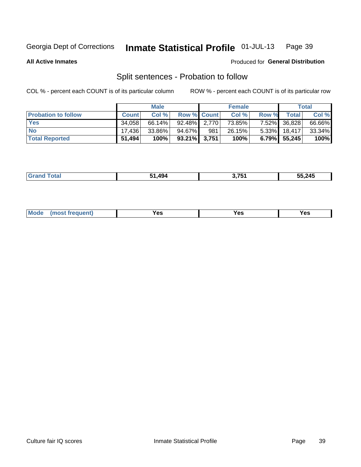#### Inmate Statistical Profile 01-JUL-13 Page 39

**All Active Inmates** 

#### Produced for General Distribution

# Split sentences - Probation to follow

COL % - percent each COUNT is of its particular column

|                            |              | <b>Male</b> |                    |     | <b>Female</b> |          |                 | <b>Total</b> |
|----------------------------|--------------|-------------|--------------------|-----|---------------|----------|-----------------|--------------|
| <b>Probation to follow</b> | <b>Count</b> | Col %       | <b>Row % Count</b> |     | Col %         | Row %    | Total           | Col %        |
| <b>Yes</b>                 | 34.058       | $66.14\%$   | $92.48\%$ 2.770    |     | 73.85%        | $7.52\%$ | 36,828          | 66.66%       |
| <b>No</b>                  | 17.436       | 33.86%      | $94.67\%$          | 981 | 26.15%        |          | $5.33\%$ 18,417 | 33.34%       |
| <b>Total Reported</b>      | 51,494       | 100%        | $93.21\%$ 3,751    |     | 100%          | $6.79\%$ | 55,245          | 100%         |

| 49/ | <i>א א</i> ל י | 55,245 |
|-----|----------------|--------|
|     |                |        |

| reauent)<br>Yes<br>v^c<br>0٥<br>.<br>. .<br>$\sim$ |  | <b>Mode</b> |  |  |  |
|----------------------------------------------------|--|-------------|--|--|--|
|----------------------------------------------------|--|-------------|--|--|--|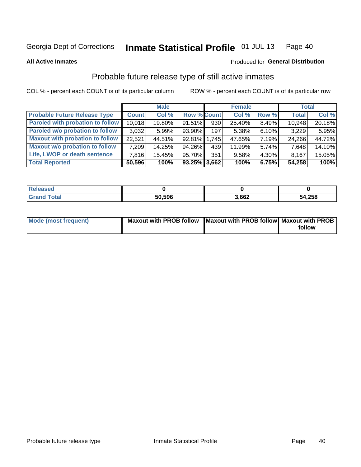#### Inmate Statistical Profile 01-JUL-13 Page 40

**All Active Inmates** 

#### Produced for General Distribution

# Probable future release type of still active inmates

COL % - percent each COUNT is of its particular column

|                                         |              | <b>Male</b> |                    |     | <b>Female</b> |          | <b>Total</b> |        |
|-----------------------------------------|--------------|-------------|--------------------|-----|---------------|----------|--------------|--------|
| <b>Probable Future Release Type</b>     | <b>Count</b> | Col %       | <b>Row % Count</b> |     | Col %         | Row %    | <b>Total</b> | Col %  |
| <b>Paroled with probation to follow</b> | 10,018       | 19.80%      | 91.51%             | 930 | 25.40%        | 8.49%    | 10,948       | 20.18% |
| Paroled w/o probation to follow         | 3,032        | 5.99%       | 93.90%             | 197 | 5.38%         | 6.10%    | 3,229        | 5.95%  |
| <b>Maxout with probation to follow</b>  | 22.521       | 44.51%      | 92.81% 1.745       |     | 47.65%        | 7.19%    | 24,266       | 44.72% |
| <b>Maxout w/o probation to follow</b>   | 7,209        | 14.25%      | 94.26%             | 439 | 11.99%        | $5.74\%$ | 7,648        | 14.10% |
| Life, LWOP or death sentence            | 7,816        | 15.45%      | 95.70%             | 351 | 9.58%         | 4.30%    | 8,167        | 15.05% |
| <b>Total Reported</b>                   | 50,596       | 100%        | $93.25\%$ 3,662    |     | 100%          | 6.75%    | 54,258       | 100%   |

| eleased     |        |       |        |
|-------------|--------|-------|--------|
| <b>otal</b> | 50,596 | 3,662 | 54,258 |

| Mode (most frequent) | Maxout with PROB follow   Maxout with PROB follow   Maxout with PROB |        |
|----------------------|----------------------------------------------------------------------|--------|
|                      |                                                                      | follow |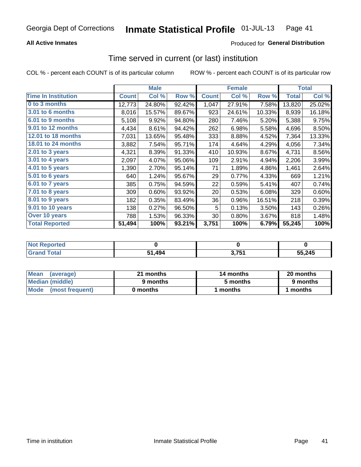### **All Active Inmates**

## Produced for General Distribution

# Time served in current (or last) institution

COL % - percent each COUNT is of its particular column

|                            | <b>Male</b>  |        |        | <b>Female</b> |        |        | <b>Total</b> |        |
|----------------------------|--------------|--------|--------|---------------|--------|--------|--------------|--------|
| <b>Time In Institution</b> | <b>Count</b> | Col %  | Row %  | <b>Count</b>  | Col %  | Row %  | <b>Total</b> | Col %  |
| 0 to 3 months              | 12,773       | 24.80% | 92.42% | 1,047         | 27.91% | 7.58%  | 13,820       | 25.02% |
| <b>3.01 to 6 months</b>    | 8,016        | 15.57% | 89.67% | 923           | 24.61% | 10.33% | 8,939        | 16.18% |
| 6.01 to 9 months           | 5,108        | 9.92%  | 94.80% | 280           | 7.46%  | 5.20%  | 5,388        | 9.75%  |
| 9.01 to 12 months          | 4,434        | 8.61%  | 94.42% | 262           | 6.98%  | 5.58%  | 4,696        | 8.50%  |
| 12.01 to 18 months         | 7,031        | 13.65% | 95.48% | 333           | 8.88%  | 4.52%  | 7,364        | 13.33% |
| <b>18.01 to 24 months</b>  | 3,882        | 7.54%  | 95.71% | 174           | 4.64%  | 4.29%  | 4,056        | 7.34%  |
| $2.01$ to 3 years          | 4,321        | 8.39%  | 91.33% | 410           | 10.93% | 8.67%  | 4,731        | 8.56%  |
| $3.01$ to 4 years          | 2,097        | 4.07%  | 95.06% | 109           | 2.91%  | 4.94%  | 2,206        | 3.99%  |
| $4.01$ to 5 years          | 1,390        | 2.70%  | 95.14% | 71            | 1.89%  | 4.86%  | 1,461        | 2.64%  |
| 5.01 to 6 years            | 640          | 1.24%  | 95.67% | 29            | 0.77%  | 4.33%  | 669          | 1.21%  |
| 6.01 to 7 years            | 385          | 0.75%  | 94.59% | 22            | 0.59%  | 5.41%  | 407          | 0.74%  |
| 7.01 to 8 years            | 309          | 0.60%  | 93.92% | 20            | 0.53%  | 6.08%  | 329          | 0.60%  |
| 8.01 to 9 years            | 182          | 0.35%  | 83.49% | 36            | 0.96%  | 16.51% | 218          | 0.39%  |
| 9.01 to 10 years           | 138          | 0.27%  | 96.50% | 5             | 0.13%  | 3.50%  | 143          | 0.26%  |
| Over 10 years              | 788          | 1.53%  | 96.33% | 30            | 0.80%  | 3.67%  | 818          | 1.48%  |
| <b>Total Reported</b>      | 51,494       | 100%   | 93.21% | 3,751         | 100%   | 6.79%  | 55,245       | 100%   |

| <b>Reported</b><br><b>Not</b> |      |       |        |
|-------------------------------|------|-------|--------|
| <b>otal</b>                   | .494 | ? 751 | 55,245 |

| <b>Mean</b><br>(average) | 21 months | 14 months | 20 months |  |
|--------------------------|-----------|-----------|-----------|--|
| Median (middle)          | 9 months  | 5 months  | 9 months  |  |
| Mode (most frequent)     | 0 months  | l months  | ∣ months  |  |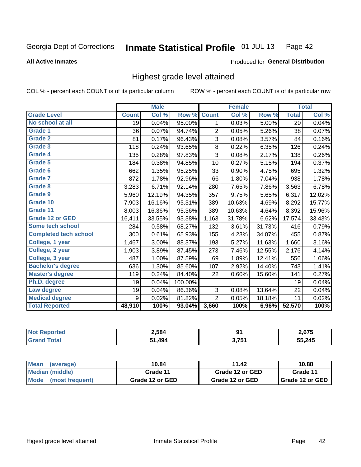#### Inmate Statistical Profile 01-JUL-13 Page 42

#### **All Active Inmates**

#### Produced for General Distribution

## Highest grade level attained

COL % - percent each COUNT is of its particular column

|                              |              | <b>Male</b> |         |                | <b>Female</b> |        |              | <b>Total</b> |
|------------------------------|--------------|-------------|---------|----------------|---------------|--------|--------------|--------------|
| <b>Grade Level</b>           | <b>Count</b> | Col %       | Row %   | <b>Count</b>   | Col %         | Row %  | <b>Total</b> | Col %        |
| No school at all             | 19           | 0.04%       | 95.00%  | 1              | 0.03%         | 5.00%  | 20           | 0.04%        |
| Grade 1                      | 36           | 0.07%       | 94.74%  | $\overline{2}$ | 0.05%         | 5.26%  | 38           | 0.07%        |
| <b>Grade 2</b>               | 81           | 0.17%       | 96.43%  | 3              | 0.08%         | 3.57%  | 84           | 0.16%        |
| Grade 3                      | 118          | 0.24%       | 93.65%  | $\bf8$         | 0.22%         | 6.35%  | 126          | 0.24%        |
| Grade 4                      | 135          | 0.28%       | 97.83%  | $\overline{3}$ | 0.08%         | 2.17%  | 138          | 0.26%        |
| Grade 5                      | 184          | 0.38%       | 94.85%  | 10             | 0.27%         | 5.15%  | 194          | 0.37%        |
| Grade 6                      | 662          | 1.35%       | 95.25%  | 33             | 0.90%         | 4.75%  | 695          | 1.32%        |
| <b>Grade 7</b>               | 872          | 1.78%       | 92.96%  | 66             | 1.80%         | 7.04%  | 938          | 1.78%        |
| Grade 8                      | 3,283        | 6.71%       | 92.14%  | 280            | 7.65%         | 7.86%  | 3,563        | 6.78%        |
| Grade 9                      | 5,960        | 12.19%      | 94.35%  | 357            | 9.75%         | 5.65%  | 6,317        | 12.02%       |
| Grade 10                     | 7,903        | 16.16%      | 95.31%  | 389            | 10.63%        | 4.69%  | 8,292        | 15.77%       |
| Grade 11                     | 8,003        | 16.36%      | 95.36%  | 389            | 10.63%        | 4.64%  | 8,392        | 15.96%       |
| <b>Grade 12 or GED</b>       | 16,411       | 33.55%      | 93.38%  | 1,163          | 31.78%        | 6.62%  | 17,574       | 33.43%       |
| Some tech school             | 284          | 0.58%       | 68.27%  | 132            | 3.61%         | 31.73% | 416          | 0.79%        |
| <b>Completed tech school</b> | 300          | 0.61%       | 65.93%  | 155            | 4.23%         | 34.07% | 455          | 0.87%        |
| College, 1 year              | 1,467        | 3.00%       | 88.37%  | 193            | 5.27%         | 11.63% | 1,660        | 3.16%        |
| College, 2 year              | 1,903        | 3.89%       | 87.45%  | 273            | 7.46%         | 12.55% | 2,176        | 4.14%        |
| College, 3 year              | 487          | 1.00%       | 87.59%  | 69             | 1.89%         | 12.41% | 556          | 1.06%        |
| <b>Bachelor's degree</b>     | 636          | 1.30%       | 85.60%  | 107            | 2.92%         | 14.40% | 743          | 1.41%        |
| <b>Master's degree</b>       | 119          | 0.24%       | 84.40%  | 22             | 0.60%         | 15.60% | 141          | 0.27%        |
| Ph.D. degree                 | 19           | 0.04%       | 100.00% |                |               |        | 19           | 0.04%        |
| Law degree                   | 19           | 0.04%       | 86.36%  | 3              | 0.08%         | 13.64% | 22           | 0.04%        |
| <b>Medical degree</b>        | 9            | 0.02%       | 81.82%  | $\overline{2}$ | 0.05%         | 18.18% | 11           | 0.02%        |
| <b>Total Reported</b>        | 48,910       | 100%        | 93.04%  | 3,660          | 100%          | 6.96%  | 52,570       | 100%         |

| rrem | 2,584 | ים             | 2675   |
|------|-------|----------------|--------|
|      | .494  | ? 751<br>J.I J | 55,245 |

| <b>Mean</b><br>(average) | 10.84           | 11.42           | 10.88             |
|--------------------------|-----------------|-----------------|-------------------|
| Median (middle)          | Grade 11        | Grade 12 or GED | Grade 11          |
| Mode<br>(most frequent)  | Grade 12 or GED | Grade 12 or GED | I Grade 12 or GED |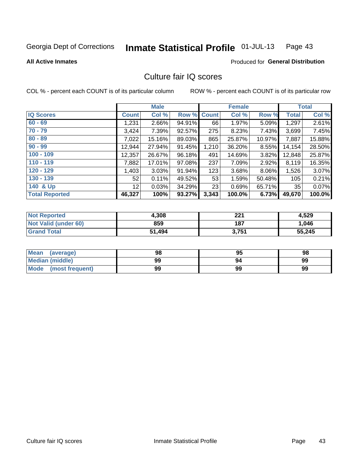#### Inmate Statistical Profile 01-JUL-13 Page 43

**All Active Inmates** 

#### Produced for General Distribution

## Culture fair IQ scores

COL % - percent each COUNT is of its particular column

|                       |              | <b>Male</b> |             |       | <b>Female</b> |        |              | <b>Total</b> |
|-----------------------|--------------|-------------|-------------|-------|---------------|--------|--------------|--------------|
| <b>IQ Scores</b>      | <b>Count</b> | Col %       | Row % Count |       | Col %         | Row %  | <b>Total</b> | Col %        |
| $60 - 69$             | 1,231        | 2.66%       | 94.91%      | 66    | 1.97%         | 5.09%  | 1,297        | 2.61%        |
| $70 - 79$             | 3,424        | 7.39%       | 92.57%      | 275   | 8.23%         | 7.43%  | 3,699        | 7.45%        |
| $80 - 89$             | 7,022        | 15.16%      | 89.03%      | 865   | 25.87%        | 10.97% | 7,887        | 15.88%       |
| $90 - 99$             | 12,944       | 27.94%      | 91.45%      | 1,210 | 36.20%        | 8.55%  | 14, 154      | 28.50%       |
| $100 - 109$           | 12,357       | 26.67%      | 96.18%      | 491   | 14.69%        | 3.82%  | 12,848       | 25.87%       |
| $110 - 119$           | 7,882        | 17.01%      | 97.08%      | 237   | 7.09%         | 2.92%  | 8,119        | 16.35%       |
| $120 - 129$           | 1,403        | 3.03%       | 91.94%      | 123   | 3.68%         | 8.06%  | 1,526        | 3.07%        |
| $130 - 139$           | 52           | 0.11%       | 49.52%      | 53    | 1.59%         | 50.48% | 105          | 0.21%        |
| 140 & Up              | 12           | 0.03%       | 34.29%      | 23    | 0.69%         | 65.71% | 35           | 0.07%        |
| <b>Total Reported</b> | 46,327       | 100%        | 93.27%      | 3,343 | 100.0%        | 6.73%  | 49,670       | 100.0%       |

| <b>Not Reported</b>         | 4,308  | 221   | 4,529  |
|-----------------------------|--------|-------|--------|
| <b>Not Valid (under 60)</b> | 859    | 187   | 1,046  |
| <b>Grand Total</b>          | 51,494 | 3,751 | 55,245 |

| <b>Mean</b><br>(average) | 98 | 95 | 98 |
|--------------------------|----|----|----|
| <b>Median (middle)</b>   | 99 | 94 | 99 |
| Mode<br>(most frequent)  | 99 | 99 | 99 |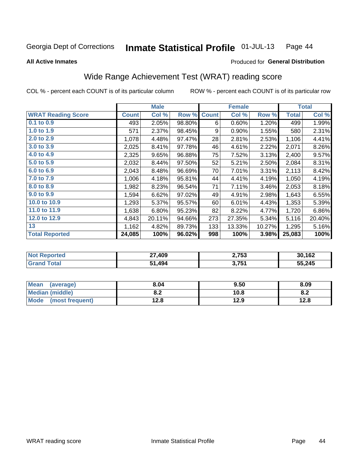#### Inmate Statistical Profile 01-JUL-13 Page 44

**All Active Inmates** 

#### Produced for General Distribution

# Wide Range Achievement Test (WRAT) reading score

COL % - percent each COUNT is of its particular column

|                           |              | <b>Male</b> |        |              | <b>Female</b> |        |              | <b>Total</b> |
|---------------------------|--------------|-------------|--------|--------------|---------------|--------|--------------|--------------|
| <b>WRAT Reading Score</b> | <b>Count</b> | Col %       | Row %  | <b>Count</b> | Col %         | Row %  | <b>Total</b> | Col %        |
| $0.1$ to $0.9$            | 493          | 2.05%       | 98.80% | 6            | 0.60%         | 1.20%  | 499          | 1.99%        |
| 1.0 to 1.9                | 571          | 2.37%       | 98.45% | 9            | 0.90%         | 1.55%  | 580          | 2.31%        |
| 2.0 to 2.9                | 1,078        | 4.48%       | 97.47% | 28           | 2.81%         | 2.53%  | 1,106        | 4.41%        |
| 3.0 to 3.9                | 2,025        | 8.41%       | 97.78% | 46           | 4.61%         | 2.22%  | 2,071        | 8.26%        |
| 4.0 to 4.9                | 2,325        | 9.65%       | 96.88% | 75           | 7.52%         | 3.13%  | 2,400        | 9.57%        |
| 5.0 to 5.9                | 2,032        | 8.44%       | 97.50% | 52           | 5.21%         | 2.50%  | 2,084        | 8.31%        |
| 6.0 to 6.9                | 2,043        | 8.48%       | 96.69% | 70           | 7.01%         | 3.31%  | 2,113        | 8.42%        |
| 7.0 to 7.9                | 1,006        | 4.18%       | 95.81% | 44           | 4.41%         | 4.19%  | 1,050        | 4.19%        |
| 8.0 to 8.9                | 1,982        | 8.23%       | 96.54% | 71           | 7.11%         | 3.46%  | 2,053        | 8.18%        |
| 9.0 to 9.9                | 1,594        | 6.62%       | 97.02% | 49           | 4.91%         | 2.98%  | 1,643        | 6.55%        |
| 10.0 to 10.9              | 1,293        | 5.37%       | 95.57% | 60           | 6.01%         | 4.43%  | 1,353        | 5.39%        |
| 11.0 to 11.9              | 1,638        | 6.80%       | 95.23% | 82           | 8.22%         | 4.77%  | 1,720        | 6.86%        |
| 12.0 to 12.9              | 4,843        | 20.11%      | 94.66% | 273          | 27.35%        | 5.34%  | 5,116        | 20.40%       |
| 13                        | 1,162        | 4.82%       | 89.73% | 133          | 13.33%        | 10.27% | 1,295        | 5.16%        |
| <b>Total Reported</b>     | 24,085       | 100%        | 96.02% | 998          | 100%          | 3.98%  | 25,083       | 100%         |

| onteo | 27,409<br>. . | 2,753            | 30.162<br>104 |
|-------|---------------|------------------|---------------|
| otal  | .494          | 2751<br>J. I J I | 55,245        |

| <b>Mean</b><br>(average)       | 8.04         | 9.50 | 8.09 |
|--------------------------------|--------------|------|------|
| Median (middle)                | י ה<br>O.A   | 10.8 | o.z  |
| <b>Mode</b><br>(most frequent) | 19 Q<br>14.O | 12.9 | 12.8 |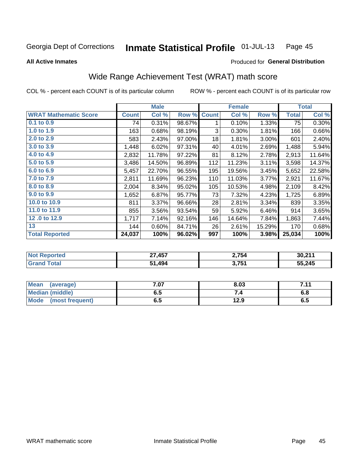#### Inmate Statistical Profile 01-JUL-13 Page 45

#### **All Active Inmates**

# Produced for General Distribution

# Wide Range Achievement Test (WRAT) math score

COL % - percent each COUNT is of its particular column

|                              |              | <b>Male</b> |        |              | <b>Female</b> |        |              | <b>Total</b> |
|------------------------------|--------------|-------------|--------|--------------|---------------|--------|--------------|--------------|
| <b>WRAT Mathematic Score</b> | <b>Count</b> | Col %       | Row %  | <b>Count</b> | Col %         | Row %  | <b>Total</b> | Col %        |
| $0.1$ to $0.9$               | 74           | 0.31%       | 98.67% | 1            | 0.10%         | 1.33%  | 75           | 0.30%        |
| 1.0 to 1.9                   | 163          | 0.68%       | 98.19% | 3            | 0.30%         | 1.81%  | 166          | 0.66%        |
| 2.0 to 2.9                   | 583          | 2.43%       | 97.00% | 18           | 1.81%         | 3.00%  | 601          | 2.40%        |
| 3.0 to 3.9                   | 1,448        | 6.02%       | 97.31% | 40           | 4.01%         | 2.69%  | 1,488        | 5.94%        |
| 4.0 to 4.9                   | 2,832        | 11.78%      | 97.22% | 81           | 8.12%         | 2.78%  | 2,913        | 11.64%       |
| 5.0 to 5.9                   | 3,486        | 14.50%      | 96.89% | 112          | 11.23%        | 3.11%  | 3,598        | 14.37%       |
| 6.0 to 6.9                   | 5,457        | 22.70%      | 96.55% | 195          | 19.56%        | 3.45%  | 5,652        | 22.58%       |
| 7.0 to 7.9                   | 2,811        | 11.69%      | 96.23% | 110          | 11.03%        | 3.77%  | 2,921        | 11.67%       |
| 8.0 to 8.9                   | 2,004        | 8.34%       | 95.02% | 105          | 10.53%        | 4.98%  | 2,109        | 8.42%        |
| 9.0 to 9.9                   | 1,652        | 6.87%       | 95.77% | 73           | 7.32%         | 4.23%  | 1,725        | 6.89%        |
| 10.0 to 10.9                 | 811          | 3.37%       | 96.66% | 28           | 2.81%         | 3.34%  | 839          | 3.35%        |
| 11.0 to 11.9                 | 855          | $3.56\%$    | 93.54% | 59           | 5.92%         | 6.46%  | 914          | 3.65%        |
| 12.0 to 12.9                 | 1,717        | 7.14%       | 92.16% | 146          | 14.64%        | 7.84%  | 1,863        | 7.44%        |
| 13                           | 144          | $0.60\%$    | 84.71% | 26           | 2.61%         | 15.29% | 170          | 0.68%        |
| <b>Total Reported</b>        | 24,037       | 100%        | 96.02% | 997          | 100%          | 3.98%  | 25,034       | 100%         |
|                              |              |             |        |              |               |        |              |              |

| <b>Not Reported</b> | 27,457 | 2,754 | 30,211 |
|---------------------|--------|-------|--------|
| <b>Grand Total</b>  | 51,494 | 3,751 | 55,245 |

| <b>Mean</b><br>(average)       | 7.07 | 8.03 | 744 |
|--------------------------------|------|------|-----|
| <b>Median (middle)</b>         | כ.ס  |      | o.o |
| <b>Mode</b><br>(most frequent) | D.J  | 12.9 | ს.ე |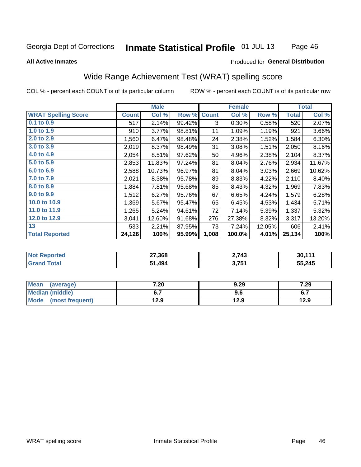#### Inmate Statistical Profile 01-JUL-13 Page 46

#### **All Active Inmates**

### Produced for General Distribution

## Wide Range Achievement Test (WRAT) spelling score

COL % - percent each COUNT is of its particular column

|                            |              | <b>Male</b> |        |              | <b>Female</b> |        |              | <b>Total</b> |
|----------------------------|--------------|-------------|--------|--------------|---------------|--------|--------------|--------------|
| <b>WRAT Spelling Score</b> | <b>Count</b> | Col %       | Row %  | <b>Count</b> | Col %         | Row %  | <b>Total</b> | Col %        |
| $0.1$ to $0.9$             | 517          | 2.14%       | 99.42% | 3            | 0.30%         | 0.58%  | 520          | 2.07%        |
| 1.0 to 1.9                 | 910          | 3.77%       | 98.81% | 11           | 1.09%         | 1.19%  | 921          | 3.66%        |
| 2.0 to 2.9                 | 1,560        | 6.47%       | 98.48% | 24           | 2.38%         | 1.52%  | 1,584        | 6.30%        |
| 3.0 to 3.9                 | 2,019        | 8.37%       | 98.49% | 31           | 3.08%         | 1.51%  | 2,050        | 8.16%        |
| 4.0 to 4.9                 | 2,054        | 8.51%       | 97.62% | 50           | 4.96%         | 2.38%  | 2,104        | 8.37%        |
| 5.0 to 5.9                 | 2,853        | 11.83%      | 97.24% | 81           | 8.04%         | 2.76%  | 2,934        | 11.67%       |
| 6.0 to 6.9                 | 2,588        | 10.73%      | 96.97% | 81           | 8.04%         | 3.03%  | 2,669        | 10.62%       |
| 7.0 to 7.9                 | 2,021        | 8.38%       | 95.78% | 89           | 8.83%         | 4.22%  | 2,110        | 8.40%        |
| 8.0 to 8.9                 | 1,884        | 7.81%       | 95.68% | 85           | 8.43%         | 4.32%  | 1,969        | 7.83%        |
| 9.0 to 9.9                 | 1,512        | 6.27%       | 95.76% | 67           | 6.65%         | 4.24%  | 1,579        | 6.28%        |
| 10.0 to 10.9               | 1,369        | 5.67%       | 95.47% | 65           | 6.45%         | 4.53%  | 1,434        | 5.71%        |
| 11.0 to 11.9               | 1,265        | 5.24%       | 94.61% | 72           | 7.14%         | 5.39%  | 1,337        | 5.32%        |
| 12.0 to 12.9               | 3,041        | 12.60%      | 91.68% | 276          | 27.38%        | 8.32%  | 3,317        | 13.20%       |
| 13                         | 533          | 2.21%       | 87.95% | 73           | 7.24%         | 12.05% | 606          | 2.41%        |
| <b>Total Reported</b>      | 24,126       | 100%        | 95.99% | 1,008        | 100.0%        | 4.01%  | 25,134       | 100%         |

| <b>Not Reported</b> | 27,368 | 2,743             | 30,11' |
|---------------------|--------|-------------------|--------|
| Total<br>' Grand    | ,494   | 3 751<br>J. I J . | 55,245 |

| <b>Mean</b><br>(average)       | 7.20 | 9.29 | 7.29                |
|--------------------------------|------|------|---------------------|
| <b>Median (middle)</b>         | ν.,  | 9.6  | c 7<br>$\mathbf{v}$ |
| <b>Mode</b><br>(most frequent) | l2.9 | 12.9 | 12.9                |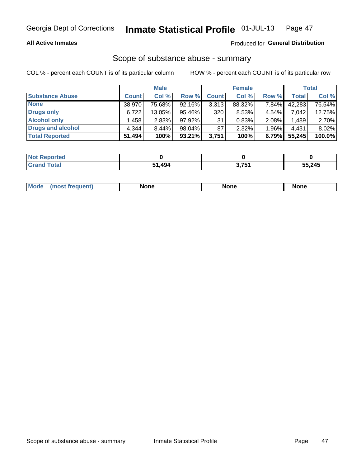### **All Active Inmates**

### Produced for General Distribution

# Scope of substance abuse - summary

COL % - percent each COUNT is of its particular column

|                        |              | <b>Male</b> |           |              | <b>Female</b> |          |              | <b>Total</b> |
|------------------------|--------------|-------------|-----------|--------------|---------------|----------|--------------|--------------|
| <b>Substance Abuse</b> | <b>Count</b> | Col %       | Row %     | <b>Count</b> | Col %         | Row %    | <b>Total</b> | Col %        |
| <b>None</b>            | 38.970       | 75.68%      | 92.16%    | 3,313        | 88.32%        | 7.84%    | 42,283       | 76.54%       |
| <b>Drugs only</b>      | 6,722        | 13.05%      | 95.46%    | 320          | 8.53%         | 4.54%    | 7.042        | 12.75%       |
| <b>Alcohol only</b>    | .458         | 2.83%       | 97.92%    | 31           | 0.83%         | 2.08%    | 1,489        | 2.70%        |
| Drugs and alcohol      | 4,344        | 8.44%       | 98.04%    | 87           | $2.32\%$      | $1.96\%$ | 4,431        | 8.02%        |
| <b>Total Reported</b>  | 51,494       | 100%        | $93.21\%$ | 3,751        | 100%          | 6.79%    | 55,245       | 100.0%       |

| <b>Not Reported</b> |      |       |        |
|---------------------|------|-------|--------|
| <b>Grand Total</b>  | .494 | 3,751 | 55,245 |

| nuem | <b>Mo</b> | None | <b>None</b> | None |
|------|-----------|------|-------------|------|
|------|-----------|------|-------------|------|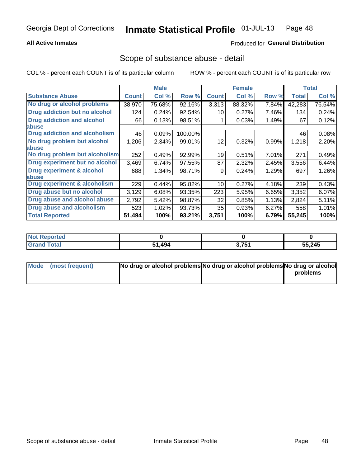### **All Active Inmates**

### Produced for General Distribution

## Scope of substance abuse - detail

COL % - percent each COUNT is of its particular column

|                                      |              | <b>Male</b> |         |              | <b>Female</b> |       |              | <b>Total</b> |
|--------------------------------------|--------------|-------------|---------|--------------|---------------|-------|--------------|--------------|
| <b>Substance Abuse</b>               | <b>Count</b> | Col %       | Row %   | <b>Count</b> | Col %         | Row % | <b>Total</b> | Col %        |
| No drug or alcohol problems          | 38,970       | 75.68%      | 92.16%  | 3,313        | 88.32%        | 7.84% | 42,283       | 76.54%       |
| Drug addiction but no alcohol        | 124          | 0.24%       | 92.54%  | 10           | 0.27%         | 7.46% | 134          | 0.24%        |
| <b>Drug addiction and alcohol</b>    | 66           | 0.13%       | 98.51%  |              | 0.03%         | 1.49% | 67           | 0.12%        |
| abuse                                |              |             |         |              |               |       |              |              |
| <b>Drug addiction and alcoholism</b> | 46           | 0.09%       | 100.00% |              |               |       | 46           | 0.08%        |
| No drug problem but alcohol          | 1,206        | 2.34%       | 99.01%  | 12           | 0.32%         | 0.99% | 1,218        | 2.20%        |
| <b>labuse</b>                        |              |             |         |              |               |       |              |              |
| No drug problem but alcoholism       | 252          | 0.49%       | 92.99%  | 19           | 0.51%         | 7.01% | 271          | 0.49%        |
| Drug experiment but no alcohol       | 3,469        | 6.74%       | 97.55%  | 87           | 2.32%         | 2.45% | 3,556        | 6.44%        |
| <b>Drug experiment &amp; alcohol</b> | 688          | 1.34%       | 98.71%  | 9            | 0.24%         | 1.29% | 697          | 1.26%        |
| <b>labuse</b>                        |              |             |         |              |               |       |              |              |
| Drug experiment & alcoholism         | 229          | 0.44%       | 95.82%  | 10           | 0.27%         | 4.18% | 239          | 0.43%        |
| Drug abuse but no alcohol            | 3,129        | 6.08%       | 93.35%  | 223          | 5.95%         | 6.65% | 3,352        | 6.07%        |
| Drug abuse and alcohol abuse         | 2,792        | 5.42%       | 98.87%  | 32           | 0.85%         | 1.13% | 2,824        | 5.11%        |
| <b>Drug abuse and alcoholism</b>     | 523          | 1.02%       | 93.73%  | 35           | 0.93%         | 6.27% | 558          | 1.01%        |
| <b>Total Reported</b>                | 51,494       | 100%        | 93.21%  | 3,751        | 100%          | 6.79% | 55,245       | 100%         |

| oorted<br><b>NOT</b> |             |       |        |
|----------------------|-------------|-------|--------|
| <b>otal</b>          | .494<br>E4. | 3,751 | 55,245 |

| Mode (most frequent) | No drug or alcohol problems No drug or alcohol problems No drug or alcohol |          |
|----------------------|----------------------------------------------------------------------------|----------|
|                      |                                                                            | problems |
|                      |                                                                            |          |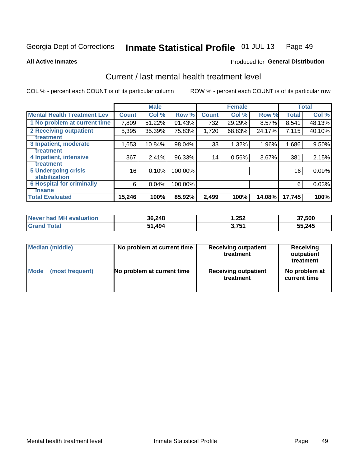#### Inmate Statistical Profile 01-JUL-13 Page 49

**All Active Inmates** 

### **Produced for General Distribution**

# Current / last mental health treatment level

COL % - percent each COUNT is of its particular column

|                                    |              | <b>Male</b> |         |              | <b>Female</b> |        |              | <b>Total</b> |
|------------------------------------|--------------|-------------|---------|--------------|---------------|--------|--------------|--------------|
| <b>Mental Health Treatment Lev</b> | <b>Count</b> | Col %       | Row %   | <b>Count</b> | Col %         | Row %  | <b>Total</b> | Col %        |
| 1 No problem at current time       | 7,809        | 51.22%      | 91.43%  | 732          | 29.29%        | 8.57%  | 8,541        | 48.13%       |
| 2 Receiving outpatient             | 5,395        | 35.39%      | 75.83%  | 1,720        | 68.83%        | 24.17% | 7,115        | 40.10%       |
| <b>Treatment</b>                   |              |             |         |              |               |        |              |              |
| 3 Inpatient, moderate              | 1,653        | 10.84%      | 98.04%  | 33           | 1.32%         | 1.96%  | 1,686        | 9.50%        |
| <b>Treatment</b>                   |              |             |         |              |               |        |              |              |
| 4 Inpatient, intensive             | 367          | 2.41%       | 96.33%  | 14           | 0.56%         | 3.67%  | 381          | 2.15%        |
| <b>Treatment</b>                   |              |             |         |              |               |        |              |              |
| <b>5 Undergoing crisis</b>         | 16           | 0.10%       | 100.00% |              |               |        | 16           | 0.09%        |
| <b>stabilization</b>               |              |             |         |              |               |        |              |              |
| <b>6 Hospital for criminally</b>   | 6            | 0.04%       | 100.00% |              |               |        | 6            | 0.03%        |
| <b>Tinsane</b>                     |              |             |         |              |               |        |              |              |
| <b>Total Evaluated</b>             | 15,246       | 100%        | 85.92%  | 2,499        | 100%          | 14.08% | 17,745       | 100%         |

| Never had MH evaluation | 36,248 | .252  | 37,500 |
|-------------------------|--------|-------|--------|
| Гоtal<br>Gra            | 51,494 | 3,751 | 55,245 |

| Median (middle) | No problem at current time | <b>Receiving outpatient</b><br>treatment | <b>Receiving</b><br>outpatient<br>treatment |
|-----------------|----------------------------|------------------------------------------|---------------------------------------------|
| <b>Mode</b>     | No problem at current time | <b>Receiving outpatient</b>              | No problem at                               |
| (most frequent) |                            | treatment                                | current time                                |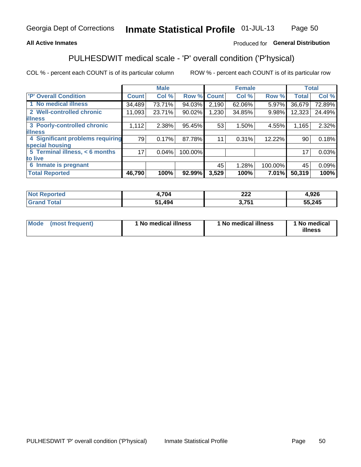## **All Active Inmates**

## Produced for General Distribution

# PULHESDWIT medical scale - 'P' overall condition ('P'hysical)

COL % - percent each COUNT is of its particular column

|                                  |              | <b>Male</b> |         |              | <b>Female</b> |         |                 | <b>Total</b> |
|----------------------------------|--------------|-------------|---------|--------------|---------------|---------|-----------------|--------------|
| 'P' Overall Condition            | <b>Count</b> | Col %       | Row %   | <b>Count</b> | Col %         | Row %   | <b>Total</b>    | Col %        |
| 1 No medical illness             | 34,489       | 73.71%      | 94.03%  | 2,190        | 62.06%        | 5.97%   | 36,679          | 72.89%       |
| 2 Well-controlled chronic        | 11,093       | 23.71%      | 90.02%  | 1,230        | 34.85%        | 9.98%   | 12,323          | 24.49%       |
| <b>illness</b>                   |              |             |         |              |               |         |                 |              |
| 3 Poorly-controlled chronic      | 1,112        | $2.38\%$    | 95.45%  | 53           | 1.50%         | 4.55%   | 1,165           | 2.32%        |
| <b>illness</b>                   |              |             |         |              |               |         |                 |              |
| 4 Significant problems requiring | 79           | 0.17%       | 87.78%  | 11           | 0.31%         | 12.22%  | 90 <sup>°</sup> | 0.18%        |
| special housing                  |              |             |         |              |               |         |                 |              |
| 5 Terminal illness, < 6 months   | 17           | 0.04%       | 100.00% |              |               |         | 17              | 0.03%        |
| to live                          |              |             |         |              |               |         |                 |              |
| 6 Inmate is pregnant             |              |             |         | 45           | 1.28%         | 100.00% | 45              | 0.09%        |
| <b>Total Reported</b>            | 46,790       | 100%        | 92.99%  | 3,529        | 100%          | 7.01%   | 50,319          | 100%         |

| тео | .704        | ົາລາ<br>11 J J | 00C<br>ס∡ט,י |
|-----|-------------|----------------|--------------|
|     | 10 A<br>. . | フロイ            | 55,245       |

| Mode | (most frequent) | 1 No medical illness | 1 No medical illness | 1 No medical<br>illness |
|------|-----------------|----------------------|----------------------|-------------------------|
|------|-----------------|----------------------|----------------------|-------------------------|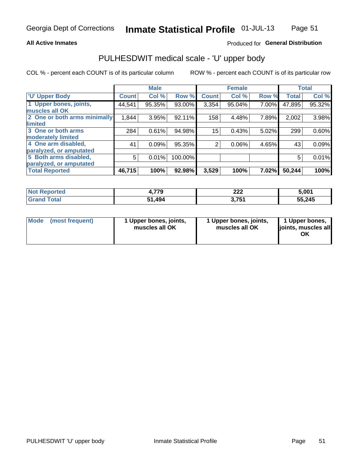### **All Active Inmates**

## Produced for General Distribution

# PULHESDWIT medical scale - 'U' upper body

COL % - percent each COUNT is of its particular column

|                              |              | <b>Male</b> |         |              | <b>Female</b> |       |              | <b>Total</b> |
|------------------------------|--------------|-------------|---------|--------------|---------------|-------|--------------|--------------|
| <b>U' Upper Body</b>         | <b>Count</b> | Col %       | Row %   | <b>Count</b> | Col %         | Row % | <b>Total</b> | Col %        |
| 1 Upper bones, joints,       | 44,541       | 95.35%      | 93.00%  | 3,354        | 95.04%        | 7.00% | 47,895       | 95.32%       |
| muscles all OK               |              |             |         |              |               |       |              |              |
| 2 One or both arms minimally | 1,844        | 3.95%       | 92.11%  | 158          | 4.48%         | 7.89% | 2,002        | 3.98%        |
| limited                      |              |             |         |              |               |       |              |              |
| 3 One or both arms           | 284          | 0.61%       | 94.98%  | 15           | 0.43%         | 5.02% | 299          | 0.60%        |
| <b>moderately limited</b>    |              |             |         |              |               |       |              |              |
| 4 One arm disabled,          | 41           | 0.09%       | 95.35%  | 2            | 0.06%         | 4.65% | 43           | 0.09%        |
| paralyzed, or amputated      |              |             |         |              |               |       |              |              |
| 5 Both arms disabled,        | 5            | 0.01%       | 100.00% |              |               |       | 5            | 0.01%        |
| paralyzed, or amputated      |              |             |         |              |               |       |              |              |
| <b>Total Reported</b>        | 46,715       | 100%        | 92.98%  | 3,529        | 100%          | 7.02% | 50,244       | 100%         |

| <b>Not Reported</b> | 4,779  | 222             | 5,001  |
|---------------------|--------|-----------------|--------|
| <b>Grand Total</b>  | 51,494 | 751<br>J. I J I | 55,245 |

| Mode (most frequent) | 1 Upper bones, joints,<br>muscles all OK | 1 Upper bones, joints,<br>muscles all OK | 1 Upper bones,<br>joints, muscles all<br>ΟK |
|----------------------|------------------------------------------|------------------------------------------|---------------------------------------------|
|----------------------|------------------------------------------|------------------------------------------|---------------------------------------------|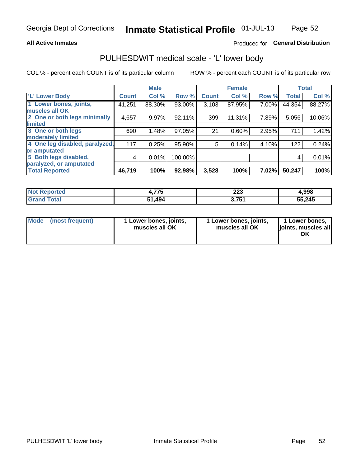### **All Active Inmates**

## Produced for General Distribution

## PULHESDWIT medical scale - 'L' lower body

COL % - percent each COUNT is of its particular column

|                                |              | <b>Male</b> |         |              | <b>Female</b> |       |              | <b>Total</b> |
|--------------------------------|--------------|-------------|---------|--------------|---------------|-------|--------------|--------------|
| 'L' Lower Body                 | <b>Count</b> | Col %       | Row %   | <b>Count</b> | Col %         | Row % | <b>Total</b> | Col %        |
| 1 Lower bones, joints,         | 41,251       | 88.30%      | 93.00%  | 3,103        | 87.95%        | 7.00% | 44,354       | 88.27%       |
| muscles all OK                 |              |             |         |              |               |       |              |              |
| 2 One or both legs minimally   | 4,657        | 9.97%       | 92.11%  | 399          | 11.31%        | 7.89% | 5,056        | 10.06%       |
| limited                        |              |             |         |              |               |       |              |              |
| 3 One or both legs             | 690          | 1.48%       | 97.05%  | 21           | 0.60%         | 2.95% | 711          | 1.42%        |
| moderately limited             |              |             |         |              |               |       |              |              |
| 4 One leg disabled, paralyzed, | 117          | 0.25%       | 95.90%  | 5            | 0.14%         | 4.10% | 122          | 0.24%        |
| or amputated                   |              |             |         |              |               |       |              |              |
| 5 Both legs disabled,          | 4            | 0.01%       | 100.00% |              |               |       | 4            | 0.01%        |
| paralyzed, or amputated        |              |             |         |              |               |       |              |              |
| <b>Total Reported</b>          | 46,719       | 100%        | 92.98%  | 3,528        | 100%          | 7.02% | 50,247       | 100%         |

| <b>Not Reported</b>          | フフト<br>4.773 | າາາ<br>223      | 4,998  |
|------------------------------|--------------|-----------------|--------|
| <b>Total</b><br><b>Grand</b> | 51,494       | 751<br>J. I J I | 55,245 |

| Mode | (most frequent) | 1 Lower bones, joints,<br>muscles all OK | 1 Lower bones, joints,<br>muscles all OK | 1 Lower bones,<br>joints, muscles all<br>ΟK |
|------|-----------------|------------------------------------------|------------------------------------------|---------------------------------------------|
|------|-----------------|------------------------------------------|------------------------------------------|---------------------------------------------|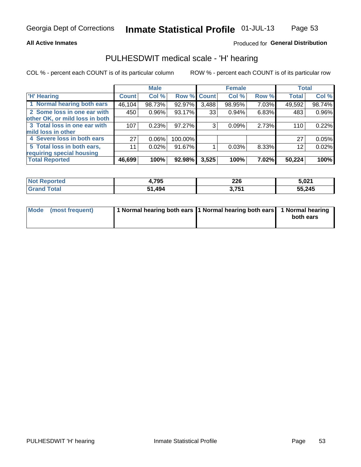### **All Active Inmates**

## Produced for General Distribution

## PULHESDWIT medical scale - 'H' hearing

COL % - percent each COUNT is of its particular column

|                                |              | <b>Male</b> |             |       | <b>Female</b> |       | <b>Total</b> |        |
|--------------------------------|--------------|-------------|-------------|-------|---------------|-------|--------------|--------|
| <b>'H' Hearing</b>             | <b>Count</b> | Col %       | Row % Count |       | Col %         | Row % | <b>Total</b> | Col %  |
| 1 Normal hearing both ears     | 46,104       | 98.73%      | 92.97%      | 3,488 | 98.95%        | 7.03% | 49,592       | 98.74% |
| 2 Some loss in one ear with    | 450          | 0.96%       | 93.17%      | 33    | 0.94%         | 6.83% | 483          | 0.96%  |
| other OK, or mild loss in both |              |             |             |       |               |       |              |        |
| 3 Total loss in one ear with   | 107          | 0.23%       | 97.27%      | 3     | 0.09%         | 2.73% | 110          | 0.22%  |
| mild loss in other             |              |             |             |       |               |       |              |        |
| 4 Severe loss in both ears     | 27           | 0.06%       | 100.00%     |       |               |       | 27           | 0.05%  |
| 5 Total loss in both ears,     | 11           | 0.02%       | 91.67%      |       | 0.03%         | 8.33% | 12           | 0.02%  |
| requiring special housing      |              |             |             |       |               |       |              |        |
| <b>Total Reported</b>          | 46,699       | 100%        | 92.98%      | 3,525 | 100%          | 7.02% | 50,224       | 100%   |

| <b>Not Reported</b> | 4,795         | ንጋሮ<br>ZZU | 5,021  |
|---------------------|---------------|------------|--------|
| Total               | 494. 1ز<br>E4 | 3,751      | 55,245 |

| Mode (most frequent) | 1 Normal hearing both ears 1 Normal hearing both ears 1 Normal hearing | both ears |
|----------------------|------------------------------------------------------------------------|-----------|
|                      |                                                                        |           |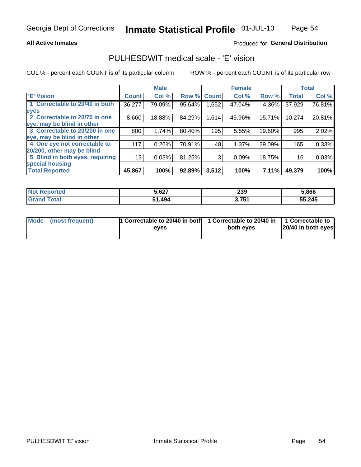### **All Active Inmates**

### Produced for General Distribution

## PULHESDWIT medical scale - 'E' vision

COL % - percent each COUNT is of its particular column

|                                 |              | <b>Male</b> |        |              | <b>Female</b> |        |              | <b>Total</b> |
|---------------------------------|--------------|-------------|--------|--------------|---------------|--------|--------------|--------------|
| 'E' Vision                      | <b>Count</b> | Col %       | Row %  | <b>Count</b> | Col %         | Row %  | <b>Total</b> | Col %        |
| 1 Correctable to 20/40 in both  | 36,277       | 79.09%      | 95.64% | .652         | 47.04%        | 4.36%  | 37,929       | 76.81%       |
| eyes                            |              |             |        |              |               |        |              |              |
| 2 Correctable to 20/70 in one   | 8,660        | 18.88%      | 84.29% | 1,614        | 45.96%        | 15.71% | 10,274       | 20.81%       |
| eye, may be blind in other      |              |             |        |              |               |        |              |              |
| 3 Correctable to 20/200 in one  | 800          | 1.74%       | 80.40% | 195          | 5.55%         | 19.60% | 995          | 2.02%        |
| eye, may be blind in other      |              |             |        |              |               |        |              |              |
| 4 One eye not correctable to    | 117          | 0.26%       | 70.91% | 48           | 1.37%         | 29.09% | 165          | 0.33%        |
| 20/200, other may be blind      |              |             |        |              |               |        |              |              |
| 5 Blind in both eyes, requiring | 13           | 0.03%       | 81.25% | 3            | 0.09%         | 18.75% | 16           | 0.03%        |
| special housing                 |              |             |        |              |               |        |              |              |
| <b>Total Reported</b>           | 45,867       | 100%        | 92.89% | 3,512        | 100%          | 7.11%  | 49,379       | 100%         |

| <b>Not Reported</b> | 5,627  | 239              | 5,866  |
|---------------------|--------|------------------|--------|
| <b>Total</b>        | 51,494 | 2754<br>J. I J I | 55,245 |

| Mode (most frequent) | 1 Correctable to 20/40 in both<br>eves | 1 Correctable to 20/40 in   1 Correctable to  <br>both eves | 20/40 in both eyes |
|----------------------|----------------------------------------|-------------------------------------------------------------|--------------------|
|                      |                                        |                                                             |                    |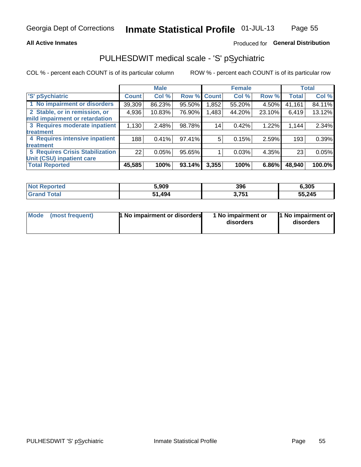### **All Active Inmates**

## Produced for General Distribution

# PULHESDWIT medical scale - 'S' pSychiatric

COL % - percent each COUNT is of its particular column

|                                        |              | <b>Male</b> |        |              | <b>Female</b> |        |              | <b>Total</b> |
|----------------------------------------|--------------|-------------|--------|--------------|---------------|--------|--------------|--------------|
| 'S' pSychiatric                        | <b>Count</b> | Col %       | Row %  | <b>Count</b> | Col %         | Row %  | <b>Total</b> | Col %        |
| 1 No impairment or disorders           | 39,309       | 86.23%      | 95.50% | .852         | 55.20%        | 4.50%  | 41,161       | 84.11%       |
| 2 Stable, or in remission, or          | 4,936        | 10.83%      | 76.90% | 1,483        | 44.20%        | 23.10% | 6,419        | 13.12%       |
| mild impairment or retardation         |              |             |        |              |               |        |              |              |
| 3 Requires moderate inpatient          | 1,130        | 2.48%       | 98.78% | 14           | 0.42%         | 1.22%  | 1,144        | 2.34%        |
| treatment                              |              |             |        |              |               |        |              |              |
| 4 Requires intensive inpatient         | 188          | 0.41%       | 97.41% | 5            | 0.15%         | 2.59%  | 193          | 0.39%        |
| treatment                              |              |             |        |              |               |        |              |              |
| <b>5 Requires Crisis Stabilization</b> | 22           | 0.05%       | 95.65% |              | 0.03%         | 4.35%  | 23           | 0.05%        |
| Unit (CSU) inpatient care              |              |             |        |              |               |        |              |              |
| <b>Total Reported</b>                  | 45,585       | 100%        | 93.14% | 3,355        | 100%          | 6.86%  | 48,940       | 100.0%       |

| <b>Not Reported</b>   | 5,909  | 396   | 6,305  |
|-----------------------|--------|-------|--------|
| Total<br><b>Grand</b> | 51,494 | 3,751 | 55,245 |

| Mode            | <b>1 No impairment or disorders</b> | 1 No impairment or | 1 No impairment or |
|-----------------|-------------------------------------|--------------------|--------------------|
| (most frequent) |                                     | disorders          | disorders          |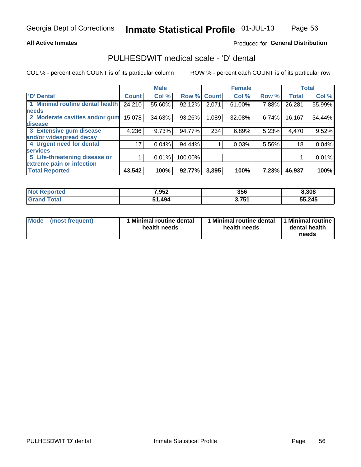### **All Active Inmates**

## Produced for General Distribution

# PULHESDWIT medical scale - 'D' dental

COL % - percent each COUNT is of its particular column

|                                 |              | <b>Male</b> |         |              | <b>Female</b> |       |              | <b>Total</b> |
|---------------------------------|--------------|-------------|---------|--------------|---------------|-------|--------------|--------------|
| 'D' Dental                      | <b>Count</b> | Col %       | Row %   | <b>Count</b> | Col %         | Row % | <b>Total</b> | Col %        |
| 1 Minimal routine dental health | 24,210       | 55.60%      | 92.12%  | 2,071        | 61.00%        | 7.88% | 26,281       | 55.99%       |
| <b>needs</b>                    |              |             |         |              |               |       |              |              |
| 2 Moderate cavities and/or gum  | 15,078       | 34.63%      | 93.26%  | 1,089        | 32.08%        | 6.74% | 16,167       | 34.44%       |
| disease                         |              |             |         |              |               |       |              |              |
| 3 Extensive gum disease         | 4,236        | 9.73%       | 94.77%  | 234          | 6.89%         | 5.23% | 4,470        | 9.52%        |
| and/or widespread decay         |              |             |         |              |               |       |              |              |
| 4 Urgent need for dental        | 17           | 0.04%       | 94.44%  |              | 0.03%         | 5.56% | 18           | 0.04%        |
| <b>Services</b>                 |              |             |         |              |               |       |              |              |
| 5 Life-threatening disease or   |              | 0.01%       | 100.00% |              |               |       |              | 0.01%        |
| extreme pain or infection       |              |             |         |              |               |       |              |              |
| <b>Total Reported</b>           | 43,542       | 100%        | 92.77%  | 3,395        | 100%          | 7.23% | 46,937       | 100%         |

| <b>Not Reported</b> | 7,952  | 356              | 8,308  |
|---------------------|--------|------------------|--------|
| <b>Total</b>        | 51,494 | 2754<br>J. I J I | 55,245 |

| 1 Minimal routine dental<br>Mode<br>(most frequent)<br>health needs | 1 Minimal routine dental 1 Minimal routine<br>health needs | dental health<br>needs |
|---------------------------------------------------------------------|------------------------------------------------------------|------------------------|
|---------------------------------------------------------------------|------------------------------------------------------------|------------------------|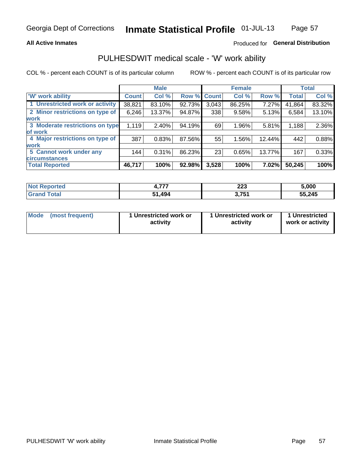### **All Active Inmates**

## Produced for General Distribution

## PULHESDWIT medical scale - 'W' work ability

COL % - percent each COUNT is of its particular column

|                                 |              | <b>Male</b> |        |              | <b>Female</b> |        |              | <b>Total</b> |
|---------------------------------|--------------|-------------|--------|--------------|---------------|--------|--------------|--------------|
| <b>W'</b> work ability          | <b>Count</b> | Col %       | Row %  | <b>Count</b> | Col %         | Row %  | <b>Total</b> | Col %        |
| 1 Unrestricted work or activity | 38,821       | 83.10%      | 92.73% | 3,043        | 86.25%        | 7.27%  | 41,864       | 83.32%       |
| 2 Minor restrictions on type of | 6,246        | 13.37%      | 94.87% | 338          | 9.58%         | 5.13%  | 6,584        | 13.10%       |
| <b>work</b>                     |              |             |        |              |               |        |              |              |
| 3 Moderate restrictions on type | 1,119        | 2.40%       | 94.19% | 69           | 1.96%         | 5.81%  | 1,188        | 2.36%        |
| of work                         |              |             |        |              |               |        |              |              |
| 4 Major restrictions on type of | 387          | 0.83%       | 87.56% | 55           | 1.56%         | 12.44% | 442          | 0.88%        |
| <b>work</b>                     |              |             |        |              |               |        |              |              |
| 5 Cannot work under any         | 144          | 0.31%       | 86.23% | 23           | 0.65%         | 13.77% | 167          | 0.33%        |
| <b>circumstances</b>            |              |             |        |              |               |        |              |              |
| <b>Total Reported</b>           | 46,717       | 100%        | 92.98% | 3,528        | 100%          | 7.02%  | 50,245       | 100%         |

| <b>Not Reported</b> | ---  | ິດດາ<br>ZZJ.      | 5,000  |
|---------------------|------|-------------------|--------|
| Total<br>Grand      | ,494 | ? 751<br>J. I J I | 55,245 |

| Mode            | 1 Unrestricted work or | 1 Unrestricted work or | 1 Unrestricted   |
|-----------------|------------------------|------------------------|------------------|
| (most frequent) | activity               | activity               | work or activity |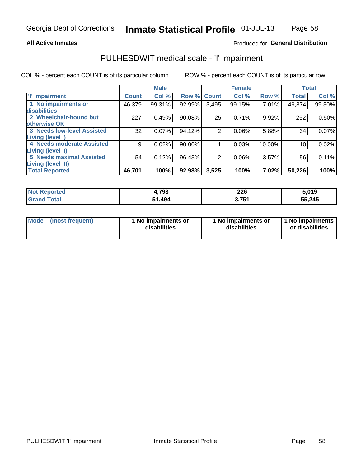### **All Active Inmates**

## Produced for General Distribution

# PULHESDWIT medical scale - 'I' impairment

COL % - percent each COUNT is of its particular column

|                                                              |              | <b>Male</b> |        |             | <b>Female</b> |        |              | <b>Total</b> |
|--------------------------------------------------------------|--------------|-------------|--------|-------------|---------------|--------|--------------|--------------|
| <b>T' Impairment</b>                                         | <b>Count</b> | Col %       |        | Row % Count | Col %         | Row %  | <b>Total</b> | Col %        |
| 1 No impairments or<br>disabilities                          | 46,379       | 99.31%      | 92.99% | 3,495       | 99.15%        | 7.01%  | 49,874       | 99.30%       |
| 2 Wheelchair-bound but<br>otherwise OK                       | 227          | 0.49%       | 90.08% | 25          | 0.71%         | 9.92%  | 252          | 0.50%        |
| <b>3 Needs low-level Assisted</b><br>Living (level I)        | 32           | 0.07%       | 94.12% | 2           | 0.06%         | 5.88%  | 34           | 0.07%        |
| 4 Needs moderate Assisted<br>Living (level II)               | 9            | 0.02%       | 90.00% |             | 0.03%         | 10.00% | 10           | 0.02%        |
| <b>5 Needs maximal Assisted</b><br><b>Living (level III)</b> | 54           | 0.12%       | 96.43% | 2           | 0.06%         | 3.57%  | 56           | 0.11%        |
| <b>Total Reported</b>                                        | 46,701       | 100%        | 92.98% | 3,525       | 100%          | 7.02%  | 50,226       | 100%         |

| <b>Not</b><br><b>Reported</b> | 4,793  | 226<br>__           | 5,019  |
|-------------------------------|--------|---------------------|--------|
| `otal<br>Gr2                  | 51.494 | 751<br><b>J.IJ.</b> | 55,245 |

| Mode | (most frequent) | 1 No impairments or<br>disabilities | 1 No impairments or<br>disabilities | 1 No impairments<br>or disabilities |
|------|-----------------|-------------------------------------|-------------------------------------|-------------------------------------|
|------|-----------------|-------------------------------------|-------------------------------------|-------------------------------------|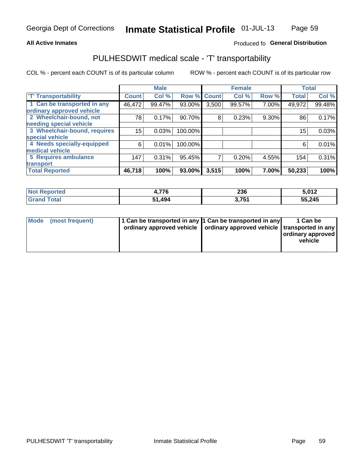### **All Active Inmates**

## Produced fo General Distribution

## PULHESDWIT medical scale - 'T' transportability

COL % - percent each COUNT is of its particular column

|                              |              | <b>Male</b> |         |                | <b>Female</b> |       |              | <b>Total</b> |
|------------------------------|--------------|-------------|---------|----------------|---------------|-------|--------------|--------------|
| <b>T' Transportability</b>   | <b>Count</b> | Col %       | Row %   | <b>Count</b>   | Col %         | Row % | <b>Total</b> | Col %        |
| 1 Can be transported in any  | 46,472       | 99.47%      | 93.00%  | 3,500          | 99.57%        | 7.00% | 49,972       | 99.48%       |
| ordinary approved vehicle    |              |             |         |                |               |       |              |              |
| 2 Wheelchair-bound, not      | 78           | 0.17%       | 90.70%  | 8              | 0.23%         | 9.30% | 86           | 0.17%        |
| needing special vehicle      |              |             |         |                |               |       |              |              |
| 3 Wheelchair-bound, requires | 15           | 0.03%       | 100.00% |                |               |       | 15           | 0.03%        |
| special vehicle              |              |             |         |                |               |       |              |              |
| 4 Needs specially-equipped   | 6            | 0.01%       | 100.00% |                |               |       | 6            | 0.01%        |
| medical vehicle              |              |             |         |                |               |       |              |              |
| <b>5 Requires ambulance</b>  | 147          | 0.31%       | 95.45%  | $\overline{7}$ | 0.20%         | 4.55% | 154          | 0.31%        |
| transport                    |              |             |         |                |               |       |              |              |
| <b>Total Reported</b>        | 46,718       | 100%        | 93.00%  | 3,515          | 100%          | 7.00% | 50,233       | 100%         |

| orted       | 77c<br>1 C | 236             | <b>E 040</b> |
|-------------|------------|-----------------|--------------|
| <b>otal</b> | .494       | 754<br>ו ט ו, ט | 55,245       |

|  | Mode (most frequent) | 1 Can be transported in any 1 Can be transported in any<br>ordinary approved vehicle   ordinary approved vehicle   transported in any |  | 1 Can be<br>  ordinary approved  <br>vehicle |
|--|----------------------|---------------------------------------------------------------------------------------------------------------------------------------|--|----------------------------------------------|
|--|----------------------|---------------------------------------------------------------------------------------------------------------------------------------|--|----------------------------------------------|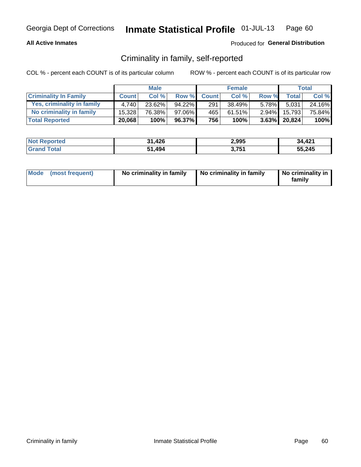### **All Active Inmates**

### Produced for General Distribution

## Criminality in family, self-reported

COL % - percent each COUNT is of its particular column

|                              |              | <b>Male</b> |           |              | <b>Female</b> |          |                 | Total  |
|------------------------------|--------------|-------------|-----------|--------------|---------------|----------|-----------------|--------|
| <b>Criminality In Family</b> | <b>Count</b> | Col %       | Row %     | <b>Count</b> | Col %         | Row %    | <b>Total</b>    | Col %  |
| Yes, criminality in family   | 4.740        | 23.62%      | $94.22\%$ | 291          | 38.49%        | $5.78\%$ | 5,031           | 24.16% |
| No criminality in family     | 15.328       | 76.38%      | 97.06%    | 465          | 61.51%        | $2.94\%$ | 15,793          | 75.84% |
| <b>Total Reported</b>        | 20,068       | 100%        | 96.37%    | 756          | 100%          |          | $3.63\%$ 20,824 | 100%   |

| <b>Not Reported</b> | 31,426 | 2,995 | 34,421 |
|---------------------|--------|-------|--------|
| <b>Grand Total</b>  | 51,494 | 3,751 | 55,245 |

|  | Mode (most frequent) | No criminality in family | No criminality in family | No criminality in<br>family |
|--|----------------------|--------------------------|--------------------------|-----------------------------|
|--|----------------------|--------------------------|--------------------------|-----------------------------|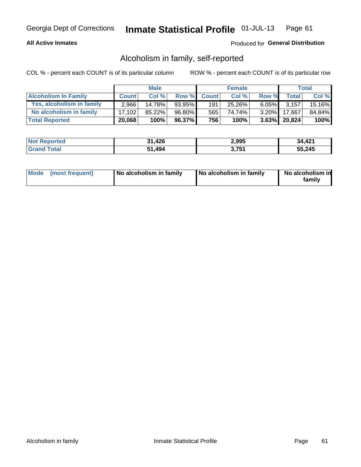### **All Active Inmates**

## Produced for General Distribution

## Alcoholism in family, self-reported

COL % - percent each COUNT is of its particular column

|                             |              | <b>Male</b> |        |              | <b>Female</b> |          |                   | Total  |
|-----------------------------|--------------|-------------|--------|--------------|---------------|----------|-------------------|--------|
| <b>Alcoholism In Family</b> | <b>Count</b> | Col %       | Row %  | <b>Count</b> | Col %         | Row %    | <b>Total</b>      | Col %  |
| Yes, alcoholism in family   | 2.966        | 14.78%      | 93.95% | 191          | 25.26%        | $6.05\%$ | 3.157             | 15.16% |
| No alcoholism in family     | 17.102       | $85.22\%$   | 96.80% | 565          | 74.74%        | $3.20\%$ | 17,667            | 84.84% |
| <b>Total Reported</b>       | 20,068       | 100%        | 96.37% | 756          | 100%          |          | $3.63\%$   20,824 | 100%   |

| <b>Not Reported</b> | 31,426<br>21 | 2,995 | 34,421 |
|---------------------|--------------|-------|--------|
| d Total             | .494         | 751   | 55,245 |
| Grand               | -51          | 1 J   |        |

|  | Mode (most frequent) | No alcoholism in family | No alcoholism in family | No alcoholism in<br>family |
|--|----------------------|-------------------------|-------------------------|----------------------------|
|--|----------------------|-------------------------|-------------------------|----------------------------|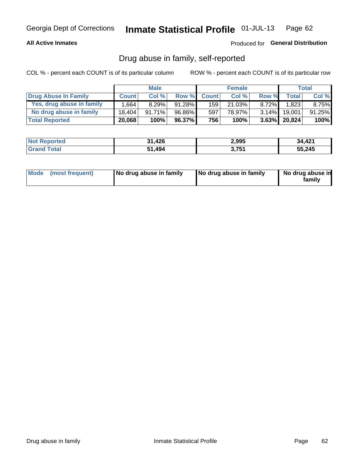### **All Active Inmates**

### Produced for General Distribution

## Drug abuse in family, self-reported

COL % - percent each COUNT is of its particular column

|                           |              | <b>Male</b> |           |                  | <b>Female</b> |          |                 | <b>Total</b> |
|---------------------------|--------------|-------------|-----------|------------------|---------------|----------|-----------------|--------------|
| Drug Abuse In Family      | <b>Count</b> | Col%        | Row %     | <b>Count</b>     | Col %         | Row %    | Total           | Col %        |
| Yes, drug abuse in family | ٔ 664.،      | 8.29%       | $91.28\%$ | 159 <sup>1</sup> | 21.03%        | $8.72\%$ | 1,823           | $8.75\%$     |
| No drug abuse in family   | 18.404       | 91.71%      | 96.86%    | 597              | 78.97%        | $3.14\%$ | 19.001          | $91.25\%$    |
| <b>Total Reported</b>     | 20,068       | 100%        | 96.37%    | 7561             | 100%          |          | $3.63\%$ 20,824 | $100\%$      |

| <b>Not Reported</b> | 31,426 | 2,995 | 34,421 |
|---------------------|--------|-------|--------|
| <b>Grand Total</b>  | 51,494 | 3,751 | 55,245 |

|  | Mode (most frequent) | No drug abuse in family | No drug abuse in family | No drug abuse in<br>familv |
|--|----------------------|-------------------------|-------------------------|----------------------------|
|--|----------------------|-------------------------|-------------------------|----------------------------|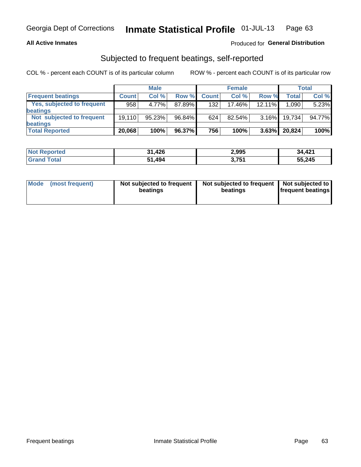### **All Active Inmates**

## Produced for General Distribution

## Subjected to frequent beatings, self-reported

COL % - percent each COUNT is of its particular column

|                            |              | <b>Male</b> |        |              | <b>Female</b> |           |        | Total  |
|----------------------------|--------------|-------------|--------|--------------|---------------|-----------|--------|--------|
| <b>Frequent beatings</b>   | <b>Count</b> | Col %       | Row %  | <b>Count</b> | Col %         | Row %     | Total  | Col%   |
| Yes, subjected to frequent | 958          | 4.77%       | 87.89% | 132          | 17.46%        | $12.11\%$ | 1,090  | 5.23%  |
| beatings                   |              |             |        |              |               |           |        |        |
| Not subjected to frequent  | 19.110       | 95.23%      | 96.84% | 624          | $82.54\%$     | $3.16\%$  | 19,734 | 94.77% |
| beatings                   |              |             |        |              |               |           |        |        |
| <b>Total Reported</b>      | 20,068       | 100%        | 96.37% | 756          | 100%          | 3.63%     | 20,824 | 100%   |

| <b>Not Reported</b> | 31,426 | 2,995 | 34,421 |
|---------------------|--------|-------|--------|
| <b>Grand Total</b>  | 51,494 | 3,751 | 55,245 |

| Mode (most frequent) | Not subjected to frequent<br>beatings | Not subjected to frequent<br>beatings | Not subjected to<br><b>frequent beatings</b> |
|----------------------|---------------------------------------|---------------------------------------|----------------------------------------------|
|                      |                                       |                                       |                                              |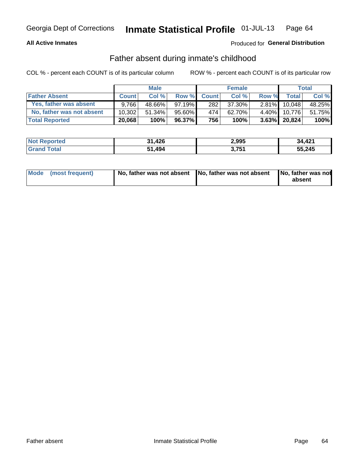### **All Active Inmates**

## Produced for General Distribution

## Father absent during inmate's childhood

COL % - percent each COUNT is of its particular column

|                           |              | <b>Male</b> |              |                  | <b>Female</b> |          |              | <b>Total</b> |
|---------------------------|--------------|-------------|--------------|------------------|---------------|----------|--------------|--------------|
| <b>Father Absent</b>      | <b>Count</b> | Col%        | <b>Row %</b> | <b>Count</b>     | Col %         | Row %    | <b>Total</b> | Col %        |
| Yes, father was absent    | 9.766        | 48.66%      | $97.19\%$    | 282 <sub>1</sub> | 37.30%        | $2.81\%$ | 10.048       | 48.25%       |
| No, father was not absent | 10.302       | $51.34\%$   | 95.60%       | 4741             | 62.70%        | $4.40\%$ | 10.776       | 51.75%       |
| <b>Total Reported</b>     | 20,068       | 100%        | $96.37\%$    | 756              | 100%          |          | 3.63% 20,824 | 100%         |

| <b>Not Reported</b> | 31,426 | 2,995 | 34,421 |
|---------------------|--------|-------|--------|
| <b>Grand Total</b>  | 51,494 | 3.751 | 55,245 |

| Mode (most frequent) |  | No, father was not absent No, father was not absent No, father was not | absent |
|----------------------|--|------------------------------------------------------------------------|--------|
|----------------------|--|------------------------------------------------------------------------|--------|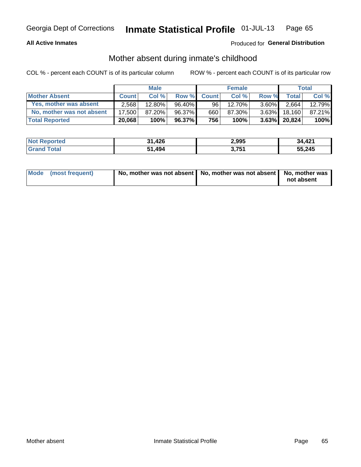### **All Active Inmates**

## Produced for General Distribution

## Mother absent during inmate's childhood

COL % - percent each COUNT is of its particular column

|                           | <b>Male</b>  |           |           | <b>Female</b>   |        |          | <b>Total</b> |        |
|---------------------------|--------------|-----------|-----------|-----------------|--------|----------|--------------|--------|
| <b>Mother Absent</b>      | <b>Count</b> | Col%      | Row %     | <b>Count</b>    | Col%   | Row %    | Total        | Col %  |
| Yes, mother was absent    | 2.568        | $12.80\%$ | 96.40%    | 96 <sub>1</sub> | 12.70% | $3.60\%$ | 2,664        | 12.79% |
| No, mother was not absent | 17.500       | 87.20%    | 96.37%    | 660             | 87.30% | $3.63\%$ | 18.160       | 87.21% |
| <b>Total Reported</b>     | 20,068       | 100%      | $96.37\%$ | 756             | 100%   | $3.63\%$ | 20,824       | 100%   |

| <b>Not Reported</b> | 31,426<br>21 | 2,995 | 34,421 |
|---------------------|--------------|-------|--------|
| d Total             | .494         | 751   | 55,245 |
| Grand               | -51          | 1 J   |        |

| Mode (most frequent) | No, mother was not absent   No, mother was not absent   No, mother was | not absent |
|----------------------|------------------------------------------------------------------------|------------|
|                      |                                                                        |            |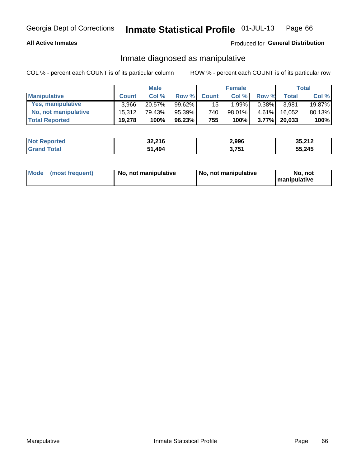### **All Active Inmates**

## Produced for General Distribution

## Inmate diagnosed as manipulative

COL % - percent each COUNT is of its particular column

|                       | <b>Male</b>  |           |           | <b>Female</b>   |        |          | Total        |        |
|-----------------------|--------------|-----------|-----------|-----------------|--------|----------|--------------|--------|
| <b>Manipulative</b>   | <b>Count</b> | Col %     | Row %     | <b>Count</b>    | Col%   | Row %    | <b>Total</b> | Col %  |
| Yes, manipulative     | 3.966        | $20.57\%$ | $99.62\%$ | 15 <sup>1</sup> | 1.99%  | $0.38\%$ | 3.981        | 19.87% |
| No, not manipulative  | 15.312       | 79.43%    | 95.39%    | 740             | 98.01% | $4.61\%$ | 16.052       | 80.13% |
| <b>Total Reported</b> | 19,278       | 100%      | 96.23%    | 755             | 100%   | $3.77\%$ | 20,033       | 100%   |

| <b>Not Reported</b> | 32,216 | 2,996 | 35,212 |
|---------------------|--------|-------|--------|
| <b>Grand Total</b>  | . 494  | 3,751 | 55,245 |

|  | Mode (most frequent) | No, not manipulative | No, not manipulative | No. not<br><b>I</b> manipulative |
|--|----------------------|----------------------|----------------------|----------------------------------|
|--|----------------------|----------------------|----------------------|----------------------------------|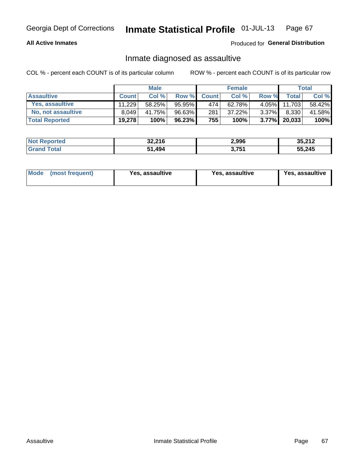### **All Active Inmates**

### Produced for General Distribution

## Inmate diagnosed as assaultive

COL % - percent each COUNT is of its particular column

|                       | <b>Male</b>  |        |        | <b>Female</b> |        |          | Total  |        |
|-----------------------|--------------|--------|--------|---------------|--------|----------|--------|--------|
| <b>Assaultive</b>     | <b>Count</b> | Col %  | Row %  | <b>Count</b>  | Col %  | Row %    | Totall | Col %  |
| Yes, assaultive       | 11.229       | 58.25% | 95.95% | 474           | 62.78% | $4.05\%$ | 11,703 | 58.42% |
| No, not assaultive    | 8.049        | 41.75% | 96.63% | 281           | 37.22% | $3.37\%$ | 8,330  | 41.58% |
| <b>Total Reported</b> | 19,278       | 100%   | 96.23% | 755           | 100%   | $3.77\%$ | 20,033 | 100%   |

| <b>Not Reported</b> | 32,216 | 2,996 | 35,212 |
|---------------------|--------|-------|--------|
| <b>Grand Total</b>  | 51,494 | 3,751 | 55,245 |

| Mode<br>(most frequent) | Yes, assaultive | Yes, assaultive | <b>Yes, assaultive</b> |
|-------------------------|-----------------|-----------------|------------------------|
|-------------------------|-----------------|-----------------|------------------------|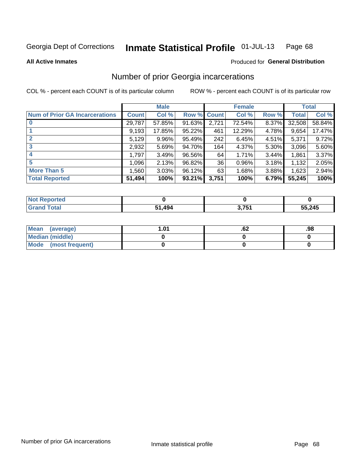#### Inmate Statistical Profile 01-JUL-13 Page 68

**All Active Inmates** 

### **Produced for General Distribution**

## Number of prior Georgia incarcerations

COL % - percent each COUNT is of its particular column

|                                       |              | <b>Male</b> |                    |       | <b>Female</b> |       |        | <b>Total</b> |
|---------------------------------------|--------------|-------------|--------------------|-------|---------------|-------|--------|--------------|
| <b>Num of Prior GA Incarcerations</b> | <b>Count</b> | Col %       | <b>Row % Count</b> |       | Col %         | Row % | Total  | Col %        |
| $\bf{0}$                              | 29,787       | 57.85%      | 91.63%             | 2,721 | 72.54%        | 8.37% | 32,508 | 58.84%       |
|                                       | 9,193        | 17.85%      | 95.22%             | 461   | 12.29%        | 4.78% | 9,654  | 17.47%       |
| $\mathbf{2}$                          | 5,129        | 9.96%       | 95.49%             | 242   | 6.45%         | 4.51% | 5,371  | 9.72%        |
| 3                                     | 2,932        | 5.69%       | 94.70%             | 164   | 4.37%         | 5.30% | 3,096  | 5.60%        |
| 4                                     | 1,797        | 3.49%       | 96.56%             | 64    | 1.71%         | 3.44% | 1,861  | 3.37%        |
| 5                                     | 1,096        | 2.13%       | 96.82%             | 36    | 0.96%         | 3.18% | 1,132  | 2.05%        |
| <b>More Than 5</b>                    | 1,560        | 3.03%       | 96.12%             | 63    | 1.68%         | 3.88% | 1,623  | 2.94%        |
| <b>Total Reported</b>                 | 51,494       | 100%        | 93.21%             | 3,751 | 100%          | 6.79% | 55,245 | 100%         |

| <b>Not</b><br>Reported |        |                          |        |
|------------------------|--------|--------------------------|--------|
| $\tau$ otar<br>Gra     | 494. ا | ? 751<br>$J_{1}$ $J_{1}$ | 55,245 |

| Mean (average)         | 1.01 | ٥۷. | .98 |
|------------------------|------|-----|-----|
| <b>Median (middle)</b> |      |     |     |
| Mode (most frequent)   |      |     |     |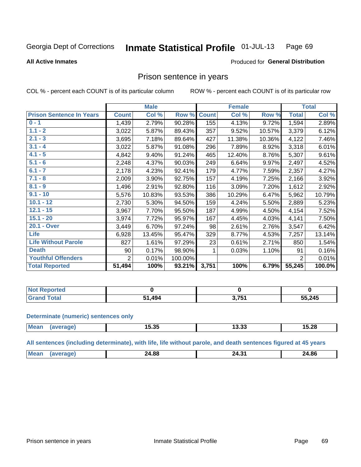#### Inmate Statistical Profile 01-JUL-13 Page 69

**All Active Inmates** 

#### Produced for General Distribution

## Prison sentence in years

COL % - percent each COUNT is of its particular column

ROW % - percent each COUNT is of its particular row

|                                 | <b>Male</b>    |        |         |              | <b>Female</b> | <b>Total</b> |              |        |
|---------------------------------|----------------|--------|---------|--------------|---------------|--------------|--------------|--------|
| <b>Prison Sentence In Years</b> | <b>Count</b>   | Col %  | Row %   | <b>Count</b> | Col %         | Row %        | <b>Total</b> | Col %  |
| $0 - 1$                         | 1,439          | 2.79%  | 90.28%  | 155          | 4.13%         | 9.72%        | 1,594        | 2.89%  |
| $1.1 - 2$                       | 3,022          | 5.87%  | 89.43%  | 357          | 9.52%         | 10.57%       | 3,379        | 6.12%  |
| $2.1 - 3$                       | 3,695          | 7.18%  | 89.64%  | 427          | 11.38%        | 10.36%       | 4,122        | 7.46%  |
| $3.1 - 4$                       | 3,022          | 5.87%  | 91.08%  | 296          | 7.89%         | 8.92%        | 3,318        | 6.01%  |
| $4.1 - 5$                       | 4,842          | 9.40%  | 91.24%  | 465          | 12.40%        | 8.76%        | 5,307        | 9.61%  |
| $5.1 - 6$                       | 2,248          | 4.37%  | 90.03%  | 249          | 6.64%         | 9.97%        | 2,497        | 4.52%  |
| $6.1 - 7$                       | 2,178          | 4.23%  | 92.41%  | 179          | 4.77%         | 7.59%        | 2,357        | 4.27%  |
| $7.1 - 8$                       | 2,009          | 3.90%  | 92.75%  | 157          | 4.19%         | 7.25%        | 2,166        | 3.92%  |
| $8.1 - 9$                       | 1,496          | 2.91%  | 92.80%  | 116          | 3.09%         | 7.20%        | 1,612        | 2.92%  |
| $9.1 - 10$                      | 5,576          | 10.83% | 93.53%  | 386          | 10.29%        | 6.47%        | 5,962        | 10.79% |
| $10.1 - 12$                     | 2,730          | 5.30%  | 94.50%  | 159          | 4.24%         | 5.50%        | 2,889        | 5.23%  |
| $12.1 - 15$                     | 3,967          | 7.70%  | 95.50%  | 187          | 4.99%         | 4.50%        | 4,154        | 7.52%  |
| $15.1 - 20$                     | 3,974          | 7.72%  | 95.97%  | 167          | 4.45%         | 4.03%        | 4,141        | 7.50%  |
| 20.1 - Over                     | 3,449          | 6.70%  | 97.24%  | 98           | 2.61%         | 2.76%        | 3,547        | 6.42%  |
| <b>Life</b>                     | 6,928          | 13.45% | 95.47%  | 329          | 8.77%         | 4.53%        | 7,257        | 13.14% |
| <b>Life Without Parole</b>      | 827            | 1.61%  | 97.29%  | 23           | 0.61%         | 2.71%        | 850          | 1.54%  |
| <b>Death</b>                    | 90             | 0.17%  | 98.90%  | 1            | 0.03%         | 1.10%        | 91           | 0.16%  |
| <b>Youthful Offenders</b>       | $\overline{2}$ | 0.01%  | 100.00% |              |               |              | 2            | 0.01%  |
| <b>Total Reported</b>           | 51,494         | 100%   | 93.21%  | 3,751        | 100%          | 6.79%        | 55,245       | 100.0% |

| ported<br>I NOT |      |      |        |  |
|-----------------|------|------|--------|--|
|                 | .494 | 2751 | 55,245 |  |

#### **Determinate (numeric) sentences only**

| <b>Mean</b> | 15.35 | נכ.כו | 15.28 |
|-------------|-------|-------|-------|
|             |       |       |       |

All sentences (including determinate), with life, life without parole, and death sentences figured at 45 years

| $M\Omega$ . | $\sim$<br>___ | . .<br>ЭΔ.<br><b>. .</b> | 24.86<br>___ |
|-------------|---------------|--------------------------|--------------|
|             |               |                          |              |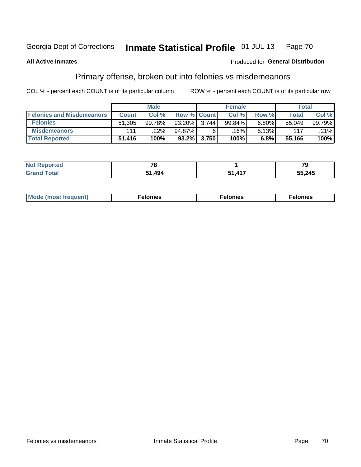#### Inmate Statistical Profile 01-JUL-13 Page 70

### **All Active Inmates**

### Produced for General Distribution

## Primary offense, broken out into felonies vs misdemeanors

COL % - percent each COUNT is of its particular column

|                                  | <b>Male</b>  |        |                    | <b>Female</b>  |        |       | Total  |         |
|----------------------------------|--------------|--------|--------------------|----------------|--------|-------|--------|---------|
| <b>Felonies and Misdemeanors</b> | <b>Count</b> | Col%   | <b>Row % Count</b> |                | Col%   | Row % | Total  | Col %   |
| <b>Felonies</b>                  | 51,305       | 99.78% | 93.20%             | 3.744          | 99.84% | 6.80% | 55.049 | 99.79%  |
| <b>Misdemeanors</b>              | 111          | 22%    | 94.87%             | 6              | ا 16%. | 5.13% | 117    | $.21\%$ |
| <b>Total Reported</b>            | 51,416       | 100%   |                    | $93.2\%$ 3,750 | 100%   | 6.8%  | 55,166 | 100%    |

| <b>Not</b><br>Reported | $\sim$ |                  | 70<br>- - |  |
|------------------------|--------|------------------|-----------|--|
| Total<br><b>Grand</b>  | ,494   | $\overline{117}$ | 55,245    |  |

| M      | .    | nes | onies |
|--------|------|-----|-------|
| nuenti | ____ | .   | .     |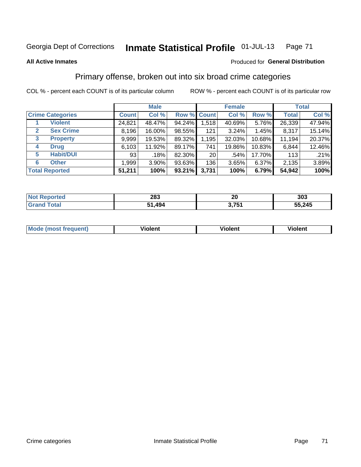# Georgia Dept of Corrections **Inmate Statistical Profile** 01-JUL-13 Page 71

#### **All Active Inmates**

### Produced for **General Distribution**

## Primary offense, broken out into six broad crime categories

COL % - percent each COUNT is of its particular column ROW % - percent each COUNT is of its particular row

|                                 |              | <b>Male</b> |        |                 | <b>Female</b> |        |              | <b>Total</b> |  |
|---------------------------------|--------------|-------------|--------|-----------------|---------------|--------|--------------|--------------|--|
| <b>Crime Categories</b>         | <b>Count</b> | Col %       |        | Row % Count     | Col %         | Row %  | <b>Total</b> | Col %        |  |
| <b>Violent</b>                  | 24,821       | 48.47%      | 94.24% | 1,518           | 40.69%        | 5.76%  | 26,339       | 47.94%       |  |
| <b>Sex Crime</b><br>2           | 8,196        | 16.00%      | 98.55% | 121             | 3.24%         | 1.45%  | 8,317        | 15.14%       |  |
| $\mathbf{3}$<br><b>Property</b> | 9,999        | 19.53%      | 89.32% | 1,195           | 32.03%        | 10.68% | 11,194       | 20.37%       |  |
| <b>Drug</b><br>4                | 6,103        | 11.92%      | 89.17% | 741             | 19.86%        | 10.83% | 6,844        | 12.46%       |  |
| <b>Habit/DUI</b><br>5           | 93           | .18%        | 82.30% | 20 <sub>1</sub> | .54%          | 17.70% | 113          | .21%         |  |
| <b>Other</b><br>6               | 1,999        | 3.90%       | 93.63% | 136             | 3.65%         | 6.37%  | 2,135        | 3.89%        |  |
| <b>Total Reported</b>           | 51,211       | 100%        | 93.21% | 3,731           | 100%          | 6.79%  | 54,942       | 100%         |  |

| neo<br>NO | 283       | ົ<br>ZV         | 303    |  |  |
|-----------|-----------|-----------------|--------|--|--|
|           | 494<br>c, | , 764<br>ו שווי | 55,245 |  |  |

| <b>Mode (most frequent)</b> | .<br>ïolent | 'iolent | ---<br>Violent |
|-----------------------------|-------------|---------|----------------|
|                             |             |         |                |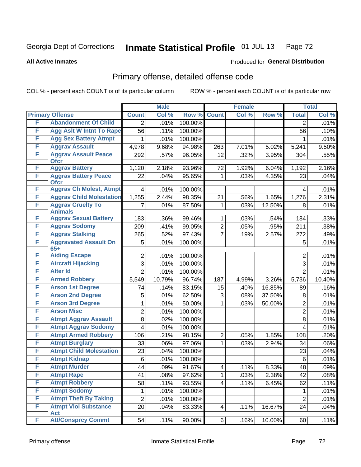# Georgia Dept of Corrections **Inmate Statistical Profile** 01-JUL-13 Page 72

#### **All Active Inmates**

## Produced for **General Distribution**

# Primary offense, detailed offense code

COL % - percent each COUNT is of its particular column ROW % - percent each COUNT is of its particular row

|   |                                            | <b>Male</b>    |        |         | <b>Female</b>  | <b>Total</b> |        |                |        |
|---|--------------------------------------------|----------------|--------|---------|----------------|--------------|--------|----------------|--------|
|   | <b>Primary Offense</b>                     | <b>Count</b>   | Col %  | Row %   | <b>Count</b>   | Col %        | Row %  | <b>Total</b>   | Col %  |
| F | <b>Abandonment Of Child</b>                | $\overline{2}$ | .01%   | 100.00% |                |              |        | 2              | .01%   |
| F | <b>Agg Aslt W Intnt To Rape</b>            | 56             | .11%   | 100.00% |                |              |        | 56             | .10%   |
| F | <b>Agg Sex Battery Atmpt</b>               | 1              | .01%   | 100.00% |                |              |        |                | .01%   |
| F | <b>Aggrav Assault</b>                      | 4,978          | 9.68%  | 94.98%  | 263            | 7.01%        | 5.02%  | 5,241          | 9.50%  |
| F | <b>Aggrav Assault Peace</b><br><b>Ofcr</b> | 292            | .57%   | 96.05%  | 12             | .32%         | 3.95%  | 304            | .55%   |
| F | <b>Aggrav Battery</b>                      | 1,120          | 2.18%  | 93.96%  | 72             | 1.92%        | 6.04%  | 1,192          | 2.16%  |
| F | <b>Aggrav Battery Peace</b><br><b>Ofcr</b> | 22             | .04%   | 95.65%  | 1              | .03%         | 4.35%  | 23             | .04%   |
| F | <b>Aggrav Ch Molest, Atmpt</b>             | 4              | .01%   | 100.00% |                |              |        | 4              | .01%   |
| F | <b>Aggrav Child Molestation</b>            | 1,255          | 2.44%  | 98.35%  | 21             | .56%         | 1.65%  | 1,276          | 2.31%  |
| F | <b>Aggrav Cruelty To</b><br><b>Animals</b> | 7              | .01%   | 87.50%  | 1              | .03%         | 12.50% | 8              | .01%   |
| F | <b>Aggrav Sexual Battery</b>               | 183            | .36%   | 99.46%  | 1              | .03%         | .54%   | 184            | .33%   |
| F | <b>Aggrav Sodomy</b>                       | 209            | .41%   | 99.05%  | $\overline{2}$ | .05%         | .95%   | 211            | .38%   |
| F | <b>Aggrav Stalking</b>                     | 265            | .52%   | 97.43%  | $\overline{7}$ | .19%         | 2.57%  | 272            | .49%   |
| F | <b>Aggravated Assault On</b><br>$65+$      | 5              | .01%   | 100.00% |                |              |        | 5              | .01%   |
| F | <b>Aiding Escape</b>                       | $\overline{2}$ | .01%   | 100.00% |                |              |        | 2              | .01%   |
| F | <b>Aircraft Hijacking</b>                  | 3              | .01%   | 100.00% |                |              |        | 3              | .01%   |
| F | <b>Alter Id</b>                            | $\overline{2}$ | .01%   | 100.00% |                |              |        | $\overline{2}$ | .01%   |
| F | <b>Armed Robbery</b>                       | 5,549          | 10.79% | 96.74%  | 187            | 4.99%        | 3.26%  | 5,736          | 10.40% |
| F | <b>Arson 1st Degree</b>                    | 74             | .14%   | 83.15%  | 15             | .40%         | 16.85% | 89             | .16%   |
| F | <b>Arson 2nd Degree</b>                    | 5              | .01%   | 62.50%  | 3              | .08%         | 37.50% | 8              | .01%   |
| F | <b>Arson 3rd Degree</b>                    | 1              | .01%   | 50.00%  | 1              | .03%         | 50.00% | $\overline{2}$ | .01%   |
| F | <b>Arson Misc</b>                          | $\overline{2}$ | .01%   | 100.00% |                |              |        | $\overline{2}$ | .01%   |
| F | <b>Atmpt Aggrav Assault</b>                | 8              | .02%   | 100.00% |                |              |        | 8              | .01%   |
| F | <b>Atmpt Aggrav Sodomy</b>                 | 4              | .01%   | 100.00% |                |              |        | 4              | .01%   |
| F | <b>Atmpt Armed Robbery</b>                 | 106            | .21%   | 98.15%  | $\overline{2}$ | .05%         | 1.85%  | 108            | .20%   |
| F | <b>Atmpt Burglary</b>                      | 33             | .06%   | 97.06%  | 1              | .03%         | 2.94%  | 34             | .06%   |
| F | <b>Atmpt Child Molestation</b>             | 23             | .04%   | 100.00% |                |              |        | 23             | .04%   |
| F | <b>Atmpt Kidnap</b>                        | $\,6$          | .01%   | 100.00% |                |              |        | 6              | .01%   |
| F | <b>Atmpt Murder</b>                        | 44             | .09%   | 91.67%  | 4              | .11%         | 8.33%  | 48             | .09%   |
| F | <b>Atmpt Rape</b>                          | 41             | .08%   | 97.62%  | 1              | .03%         | 2.38%  | 42             | .08%   |
| F | <b>Atmpt Robbery</b>                       | 58             | .11%   | 93.55%  | 4              | .11%         | 6.45%  | 62             | .11%   |
| F | <b>Atmpt Sodomy</b>                        | 1              | .01%   | 100.00% |                |              |        | 1              | .01%   |
| F | <b>Atmpt Theft By Taking</b>               | $\overline{2}$ | .01%   | 100.00% |                |              |        | $\overline{2}$ | .01%   |
| F | <b>Atmpt Viol Substance</b><br><b>Act</b>  | 20             | .04%   | 83.33%  | $\overline{4}$ | .11%         | 16.67% | 24             | .04%   |
| F | <b>Att/Consprcy Commt</b>                  | 54             | .11%   | 90.00%  | 6              | .16%         | 10.00% | 60             | .11%   |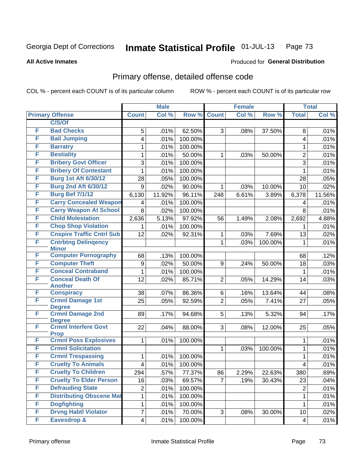#### **All Active Inmates**

#### Produced for **General Distribution**

## Primary offense, detailed offense code

|   |                                              | <b>Male</b>             |        |                   |                | <b>Female</b> |         |                         | <b>Total</b> |
|---|----------------------------------------------|-------------------------|--------|-------------------|----------------|---------------|---------|-------------------------|--------------|
|   | <b>Primary Offense</b>                       | <b>Count</b>            | Col %  | Row %             | <b>Count</b>   | Col %         | Row %   | <b>Total</b>            | Col %        |
|   | C/S/Of                                       |                         |        |                   |                |               |         |                         |              |
| F | <b>Bad Checks</b>                            | 5                       | .01%   | 62.50%            | 3              | .08%          | 37.50%  | 8                       | .01%         |
| F | <b>Bail Jumping</b>                          | 4                       | .01%   | 100.00%           |                |               |         | 4                       | .01%         |
| F | <b>Barratry</b>                              | 1                       | .01%   | 100.00%           |                |               |         | 1                       | .01%         |
| F | <b>Bestiality</b>                            | 1                       | .01%   | 50.00%            | $\mathbf 1$    | .03%          | 50.00%  | $\overline{2}$          | .01%         |
| F | <b>Bribery Govt Officer</b>                  | 3                       | .01%   | 100.00%           |                |               |         | 3                       | .01%         |
| F | <b>Bribery Of Contestant</b>                 | 1                       | .01%   | 100.00%           |                |               |         | $\mathbf{1}$            | .01%         |
| F | <b>Burg 1st Aft 6/30/12</b>                  | 28                      | .05%   | 100.00%           |                |               |         | 28                      | .05%         |
| F | <b>Burg 2nd Aft 6/30/12</b>                  | 9                       | .02%   | 90.00%            | $\mathbf 1$    | .03%          | 10.00%  | 10                      | .02%         |
| F | <b>Burg Bef 7/1/12</b>                       | 6,130                   | 11.92% | 96.11%            | 248            | 6.61%         | 3.89%   | 6,378                   | 11.56%       |
| F | <b>Carry Concealed Weapon</b>                | 4                       | .01%   | 100.00%           |                |               |         | 4                       | .01%         |
| F | <b>Carry Weapon At School</b>                | 8                       | .02%   | 100.00%           |                |               |         | $\,8\,$                 | .01%         |
| F | <b>Child Molestation</b>                     | 2,636                   | 5.13%  | 97.92%            | 56             | 1.49%         | 2.08%   | 2,692                   | 4.88%        |
| F | <b>Chop Shop Violation</b>                   | 1.                      | .01%   | 100.00%           |                |               |         | 1                       | .01%         |
| F | <b>Cnspire Traffic Cntrl Sub</b>             | 12                      | .02%   | 92.31%            | 1              | .03%          | 7.69%   | 13                      | .02%         |
| F | <b>Cntrbtng Delingency</b>                   |                         |        |                   | 1              | .03%          | 100.00% | 1                       | .01%         |
| F | <b>Minor</b><br><b>Computer Pornography</b>  |                         |        |                   |                |               |         |                         |              |
| F | <b>Computer Theft</b>                        | 68                      | .13%   | 100.00%           |                |               |         | 68                      | .12%         |
| F | <b>Conceal Contraband</b>                    | $\boldsymbol{9}$<br>1   | .02%   | 50.00%<br>100.00% | 9              | .24%          | 50.00%  | 18                      | .03%<br>.01% |
| F | <b>Conceal Death Of</b>                      | 12                      | .01%   |                   | $\overline{2}$ |               |         | 1<br>14                 |              |
|   | <b>Another</b>                               |                         | .02%   | 85.71%            |                | .05%          | 14.29%  |                         | .03%         |
| F | <b>Conspiracy</b>                            | 38                      | .07%   | 86.36%            | 6              | .16%          | 13.64%  | 44                      | .08%         |
| F | <b>Crmnl Damage 1st</b>                      | $\overline{25}$         | .05%   | 92.59%            | $\overline{2}$ | .05%          | 7.41%   | 27                      | .05%         |
|   | <b>Degree</b>                                |                         |        |                   |                |               |         |                         |              |
| F | <b>Crmnl Damage 2nd</b>                      | 89                      | .17%   | 94.68%            | 5              | .13%          | 5.32%   | 94                      | .17%         |
| F | <b>Degree</b><br><b>Crmnl Interfere Govt</b> | 22                      | .04%   | 88.00%            | 3 <sup>1</sup> | .08%          | 12.00%  | 25                      | .05%         |
|   | <b>Prop</b>                                  |                         |        |                   |                |               |         |                         |              |
| F | <b>Crmnl Poss Explosives</b>                 | 1                       | .01%   | 100.00%           |                |               |         | 1                       | .01%         |
| F | <b>Crmnl Solicitation</b>                    |                         |        |                   | 1              | .03%          | 100.00% | $\mathbf{1}$            | .01%         |
| F | <b>Crmnl Trespassing</b>                     | 1                       | .01%   | 100.00%           |                |               |         | 1                       | .01%         |
| F | <b>Cruelty To Animals</b>                    | $\overline{\mathbf{4}}$ | .01%   | 100.00%           |                |               |         | 4                       | .01%         |
| F | <b>Cruelty To Children</b>                   | 294                     | .57%   | 77.37%            | 86             | 2.29%         | 22.63%  | 380                     | .69%         |
| F | <b>Cruelty To Elder Person</b>               | 16                      | .03%   | 69.57%            | $\overline{7}$ | .19%          | 30.43%  | 23                      | .04%         |
| F | <b>Defrauding State</b>                      | $\overline{2}$          | .01%   | 100.00%           |                |               |         | $\overline{2}$          | .01%         |
| F | <b>Distributing Obscene Mat</b>              | 1                       | .01%   | 100.00%           |                |               |         | $\mathbf{1}$            | .01%         |
| F | <b>Dogfighting</b>                           | 1                       | .01%   | 100.00%           |                |               |         | $\mathbf{1}$            | .01%         |
| F | <b>Drvng Habtl Violator</b>                  | 7                       | .01%   | 70.00%            | 3              | .08%          | 30.00%  | 10                      | .02%         |
| F | Eavesdrop &                                  | $\overline{4}$          | .01%   | 100.00%           |                |               |         | $\overline{\mathbf{4}}$ | .01%         |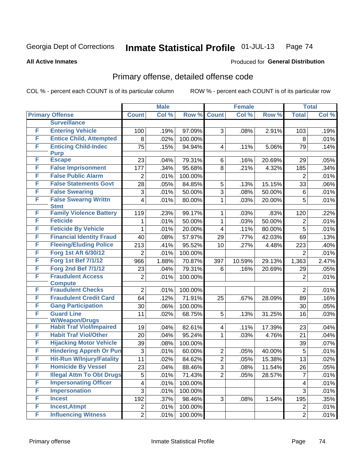#### **All Active Inmates**

#### Produced for **General Distribution**

### Primary offense, detailed offense code

|   |                                                          | <b>Male</b>             |       |         | <b>Female</b>           |        |        | <b>Total</b>        |              |
|---|----------------------------------------------------------|-------------------------|-------|---------|-------------------------|--------|--------|---------------------|--------------|
|   | <b>Primary Offense</b>                                   | <b>Count</b>            | Col % | Row %   | <b>Count</b>            | Col %  | Row %  | <b>Total</b>        | Col %        |
|   | <b>Surveillance</b>                                      |                         |       |         |                         |        |        |                     |              |
| F | <b>Entering Vehicle</b>                                  | 100                     | .19%  | 97.09%  | 3                       | .08%   | 2.91%  | 103                 | .19%         |
| F | <b>Entice Child, Attempted</b>                           | 8                       | .02%  | 100.00% |                         |        |        | 8                   | .01%         |
| F | <b>Enticing Child-Indec</b>                              | 75                      | .15%  | 94.94%  | $\overline{\mathbf{4}}$ | .11%   | 5.06%  | 79                  | .14%         |
|   | <b>Purp</b>                                              |                         |       |         |                         |        |        |                     |              |
| F | <b>Escape</b>                                            | 23                      | .04%  | 79.31%  | 6                       | .16%   | 20.69% | 29                  | .05%         |
| F | <b>False Imprisonment</b>                                | 177                     | .34%  | 95.68%  | 8                       | .21%   | 4.32%  | 185                 | .34%         |
| F | <b>False Public Alarm</b>                                | $\overline{2}$          | .01%  | 100.00% |                         |        |        | $\overline{2}$      | .01%         |
| F | <b>False Statements Govt</b>                             | 28                      | .05%  | 84.85%  | 5                       | .13%   | 15.15% | 33                  | .06%         |
| F | <b>False Swearing</b>                                    | 3                       | .01%  | 50.00%  | $\overline{3}$          | .08%   | 50.00% | $\,6$               | .01%         |
| F | <b>False Swearng Writtn</b><br><b>Stmt</b>               | 4                       | .01%  | 80.00%  | $\mathbf 1$             | .03%   | 20.00% | 5                   | .01%         |
| F | <b>Family Violence Battery</b>                           | 119                     | .23%  | 99.17%  | 1                       | .03%   | .83%   | 120                 | .22%         |
| F | <b>Feticide</b>                                          | 1                       | .01%  | 50.00%  | 1                       | .03%   | 50.00% | 2                   | .01%         |
| F | <b>Feticide By Vehicle</b>                               | 1                       | .01%  | 20.00%  | 4                       | .11%   | 80.00% | 5                   | .01%         |
| F | <b>Financial Identity Fraud</b>                          | 40                      | .08%  | 57.97%  | 29                      | .77%   | 42.03% | 69                  | .13%         |
| F | <b>Fleeing/Eluding Police</b>                            | 213                     | .41%  | 95.52%  | 10                      | .27%   | 4.48%  | 223                 | .40%         |
| F | Forg 1st Aft 6/30/12                                     | $\overline{2}$          | .01%  | 100.00% |                         |        |        | $\overline{2}$      | .01%         |
| F | <b>Forg 1st Bef 7/1/12</b>                               | 966                     | 1.88% | 70.87%  | 397                     | 10.59% | 29.13% | 1,363               | 2.47%        |
| F | <b>Forg 2nd Bef 7/1/12</b>                               | 23                      | .04%  | 79.31%  | 6                       | .16%   | 20.69% | 29                  | .05%         |
| F | <b>Fraudulent Access</b>                                 | $\overline{2}$          | .01%  | 100.00% |                         |        |        | 2                   | .01%         |
|   | <b>Compute</b>                                           |                         |       |         |                         |        |        |                     |              |
| F | <b>Fraudulent Checks</b>                                 | $\overline{2}$          | .01%  | 100.00% |                         |        |        | $\overline{2}$      | .01%         |
| F | <b>Fraudulent Credit Card</b>                            | 64                      | .12%  | 71.91%  | 25                      | .67%   | 28.09% | 89                  | .16%         |
| F | <b>Gang Participation</b>                                | 30                      | .06%  | 100.00% |                         |        |        | 30                  | .05%         |
| F | <b>Guard Line</b>                                        | 11                      | .02%  | 68.75%  | 5                       | .13%   | 31.25% | 16                  | .03%         |
| F | <b>W/Weapon/Drugs</b><br><b>Habit Traf Viol/Impaired</b> | 19                      | .04%  | 82.61%  | 4                       | .11%   | 17.39% | 23                  | .04%         |
| F | <b>Habit Traf Viol/Other</b>                             | 20                      | .04%  | 95.24%  | 1                       | .03%   | 4.76%  | 21                  | $.04\%$      |
| F | <b>Hijacking Motor Vehicle</b>                           | 39                      | .08%  | 100.00% |                         |        |        | 39                  | .07%         |
| F | <b>Hindering Appreh Or Pun</b>                           | 3                       | .01%  | 60.00%  | $\overline{2}$          | .05%   | 40.00% | $\overline{5}$      | .01%         |
| F | <b>Hit-Run W/Injury/Fatality</b>                         | 11                      | .02%  | 84.62%  | $\overline{2}$          | .05%   | 15.38% | 13                  | .02%         |
| F | <b>Homicide By Vessel</b>                                | $\overline{23}$         | .04%  | 88.46%  | $\overline{3}$          | .08%   | 11.54% | 26                  | .05%         |
| F | <b>Illegal Attm To Obt Drugs</b>                         | 5                       | .01%  | 71.43%  | $\overline{2}$          | .05%   |        | $\overline{7}$      | .01%         |
| F | <b>Impersonating Officer</b>                             | $\overline{\mathbf{4}}$ | .01%  | 100.00% |                         |        | 28.57% |                     | .01%         |
| F | <b>Impersonation</b>                                     | 3                       | .01%  | 100.00% |                         |        |        | 4<br>$\mathfrak{S}$ |              |
| F | <b>Incest</b>                                            | 192                     | .37%  | 98.46%  | 3 <sup>1</sup>          | .08%   | 1.54%  | 195                 | .01%<br>.35% |
| F | <b>Incest, Atmpt</b>                                     | $\overline{2}$          | .01%  | 100.00% |                         |        |        | $\overline{2}$      | .01%         |
| F | <b>Influencing Witness</b>                               |                         |       |         |                         |        |        |                     |              |
|   |                                                          | $\overline{2}$          | .01%  | 100.00% |                         |        |        | $\overline{2}$      | .01%         |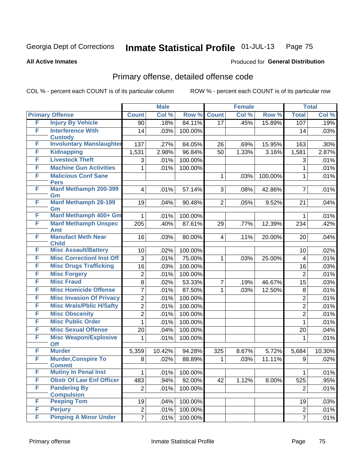**All Active Inmates**

#### Produced for **General Distribution**

### Primary offense, detailed offense code

|   |                                             | <b>Male</b>     |        |         | <b>Female</b>   |       |         | <b>Total</b>   |        |
|---|---------------------------------------------|-----------------|--------|---------|-----------------|-------|---------|----------------|--------|
|   | <b>Primary Offense</b>                      | <b>Count</b>    | Col %  | Row %   | <b>Count</b>    | Col % | Row %   | <b>Total</b>   | Col %  |
| F | <b>Injury By Vehicle</b>                    | $\overline{90}$ | .18%   | 84.11%  | $\overline{17}$ | .45%  | 15.89%  | 107            | .19%   |
| F | <b>Interference With</b>                    | 14              | .03%   | 100.00% |                 |       |         | 14             | .03%   |
|   | <b>Custody</b>                              |                 |        |         |                 |       |         |                |        |
| F | <b>Involuntary Manslaughter</b>             | 137             | .27%   | 84.05%  | 26              | .69%  | 15.95%  | 163            | .30%   |
| F | <b>Kidnapping</b>                           | 1,531           | 2.98%  | 96.84%  | 50              | 1.33% | 3.16%   | 1,581          | 2.87%  |
| F | <b>Livestock Theft</b>                      | 3               | .01%   | 100.00% |                 |       |         | 3              | .01%   |
| F | <b>Machine Gun Activities</b>               | $\mathbf{1}$    | .01%   | 100.00% |                 |       |         | $\mathbf{1}$   | .01%   |
| F | <b>Malicious Conf Sane</b>                  |                 |        |         | $\mathbf{1}$    | .03%  | 100.00% | 1              | .01%   |
| F | <b>Pers</b><br>Manf Methamph 200-399        | $\overline{4}$  |        | 57.14%  | 3               |       | 42.86%  | $\overline{7}$ |        |
|   | Gm                                          |                 | .01%   |         |                 | .08%  |         |                | .01%   |
| F | <b>Manf Methamph 28-199</b>                 | 19              | .04%   | 90.48%  | 2 <sup>1</sup>  | .05%  | 9.52%   | 21             | .04%   |
|   | Gm                                          |                 |        |         |                 |       |         |                |        |
| F | Manf Methamph 400+ Gm                       | 1               | .01%   | 100.00% |                 |       |         | $\mathbf 1$    | .01%   |
| F | <b>Manf Methamph Unspec</b>                 | 205             | .40%   | 87.61%  | 29              | .77%  | 12.39%  | 234            | .42%   |
|   | Amt                                         |                 |        |         |                 |       |         |                |        |
| F | <b>Manufact Meth Near</b>                   | 16              | .03%   | 80.00%  | $\overline{4}$  | .11%  | 20.00%  | 20             | .04%   |
| F | <b>Child</b><br><b>Misc Assault/Battery</b> | 10              | .02%   | 100.00% |                 |       |         | 10             | .02%   |
| F | <b>Misc CorrectionI Inst Off</b>            | 3               | .01%   | 75.00%  | $\mathbf 1$     | .03%  | 25.00%  | 4              | .01%   |
| F | <b>Misc Drugs Trafficking</b>               | 16              | .03%   | 100.00% |                 |       |         | 16             | .03%   |
| F | <b>Misc Forgery</b>                         | $\overline{2}$  | .01%   | 100.00% |                 |       |         | $\overline{2}$ | .01%   |
| F | <b>Misc Fraud</b>                           | 8               | .02%   | 53.33%  | $\overline{7}$  | .19%  | 46.67%  | 15             | .03%   |
| F | <b>Misc Homicide Offense</b>                |                 |        |         |                 |       |         |                |        |
|   |                                             | $\overline{7}$  | .01%   | 87.50%  | $\mathbf{1}$    | .03%  | 12.50%  | 8              | .01%   |
| F | <b>Misc Invasion Of Privacy</b>             | $\overline{2}$  | .01%   | 100.00% |                 |       |         | $\overline{2}$ | .01%   |
| F | <b>Misc Mrals/Pblic H/Safty</b>             | $\overline{2}$  | .01%   | 100.00% |                 |       |         | $\overline{2}$ | .01%   |
| F | <b>Misc Obscenity</b>                       | $\overline{2}$  | .01%   | 100.00% |                 |       |         | $\overline{2}$ | .01%   |
| F | <b>Misc Public Order</b>                    | 1               | .01%   | 100.00% |                 |       |         | 1              | .01%   |
| F | <b>Misc Sexual Offense</b>                  | 20              | .04%   | 100.00% |                 |       |         | 20             | .04%   |
| F | <b>Misc Weapon/Explosive</b><br><b>Off</b>  | 1               | .01%   | 100.00% |                 |       |         | $\mathbf{1}$   | .01%   |
| F | <b>Murder</b>                               | 5,359           | 10.42% | 94.28%  | 325             | 8.67% | 5.72%   | 5,684          | 10.30% |
| F | <b>Murder, Conspire To</b>                  | 8               | .02%   | 88.89%  | $\mathbf 1$     | .03%  | 11.11%  | 9              | .02%   |
|   | <b>Commit</b>                               |                 |        |         |                 |       |         |                |        |
| F | <b>Mutiny In Penal Inst</b>                 | $\mathbf{1}$    | .01%   | 100.00% |                 |       |         | $\mathbf{1}$   | .01%   |
| F | <b>Obstr Of Law Enf Officer</b>             | 483             | .94%   | 92.00%  | 42              | 1.12% | 8.00%   | 525            | .95%   |
| F | <b>Pandering By</b>                         | $\overline{2}$  | .01%   | 100.00% |                 |       |         | $\overline{2}$ | .01%   |
|   | <b>Compulsion</b>                           |                 |        |         |                 |       |         |                |        |
| F | <b>Peeping Tom</b>                          | 19              | .04%   | 100.00% |                 |       |         | 19             | .03%   |
| F | <b>Perjury</b>                              | $\overline{2}$  | .01%   | 100.00% |                 |       |         | $\overline{2}$ | .01%   |
| F | <b>Pimping A Minor Under</b>                | $\overline{7}$  | .01%   | 100.00% |                 |       |         | $\overline{7}$ | .01%   |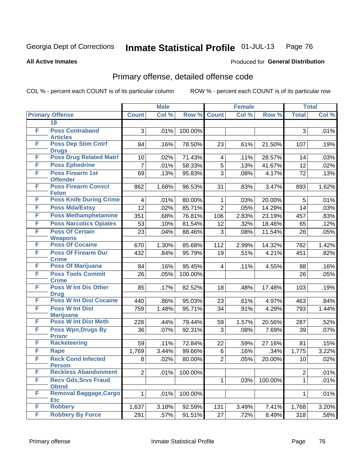Produced for **General Distribution**

#### **All Active Inmates**

# Primary offense, detailed offense code

|   |                                               | <b>Male</b>    |       |         | <b>Female</b>  |       |         | <b>Total</b>   |       |  |
|---|-----------------------------------------------|----------------|-------|---------|----------------|-------|---------|----------------|-------|--|
|   | <b>Primary Offense</b>                        | <b>Count</b>   | Col % | Row %   | <b>Count</b>   | Col%  | Row %   | <b>Total</b>   | Col % |  |
|   | 18                                            |                |       |         |                |       |         |                |       |  |
| F | <b>Poss Contraband</b><br><b>Articles</b>     | 3              | .01%  | 100.00% |                |       |         | 3              | .01%  |  |
| F | <b>Poss Dep Stim Cntrf</b><br><b>Drugs</b>    | 84             | .16%  | 78.50%  | 23             | .61%  | 21.50%  | 107            | .19%  |  |
| F | <b>Poss Drug Related Matri</b>                | 10             | .02%  | 71.43%  | $\overline{4}$ | .11%  | 28.57%  | 14             | .03%  |  |
| F | <b>Poss Ephedrine</b>                         | $\overline{7}$ | .01%  | 58.33%  | 5              | .13%  | 41.67%  | 12             | .02%  |  |
| F | <b>Poss Firearm 1st</b><br><b>Offender</b>    | 69             | .13%  | 95.83%  | 3              | .08%  | 4.17%   | 72             | .13%  |  |
| F | <b>Poss Firearm Convct</b><br><b>Felon</b>    | 862            | 1.68% | 96.53%  | 31             | .83%  | 3.47%   | 893            | 1.62% |  |
| F | <b>Poss Knife During Crime</b>                | 4              | .01%  | 80.00%  | $\mathbf{1}$   | .03%  | 20.00%  | 5              | .01%  |  |
| F | <b>Poss Mda/Extsy</b>                         | 12             | .02%  | 85.71%  | $\overline{2}$ | .05%  | 14.29%  | 14             | .03%  |  |
| F | <b>Poss Methamphetamine</b>                   | 351            | .68%  | 76.81%  | 106            | 2.83% | 23.19%  | 457            | .83%  |  |
| F | <b>Poss Narcotics Opiates</b>                 | 53             | .10%  | 81.54%  | 12             | .32%  | 18.46%  | 65             | .12%  |  |
| F | <b>Poss Of Certain</b><br><b>Weapons</b>      | 23             | .04%  | 88.46%  | 3              | .08%  | 11.54%  | 26             | .05%  |  |
| F | <b>Poss Of Cocaine</b>                        | 670            | 1.30% | 85.68%  | 112            | 2.99% | 14.32%  | 782            | 1.42% |  |
| F | <b>Poss Of Firearm Dur</b><br><b>Crime</b>    | 432            | .84%  | 95.79%  | 19             | .51%  | 4.21%   | 451            | .82%  |  |
| F | <b>Poss Of Marijuana</b>                      | 84             | .16%  | 95.45%  | $\overline{4}$ | .11%  | 4.55%   | 88             | .16%  |  |
| F | <b>Poss Tools Commit</b>                      | 26             | .05%  | 100.00% |                |       |         | 26             | .05%  |  |
|   | <b>Crime</b>                                  |                |       |         |                |       |         |                |       |  |
| F | <b>Poss W Int Dis Other</b>                   | 85             | .17%  | 82.52%  | 18             | .48%  | 17.48%  | 103            | .19%  |  |
| F | <b>Drug</b><br><b>Poss W Int Dist Cocaine</b> | 440            | .86%  | 95.03%  | 23             | .61%  | 4.97%   | 463            | .84%  |  |
| F | <b>Poss W Int Dist</b>                        | 759            | 1.48% | 95.71%  | 34             | .91%  | 4.29%   | 793            | 1.44% |  |
|   | <b>Marijuana</b>                              |                |       |         |                |       |         |                |       |  |
| F | <b>Poss W Int Dist Meth</b>                   | 228            | .44%  | 79.44%  | 59             | 1.57% | 20.56%  | 287            | .52%  |  |
| F | Poss Wpn, Drugs By                            | 36             | .07%  | 92.31%  | 3              | .08%  | 7.69%   | 39             | .07%  |  |
|   | <b>Prisnr</b>                                 |                |       |         |                |       |         |                |       |  |
| F | <b>Racketeering</b>                           | 59             | .11%  | 72.84%  | 22             | .59%  | 27.16%  | 81             | .15%  |  |
| F | Rape                                          | 1,769          | 3.44% | 99.66%  | 6              | .16%  | .34%    | 1,775          | 3.22% |  |
| F | <b>Reck Cond Infected</b><br><b>Person</b>    | 8              | .02%  | 80.00%  | $\overline{2}$ | .05%  | 20.00%  | 10             | .02%  |  |
| F | <b>Reckless Abandonment</b>                   | $\overline{2}$ | .01%  | 100.00% |                |       |         | $\overline{2}$ | .01%  |  |
| F | <b>Recv Gds, Srvs Fraud</b>                   |                |       |         | $\mathbf 1$    | .03%  | 100.00% | 1.             | .01%  |  |
|   | <b>Obtnd</b>                                  |                |       |         |                |       |         |                |       |  |
| F | Removal Baggage, Cargo                        | $\mathbf{1}$   | .01%  | 100.00% |                |       |         | $\mathbf{1}$   | .01%  |  |
| F | <b>Etc</b><br><b>Robbery</b>                  | 1,637          | 3.18% | 92.59%  | 131            | 3.49% | 7.41%   | 1,768          | 3.20% |  |
| F | <b>Robbery By Force</b>                       | 291            | .57%  | 91.51%  | 27             | .72%  | 8.49%   | 318            | .58%  |  |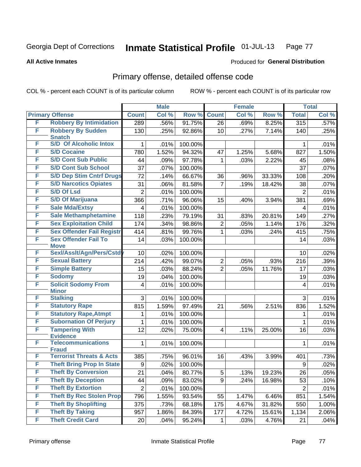**All Active Inmates**

#### Produced for **General Distribution**

### Primary offense, detailed offense code

|   |                                            | <b>Male</b>             |         |         |                 | <b>Female</b> |        |                | <b>Total</b> |
|---|--------------------------------------------|-------------------------|---------|---------|-----------------|---------------|--------|----------------|--------------|
|   | <b>Primary Offense</b>                     | <b>Count</b>            | Col %   | Row %   | <b>Count</b>    | Col %         | Row %  | <b>Total</b>   | Col %        |
| F | <b>Robbery By Intimidation</b>             | 289                     | .56%    | 91.75%  | 26              | .69%          | 8.25%  | 315            | .57%         |
| F | <b>Robbery By Sudden</b><br><b>Snatch</b>  | 130                     | .25%    | 92.86%  | 10 <sup>°</sup> | .27%          | 7.14%  | 140            | .25%         |
| F | <b>S/D Of Alcoholic Intox</b>              | 1                       | .01%    | 100.00% |                 |               |        | 1              | .01%         |
| F | <b>S/D Cocaine</b>                         | 780                     | 1.52%   | 94.32%  | 47              | 1.25%         | 5.68%  | 827            | 1.50%        |
| F | <b>S/D Cont Sub Public</b>                 | 44                      | .09%    | 97.78%  | 1               | .03%          | 2.22%  | 45             | .08%         |
| F | <b>S/D Cont Sub School</b>                 | 37                      | .07%    | 100.00% |                 |               |        | 37             | .07%         |
| F | <b>S/D Dep Stim Cntrf Drugs</b>            | 72                      | .14%    | 66.67%  | 36              | .96%          | 33.33% | 108            | .20%         |
| F | <b>S/D Narcotics Opiates</b>               | 31                      | .06%    | 81.58%  | $\overline{7}$  | .19%          | 18.42% | 38             | .07%         |
| F | <b>S/D Of Lsd</b>                          | $\overline{2}$          | .01%    | 100.00% |                 |               |        | $\overline{2}$ | .01%         |
| F | <b>S/D Of Marijuana</b>                    | 366                     | .71%    | 96.06%  | 15              | .40%          | 3.94%  | 381            | .69%         |
| F | <b>Sale Mda/Extsy</b>                      | $\overline{\mathbf{4}}$ | .01%    | 100.00% |                 |               |        | $\overline{4}$ | .01%         |
| F | <b>Sale Methamphetamine</b>                | 118                     | .23%    | 79.19%  | 31              | .83%          | 20.81% | 149            | .27%         |
| F | <b>Sex Exploitation Child</b>              | 174                     | .34%    | 98.86%  | $\overline{2}$  | .05%          | 1.14%  | 176            | .32%         |
| F | <b>Sex Offender Fail Registr</b>           | 414                     | .81%    | 99.76%  | $\mathbf{1}$    | .03%          | .24%   | 415            | .75%         |
| F | <b>Sex Offender Fail To</b><br><b>Move</b> | 14                      | .03%    | 100.00% |                 |               |        | 14             | .03%         |
| F | Sexl/Asslt/Agn/Pers/Cstd                   | 10                      | .02%    | 100.00% |                 |               |        | 10             | .02%         |
| F | <b>Sexual Battery</b>                      | 214                     | .42%    | 99.07%  | $\overline{2}$  | .05%          | .93%   | 216            | .39%         |
| F | <b>Simple Battery</b>                      | 15                      | .03%    | 88.24%  | $\overline{2}$  | .05%          | 11.76% | 17             | .03%         |
| F | <b>Sodomy</b>                              | 19                      | .04%    | 100.00% |                 |               |        | 19             | .03%         |
| F | <b>Solicit Sodomy From</b>                 | $\overline{\mathbf{4}}$ | .01%    | 100.00% |                 |               |        | 4              | .01%         |
|   | <b>Minor</b>                               |                         |         |         |                 |               |        |                |              |
| F | <b>Stalking</b>                            | 3                       | .01%    | 100.00% |                 |               |        | 3              | .01%         |
| F | <b>Statutory Rape</b>                      | 815                     | 1.59%   | 97.49%  | 21              | .56%          | 2.51%  | 836            | 1.52%        |
| F | <b>Statutory Rape, Atmpt</b>               | 1                       | .01%    | 100.00% |                 |               |        | 1              | .01%         |
| F | <b>Subornation Of Perjury</b>              | 1                       | .01%    | 100.00% |                 |               |        | 1              | .01%         |
| F | <b>Tampering With</b><br><b>Evidence</b>   | 12                      | .02%    | 75.00%  | $\overline{4}$  | .11%          | 25.00% | 16             | .03%         |
| F | <b>Telecommunications</b>                  | $\mathbf{1}$            | .01%    | 100.00% |                 |               |        | $\mathbf{1}$   | .01%         |
|   | <b>Fraud</b>                               |                         |         |         |                 |               |        |                |              |
| F | <b>Terrorist Threats &amp; Acts</b>        | 385                     | .75%    | 96.01%  | 16              | .43%          | 3.99%  | 401            | .73%         |
| F | <b>Theft Bring Prop In State</b>           | 9                       | $.02\%$ | 100.00% |                 |               |        | 9              | .02%         |
| F | <b>Theft By Conversion</b>                 | 21                      | .04%    | 80.77%  | 5               | .13%          | 19.23% | 26             | .05%         |
| F | <b>Theft By Deception</b>                  | 44                      | .09%    | 83.02%  | 9               | .24%          | 16.98% | 53             | .10%         |
| F | <b>Theft By Extortion</b>                  | $\overline{2}$          | .01%    | 100.00% |                 |               |        | $\overline{2}$ | .01%         |
| F | <b>Theft By Rec Stolen Prop</b>            | 796                     | 1.55%   | 93.54%  | 55              | 1.47%         | 6.46%  | 851            | 1.54%        |
| F | <b>Theft By Shoplifting</b>                | 375                     | .73%    | 68.18%  | 175             | 4.67%         | 31.82% | 550            | 1.00%        |
| F | <b>Theft By Taking</b>                     | 957                     | 1.86%   | 84.39%  | 177             | 4.72%         | 15.61% | 1,134          | 2.06%        |
| F | <b>Theft Credit Card</b>                   | 20                      | .04%    | 95.24%  | $\mathbf{1}$    | .03%          | 4.76%  | 21             | .04%         |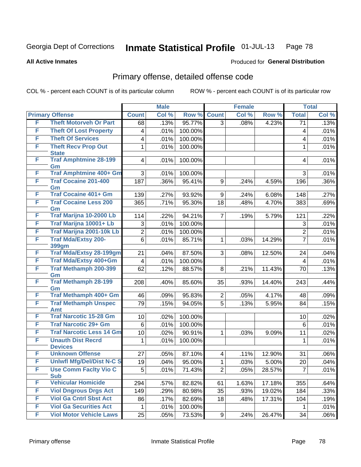#### **All Active Inmates**

#### Produced for **General Distribution**

### Primary offense, detailed offense code

|   |                                            | <b>Male</b>             |       |         | <b>Female</b>           |       |        | <b>Total</b>            |       |
|---|--------------------------------------------|-------------------------|-------|---------|-------------------------|-------|--------|-------------------------|-------|
|   | <b>Primary Offense</b>                     | <b>Count</b>            | Col % | Row %   | <b>Count</b>            | Col % | Row %  | <b>Total</b>            | Col % |
| F | <b>Theft Motorveh Or Part</b>              | 68                      | .13%  | 95.77%  | $\overline{3}$          | .08%  | 4.23%  | $\overline{71}$         | .13%  |
| F | <b>Theft Of Lost Property</b>              | 4                       | .01%  | 100.00% |                         |       |        | 4                       | .01%  |
| F | <b>Theft Of Services</b>                   | $\overline{\mathbf{4}}$ | .01%  | 100.00% |                         |       |        | 4                       | .01%  |
| F | <b>Theft Recv Prop Out</b>                 | 1                       | .01%  | 100.00% |                         |       |        | 1                       | .01%  |
|   | <b>State</b>                               |                         |       |         |                         |       |        |                         |       |
| F | <b>Traf Amphtmine 28-199</b><br>Gm         | $\overline{\mathbf{4}}$ | .01%  | 100.00% |                         |       |        | 4                       | .01%  |
| F | Traf Amphtmine 400+ Gm                     | 3                       | .01%  | 100.00% |                         |       |        | 3                       | .01%  |
| F | <b>Traf Cocaine 201-400</b>                | 187                     | .36%  | 95.41%  | 9                       | .24%  | 4.59%  | 196                     | .36%  |
|   | Gm                                         |                         |       |         |                         |       |        |                         |       |
| F | <b>Traf Cocaine 401+ Gm</b>                | 139                     | .27%  | 93.92%  | 9                       | .24%  | 6.08%  | 148                     | .27%  |
| F | <b>Traf Cocaine Less 200</b><br>Gm         | 365                     | .71%  | 95.30%  | 18                      | .48%  | 4.70%  | 383                     | .69%  |
| F | Traf Marijna 10-2000 Lb                    | 114                     | .22%  | 94.21%  | $\overline{7}$          | .19%  | 5.79%  | 121                     | .22%  |
| F | Traf Marijna 10001+ Lb                     | 3                       | .01%  | 100.00% |                         |       |        | 3                       | .01%  |
| F | Traf Marijna 2001-10k Lb                   | $\overline{2}$          | .01%  | 100.00% |                         |       |        | $\overline{2}$          | .01%  |
| F | <b>Traf Mda/Extsy 200-</b>                 | 6                       | .01%  | 85.71%  | $\mathbf{1}$            | .03%  | 14.29% | $\overline{7}$          | .01%  |
| F | 399gm<br><b>Traf Mda/Extsy 28-199gm</b>    | 21                      | .04%  | 87.50%  | 3                       | .08%  | 12.50% | 24                      | .04%  |
| F | Traf Mda/Extsy 400+Gm                      | $\overline{\mathbf{4}}$ | .01%  | 100.00% |                         |       |        | $\overline{\mathbf{4}}$ | .01%  |
| F | <b>Traf Methamph 200-399</b>               | 62                      |       | 88.57%  | 8                       |       | 11.43% | 70                      | .13%  |
|   | Gm                                         |                         | .12%  |         |                         | .21%  |        |                         |       |
| F | <b>Traf Methamph 28-199</b>                | 208                     | .40%  | 85.60%  | 35                      | .93%  | 14.40% | 243                     | .44%  |
| F | Gm<br>Traf Methamph 400+ Gm                | 46                      | .09%  | 95.83%  | $\overline{2}$          | .05%  | 4.17%  | 48                      | .09%  |
| F | <b>Traf Methamph Unspec</b>                | 79                      | .15%  | 94.05%  | $\overline{5}$          | .13%  | 5.95%  | 84                      | .15%  |
|   | <b>Amt</b>                                 |                         |       |         |                         |       |        |                         |       |
| F | <b>Traf Narcotic 15-28 Gm</b>              | 10                      | .02%  | 100.00% |                         |       |        | 10                      | .02%  |
| F | <b>Traf Narcotic 29+ Gm</b>                | 6                       | .01%  | 100.00% |                         |       |        | 6                       | .01%  |
| F | <b>Traf Narcotic Less 14 Gm</b>            | 10                      | .02%  | 90.91%  | 1                       | .03%  | 9.09%  | 11                      | .02%  |
| F | <b>Unauth Dist Recrd</b>                   | 1                       | .01%  | 100.00% |                         |       |        | 1                       | .01%  |
|   | <b>Devices</b>                             |                         |       |         |                         |       |        |                         |       |
| F | <b>Unknown Offense</b>                     | 27                      | .05%  | 87.10%  | $\overline{\mathbf{4}}$ | .11%  | 12.90% | 31                      | .06%  |
| F | <b>Uniwfl Mfg/Del/Dist N-C S</b>           | 19                      | .04%  | 95.00%  | 1                       | .03%  | 5.00%  | 20                      | .04%  |
| F | <b>Use Comm Facity Vio C</b><br><b>Sub</b> | 5                       | .01%  | 71.43%  | 2 <sup>1</sup>          | .05%  | 28.57% | $\overline{7}$          | .01%  |
| F | <b>Vehicular Homicide</b>                  | 294                     | .57%  | 82.82%  | 61                      | 1.63% | 17.18% | 355                     | .64%  |
| F | <b>Viol Dngrous Drgs Act</b>               | 149                     | .29%  | 80.98%  | 35                      | .93%  | 19.02% | 184                     | .33%  |
| F | <b>Viol Ga Cntrl Sbst Act</b>              | 86                      | .17%  | 82.69%  | 18                      | .48%  | 17.31% | 104                     | .19%  |
| F | <b>Viol Ga Securities Act</b>              | 1                       | .01%  | 100.00% |                         |       |        | 1                       | .01%  |
| F | <b>Viol Motor Vehicle Laws</b>             | 25                      | .05%  | 73.53%  | 9 <sup>1</sup>          | .24%  | 26.47% | 34                      | .06%  |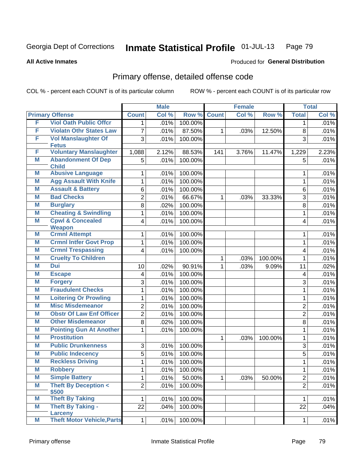#### **All Active Inmates**

# Produced for **General Distribution**

### Primary offense, detailed offense code

| <b>Primary Offense</b><br><b>Count</b><br>Col %<br>Row %<br><b>Count</b><br>Col %<br>Row %<br><b>Total</b><br>F<br><b>Viol Oath Public Offcr</b><br>100.00%<br>.01%<br>1<br>1<br>F<br><b>Violatn Othr States Law</b><br>87.50%<br>7<br>.01%<br>12.50%<br>8<br>$\mathbf{1}$<br>.03%<br>F<br><b>Vol Manslaughter Of</b><br>3<br>100.00%<br>3<br>.01%<br><b>Fetus</b><br><b>Voluntary Manslaughter</b><br>F<br>1,088<br>2.12%<br>88.53%<br>141<br>3.76%<br>11.47%<br>1,229<br><b>Abandonment Of Dep</b><br>Μ<br>5<br>100.00%<br>5<br>.01%<br><b>Child</b><br><b>Abusive Language</b><br>M<br>100.00%<br>.01%<br>1<br>1<br><b>Agg Assault With Knife</b><br>M<br>100.00%<br>1<br>.01%<br>$\mathbf{1}$<br><b>Assault &amp; Battery</b><br>Μ<br>6<br>100.00%<br>.01%<br>6<br><b>Bad Checks</b><br>M<br>$\overline{2}$<br>.01%<br>66.67%<br>3<br>$\mathbf{1}$<br>.03%<br>33.33%<br>M<br><b>Burglary</b><br>8<br>100.00%<br>.02%<br>8<br><b>Cheating &amp; Swindling</b><br>M<br>100.00%<br>1<br>.01%<br>1<br><b>Cpwl &amp; Concealed</b><br>M<br>100.00%<br>4<br>.01%<br>4<br><b>Weapon</b><br><b>Crmnl Attempt</b><br>M<br>100.00%<br>.01%<br>1<br>1 |  | <b>Male</b> |  | <b>Female</b> |  | <b>Total</b> |       |
|------------------------------------------------------------------------------------------------------------------------------------------------------------------------------------------------------------------------------------------------------------------------------------------------------------------------------------------------------------------------------------------------------------------------------------------------------------------------------------------------------------------------------------------------------------------------------------------------------------------------------------------------------------------------------------------------------------------------------------------------------------------------------------------------------------------------------------------------------------------------------------------------------------------------------------------------------------------------------------------------------------------------------------------------------------------------------------------------------------------------------------------------|--|-------------|--|---------------|--|--------------|-------|
|                                                                                                                                                                                                                                                                                                                                                                                                                                                                                                                                                                                                                                                                                                                                                                                                                                                                                                                                                                                                                                                                                                                                                |  |             |  |               |  |              | Col % |
|                                                                                                                                                                                                                                                                                                                                                                                                                                                                                                                                                                                                                                                                                                                                                                                                                                                                                                                                                                                                                                                                                                                                                |  |             |  |               |  |              | .01%  |
|                                                                                                                                                                                                                                                                                                                                                                                                                                                                                                                                                                                                                                                                                                                                                                                                                                                                                                                                                                                                                                                                                                                                                |  |             |  |               |  |              | .01%  |
|                                                                                                                                                                                                                                                                                                                                                                                                                                                                                                                                                                                                                                                                                                                                                                                                                                                                                                                                                                                                                                                                                                                                                |  |             |  |               |  |              | .01%  |
|                                                                                                                                                                                                                                                                                                                                                                                                                                                                                                                                                                                                                                                                                                                                                                                                                                                                                                                                                                                                                                                                                                                                                |  |             |  |               |  |              |       |
|                                                                                                                                                                                                                                                                                                                                                                                                                                                                                                                                                                                                                                                                                                                                                                                                                                                                                                                                                                                                                                                                                                                                                |  |             |  |               |  |              | 2.23% |
|                                                                                                                                                                                                                                                                                                                                                                                                                                                                                                                                                                                                                                                                                                                                                                                                                                                                                                                                                                                                                                                                                                                                                |  |             |  |               |  |              | .01%  |
|                                                                                                                                                                                                                                                                                                                                                                                                                                                                                                                                                                                                                                                                                                                                                                                                                                                                                                                                                                                                                                                                                                                                                |  |             |  |               |  |              | .01%  |
|                                                                                                                                                                                                                                                                                                                                                                                                                                                                                                                                                                                                                                                                                                                                                                                                                                                                                                                                                                                                                                                                                                                                                |  |             |  |               |  |              | .01%  |
|                                                                                                                                                                                                                                                                                                                                                                                                                                                                                                                                                                                                                                                                                                                                                                                                                                                                                                                                                                                                                                                                                                                                                |  |             |  |               |  |              | .01%  |
|                                                                                                                                                                                                                                                                                                                                                                                                                                                                                                                                                                                                                                                                                                                                                                                                                                                                                                                                                                                                                                                                                                                                                |  |             |  |               |  |              | .01%  |
|                                                                                                                                                                                                                                                                                                                                                                                                                                                                                                                                                                                                                                                                                                                                                                                                                                                                                                                                                                                                                                                                                                                                                |  |             |  |               |  |              | .01%  |
|                                                                                                                                                                                                                                                                                                                                                                                                                                                                                                                                                                                                                                                                                                                                                                                                                                                                                                                                                                                                                                                                                                                                                |  |             |  |               |  |              | .01%  |
|                                                                                                                                                                                                                                                                                                                                                                                                                                                                                                                                                                                                                                                                                                                                                                                                                                                                                                                                                                                                                                                                                                                                                |  |             |  |               |  |              | .01%  |
|                                                                                                                                                                                                                                                                                                                                                                                                                                                                                                                                                                                                                                                                                                                                                                                                                                                                                                                                                                                                                                                                                                                                                |  |             |  |               |  |              | .01%  |
| <b>Crmnl Intfer Govt Prop</b><br>Μ<br>.01%<br>100.00%<br>1<br>1                                                                                                                                                                                                                                                                                                                                                                                                                                                                                                                                                                                                                                                                                                                                                                                                                                                                                                                                                                                                                                                                                |  |             |  |               |  |              | .01%  |
| <b>Crmnl Trespassing</b><br>M<br>100.00%<br>4<br>.01%<br>4                                                                                                                                                                                                                                                                                                                                                                                                                                                                                                                                                                                                                                                                                                                                                                                                                                                                                                                                                                                                                                                                                     |  |             |  |               |  |              | .01%  |
| <b>Cruelty To Children</b><br>M<br>100.00%<br>$\mathbf 1$<br>.03%<br>1                                                                                                                                                                                                                                                                                                                                                                                                                                                                                                                                                                                                                                                                                                                                                                                                                                                                                                                                                                                                                                                                         |  |             |  |               |  |              | .01%  |
| M<br><b>Dui</b><br>90.91%<br>.02%<br>$\mathbf 1$<br>11<br>10<br>.03%<br>9.09%                                                                                                                                                                                                                                                                                                                                                                                                                                                                                                                                                                                                                                                                                                                                                                                                                                                                                                                                                                                                                                                                  |  |             |  |               |  |              | .02%  |
| Μ<br><b>Escape</b><br>100.00%<br>.01%<br>4<br>4                                                                                                                                                                                                                                                                                                                                                                                                                                                                                                                                                                                                                                                                                                                                                                                                                                                                                                                                                                                                                                                                                                |  |             |  |               |  |              | .01%  |
| M<br><b>Forgery</b><br>3<br>.01%<br>100.00%<br>3                                                                                                                                                                                                                                                                                                                                                                                                                                                                                                                                                                                                                                                                                                                                                                                                                                                                                                                                                                                                                                                                                               |  |             |  |               |  |              | .01%  |
| <b>Fraudulent Checks</b><br>M<br>.01%<br>100.00%<br>1<br>1                                                                                                                                                                                                                                                                                                                                                                                                                                                                                                                                                                                                                                                                                                                                                                                                                                                                                                                                                                                                                                                                                     |  |             |  |               |  |              | .01%  |
| <b>Loitering Or Prowling</b><br>M<br>.01%<br>100.00%<br>1<br>1                                                                                                                                                                                                                                                                                                                                                                                                                                                                                                                                                                                                                                                                                                                                                                                                                                                                                                                                                                                                                                                                                 |  |             |  |               |  |              | .01%  |
| <b>Misc Misdemeanor</b><br>M<br>$\overline{2}$<br>.01%<br>100.00%<br>$\overline{2}$                                                                                                                                                                                                                                                                                                                                                                                                                                                                                                                                                                                                                                                                                                                                                                                                                                                                                                                                                                                                                                                            |  |             |  |               |  |              | .01%  |
| <b>Obstr Of Law Enf Officer</b><br>$\overline{2}$<br>Μ<br>.01%<br>100.00%<br>$\overline{2}$                                                                                                                                                                                                                                                                                                                                                                                                                                                                                                                                                                                                                                                                                                                                                                                                                                                                                                                                                                                                                                                    |  |             |  |               |  |              | .01%  |
| <b>Other Misdemeanor</b><br>100.00%<br>M<br>8<br>.02%<br>8                                                                                                                                                                                                                                                                                                                                                                                                                                                                                                                                                                                                                                                                                                                                                                                                                                                                                                                                                                                                                                                                                     |  |             |  |               |  |              | .01%  |
| <b>Pointing Gun At Another</b><br>M<br>100.00%<br>.01%<br>1<br>1                                                                                                                                                                                                                                                                                                                                                                                                                                                                                                                                                                                                                                                                                                                                                                                                                                                                                                                                                                                                                                                                               |  |             |  |               |  |              | .01%  |
| <b>Prostitution</b><br>M<br>$\mathbf{1}$<br>1<br>.03%<br>100.00%                                                                                                                                                                                                                                                                                                                                                                                                                                                                                                                                                                                                                                                                                                                                                                                                                                                                                                                                                                                                                                                                               |  |             |  |               |  |              | .01%  |
| <b>Public Drunkenness</b><br>M<br>3<br>100.00%<br>3<br>.01%                                                                                                                                                                                                                                                                                                                                                                                                                                                                                                                                                                                                                                                                                                                                                                                                                                                                                                                                                                                                                                                                                    |  |             |  |               |  |              | .01%  |
| <b>Public Indecency</b><br>M<br>5<br>.01%<br>100.00%<br>5                                                                                                                                                                                                                                                                                                                                                                                                                                                                                                                                                                                                                                                                                                                                                                                                                                                                                                                                                                                                                                                                                      |  |             |  |               |  |              | .01%  |
| <b>Reckless Driving</b><br>M<br>100.00%<br>1<br>.01%<br>1                                                                                                                                                                                                                                                                                                                                                                                                                                                                                                                                                                                                                                                                                                                                                                                                                                                                                                                                                                                                                                                                                      |  |             |  |               |  |              | .01%  |
| M<br><b>Robbery</b><br>1<br>.01%<br>100.00%<br>1                                                                                                                                                                                                                                                                                                                                                                                                                                                                                                                                                                                                                                                                                                                                                                                                                                                                                                                                                                                                                                                                                               |  |             |  |               |  |              | .01%  |
| M<br><b>Simple Battery</b><br>$\mathbf 1$<br>$\overline{2}$<br>.01%<br>50.00%<br>$\mathbf{1}$<br>.03%<br>50.00%                                                                                                                                                                                                                                                                                                                                                                                                                                                                                                                                                                                                                                                                                                                                                                                                                                                                                                                                                                                                                                |  |             |  |               |  |              | .01%  |
| <b>Theft By Deception &lt;</b><br>M<br>$\overline{2}$<br>$\overline{2}$<br>100.00%<br>.01%                                                                                                                                                                                                                                                                                                                                                                                                                                                                                                                                                                                                                                                                                                                                                                                                                                                                                                                                                                                                                                                     |  |             |  |               |  |              | .01%  |
| \$500                                                                                                                                                                                                                                                                                                                                                                                                                                                                                                                                                                                                                                                                                                                                                                                                                                                                                                                                                                                                                                                                                                                                          |  |             |  |               |  |              |       |
| <b>Theft By Taking</b><br>M<br>$\mathbf{1}$<br>.01%<br>100.00%<br>1                                                                                                                                                                                                                                                                                                                                                                                                                                                                                                                                                                                                                                                                                                                                                                                                                                                                                                                                                                                                                                                                            |  |             |  |               |  |              | .01%  |
| M<br><b>Theft By Taking -</b><br>22<br>100.00%<br>22<br>.04%<br>Larceny                                                                                                                                                                                                                                                                                                                                                                                                                                                                                                                                                                                                                                                                                                                                                                                                                                                                                                                                                                                                                                                                        |  |             |  |               |  |              | .04%  |
| <b>Theft Motor Vehicle, Parts</b><br>M<br>$\mathbf{1}$<br>.01%<br>100.00%<br>$\mathbf{1}$                                                                                                                                                                                                                                                                                                                                                                                                                                                                                                                                                                                                                                                                                                                                                                                                                                                                                                                                                                                                                                                      |  |             |  |               |  |              | .01%  |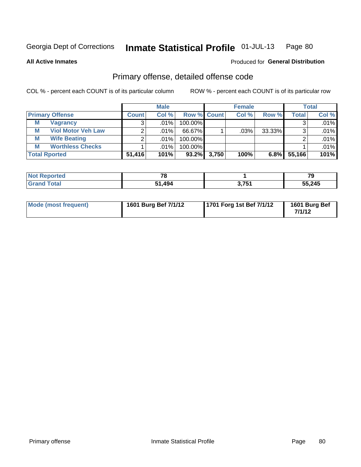**All Active Inmates**

#### Produced for **General Distribution**

# Primary offense, detailed offense code

|                        |                           |              | <b>Male</b> |                    |       | <b>Female</b> |        |        | <b>Total</b> |
|------------------------|---------------------------|--------------|-------------|--------------------|-------|---------------|--------|--------|--------------|
| <b>Primary Offense</b> |                           | <b>Count</b> | Col %       | <b>Row % Count</b> |       | Col %         | Row %  | Total  | Col %        |
| М                      | <b>Vagrancy</b>           |              | .01%        | 100.00%            |       |               |        |        | $.01\%$      |
| M                      | <b>Viol Motor Veh Law</b> |              | ا %01.      | 66.67%             |       | .03%          | 33.33% | ົ      | .01%         |
| М                      | <b>Wife Beating</b>       |              | .01%        | 100.00%            |       |               |        |        | .01%         |
| М                      | <b>Worthless Checks</b>   |              | ا %01.      | 100.00%            |       |               |        |        | .01%         |
| <b>Total Rported</b>   |                           | 51,416       | 101%        | $93.2\%$           | 3,750 | 100%          | 6.8%   | 55,166 | 101%         |

| orted<br>. | $\mathbf{z}$ |                 | 79     |
|------------|--------------|-----------------|--------|
|            | 494          | 2.754<br>.<br>. | 55,245 |

| Mode (most frequent) | 1601 Burg Bef 7/1/12 | 1701 Forg 1st Bef 7/1/12 | 1601 Burg Bef<br>7/1/12 |
|----------------------|----------------------|--------------------------|-------------------------|
|----------------------|----------------------|--------------------------|-------------------------|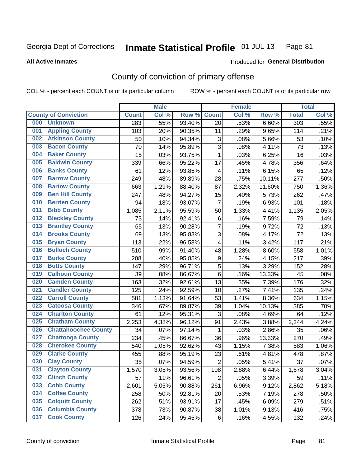Produced for **General Distribution**

#### **All Active Inmates**

# County of conviction of primary offense

|     |                             |              | <b>Male</b> |        |                         | <b>Female</b> |        |                  | <b>Total</b> |
|-----|-----------------------------|--------------|-------------|--------|-------------------------|---------------|--------|------------------|--------------|
|     | <b>County of Conviction</b> | <b>Count</b> | Col %       | Row %  | <b>Count</b>            | Col %         | Row %  | <b>Total</b>     | Col %        |
| 000 | <b>Unknown</b>              | 283          | .55%        | 93.40% | 20                      | .53%          | 6.60%  | $\overline{303}$ | .55%         |
| 001 | <b>Appling County</b>       | 103          | .20%        | 90.35% | 11                      | .29%          | 9.65%  | 114              | .21%         |
| 002 | <b>Atkinson County</b>      | 50           | .10%        | 94.34% | 3                       | .08%          | 5.66%  | 53               | .10%         |
| 003 | <b>Bacon County</b>         | 70           | .14%        | 95.89% | 3                       | .08%          | 4.11%  | 73               | .13%         |
| 004 | <b>Baker County</b>         | 15           | .03%        | 93.75% | $\mathbf{1}$            | .03%          | 6.25%  | 16               | .03%         |
| 005 | <b>Baldwin County</b>       | 339          | .66%        | 95.22% | 17                      | .45%          | 4.78%  | 356              | .64%         |
| 006 | <b>Banks County</b>         | 61           | .12%        | 93.85% | $\overline{\mathbf{4}}$ | .11%          | 6.15%  | 65               | .12%         |
| 007 | <b>Barrow County</b>        | 249          | .48%        | 89.89% | 28                      | .75%          | 10.11% | 277              | .50%         |
| 008 | <b>Bartow County</b>        | 663          | 1.29%       | 88.40% | 87                      | 2.32%         | 11.60% | 750              | 1.36%        |
| 009 | <b>Ben Hill County</b>      | 247          | .48%        | 94.27% | 15                      | .40%          | 5.73%  | 262              | .47%         |
| 010 | <b>Berrien County</b>       | 94           | .18%        | 93.07% | $\overline{7}$          | .19%          | 6.93%  | 101              | .18%         |
| 011 | <b>Bibb County</b>          | 1,085        | 2.11%       | 95.59% | 50                      | 1.33%         | 4.41%  | 1,135            | 2.05%        |
| 012 | <b>Bleckley County</b>      | 73           | .14%        | 92.41% | 6                       | .16%          | 7.59%  | 79               | .14%         |
| 013 | <b>Brantley County</b>      | 65           | .13%        | 90.28% | $\overline{7}$          | .19%          | 9.72%  | 72               | .13%         |
| 014 | <b>Brooks County</b>        | 69           | .13%        | 95.83% | 3                       | .08%          | 4.17%  | 72               | .13%         |
| 015 | <b>Bryan County</b>         | 113          | .22%        | 96.58% | 4                       | .11%          | 3.42%  | 117              | .21%         |
| 016 | <b>Bulloch County</b>       | 510          | .99%        | 91.40% | 48                      | 1.28%         | 8.60%  | 558              | 1.01%        |
| 017 | <b>Burke County</b>         | 208          | .40%        | 95.85% | $\boldsymbol{9}$        | .24%          | 4.15%  | 217              | .39%         |
| 018 | <b>Butts County</b>         | 147          | .29%        | 96.71% | 5                       | .13%          | 3.29%  | 152              | .28%         |
| 019 | <b>Calhoun County</b>       | 39           | .08%        | 86.67% | 6                       | .16%          | 13.33% | 45               | .08%         |
| 020 | <b>Camden County</b>        | 163          | .32%        | 92.61% | 13                      | .35%          | 7.39%  | 176              | .32%         |
| 021 | <b>Candler County</b>       | 125          | .24%        | 92.59% | 10                      | .27%          | 7.41%  | 135              | .24%         |
| 022 | <b>Carroll County</b>       | 581          | 1.13%       | 91.64% | 53                      | 1.41%         | 8.36%  | 634              | 1.15%        |
| 023 | <b>Catoosa County</b>       | 346          | .67%        | 89.87% | 39                      | 1.04%         | 10.13% | 385              | .70%         |
| 024 | <b>Charlton County</b>      | 61           | .12%        | 95.31% | 3                       | .08%          | 4.69%  | 64               | .12%         |
| 025 | <b>Chatham County</b>       | 2,253        | 4.38%       | 96.12% | 91                      | 2.43%         | 3.88%  | 2,344            | 4.24%        |
| 026 | <b>Chattahoochee County</b> | 34           | .07%        | 97.14% | 1                       | .03%          | 2.86%  | 35               | .06%         |
| 027 | <b>Chattooga County</b>     | 234          | .45%        | 86.67% | 36                      | .96%          | 13.33% | 270              | .49%         |
| 028 | <b>Cherokee County</b>      | 540          | 1.05%       | 92.62% | 43                      | 1.15%         | 7.38%  | 583              | 1.06%        |
| 029 | <b>Clarke County</b>        | 455          | .88%        | 95.19% | 23                      | .61%          | 4.81%  | 478              | .87%         |
| 030 | <b>Clay County</b>          | 35           | .07%        | 94.59% | $\overline{2}$          | .05%          | 5.41%  | 37               | .07%         |
| 031 | <b>Clayton County</b>       | 1,570        | 3.05%       | 93.56% | 108                     | 2.88%         | 6.44%  | 1,678            | 3.04%        |
| 032 | <b>Clinch County</b>        | 57           | .11%        | 96.61% | $\overline{2}$          | .05%          | 3.39%  | 59               | .11%         |
| 033 | <b>Cobb County</b>          | 2,601        | 5.05%       | 90.88% | 261                     | 6.96%         | 9.12%  | 2,862            | 5.18%        |
| 034 | <b>Coffee County</b>        | 258          | .50%        | 92.81% | 20                      | .53%          | 7.19%  | 278              | .50%         |
| 035 | <b>Colquitt County</b>      | 262          | .51%        | 93.91% | 17                      | .45%          | 6.09%  | 279              | .51%         |
| 036 | <b>Columbia County</b>      | 378          | .73%        | 90.87% | 38                      | 1.01%         | 9.13%  | 416              | .75%         |
| 037 | <b>Cook County</b>          | 126          | .24%        | 95.45% | 6                       | .16%          | 4.55%  | 132              | .24%         |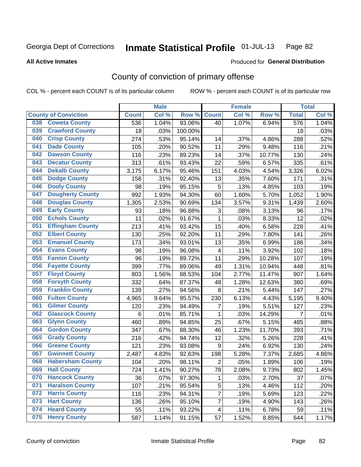**All Active Inmates**

#### Produced for **General Distribution**

### County of conviction of primary offense

|     | <b>Male</b>                 |              |       |         |                           | <b>Female</b> |        |                  | <b>Total</b> |
|-----|-----------------------------|--------------|-------|---------|---------------------------|---------------|--------|------------------|--------------|
|     | <b>County of Conviction</b> | <b>Count</b> | Col % | Row %   | <b>Count</b>              | Col %         | Row %  | <b>Total</b>     | Col %        |
| 038 | <b>Coweta County</b>        | 536          | 1.04% | 93.06%  | 40                        | 1.07%         | 6.94%  | $\overline{576}$ | 1.04%        |
| 039 | <b>Crawford County</b>      | 18           | .03%  | 100.00% |                           |               |        | 18               | .03%         |
| 040 | <b>Crisp County</b>         | 274          | .53%  | 95.14%  | 14                        | .37%          | 4.86%  | 288              | .52%         |
| 041 | <b>Dade County</b>          | 105          | .20%  | 90.52%  | 11                        | .29%          | 9.48%  | 116              | .21%         |
| 042 | <b>Dawson County</b>        | 116          | .23%  | 89.23%  | 14                        | .37%          | 10.77% | 130              | .24%         |
| 043 | <b>Decatur County</b>       | 313          | .61%  | 93.43%  | 22                        | .59%          | 6.57%  | 335              | .61%         |
| 044 | <b>Dekalb County</b>        | 3,175        | 6.17% | 95.46%  | 151                       | 4.03%         | 4.54%  | 3,326            | 6.02%        |
| 045 | <b>Dodge County</b>         | 158          | .31%  | 92.40%  | 13                        | .35%          | 7.60%  | 171              | .31%         |
| 046 | <b>Dooly County</b>         | 98           | .19%  | 95.15%  | 5                         | .13%          | 4.85%  | 103              | .19%         |
| 047 | <b>Dougherty County</b>     | 992          | 1.93% | 94.30%  | 60                        | 1.60%         | 5.70%  | 1,052            | 1.90%        |
| 048 | <b>Douglas County</b>       | 1,305        | 2.53% | 90.69%  | 134                       | 3.57%         | 9.31%  | 1,439            | 2.60%        |
| 049 | <b>Early County</b>         | 93           | .18%  | 96.88%  | $\ensuremath{\mathsf{3}}$ | .08%          | 3.13%  | 96               | .17%         |
| 050 | <b>Echols County</b>        | 11           | .02%  | 91.67%  | $\mathbf{1}$              | .03%          | 8.33%  | 12               | .02%         |
| 051 | <b>Effingham County</b>     | 213          | .41%  | 93.42%  | 15                        | .40%          | 6.58%  | 228              | .41%         |
| 052 | <b>Elbert County</b>        | 130          | .25%  | 92.20%  | 11                        | .29%          | 7.80%  | 141              | .26%         |
| 053 | <b>Emanuel County</b>       | 173          | .34%  | 93.01%  | 13                        | .35%          | 6.99%  | 186              | .34%         |
| 054 | <b>Evans County</b>         | 98           | .19%  | 96.08%  | $\overline{\mathbf{4}}$   | .11%          | 3.92%  | 102              | .18%         |
| 055 | <b>Fannin County</b>        | 96           | .19%  | 89.72%  | 11                        | .29%          | 10.28% | 107              | .19%         |
| 056 | <b>Fayette County</b>       | 399          | .77%  | 89.06%  | 49                        | 1.31%         | 10.94% | 448              | .81%         |
| 057 | <b>Floyd County</b>         | 803          | 1.56% | 88.53%  | 104                       | 2.77%         | 11.47% | 907              | 1.64%        |
| 058 | <b>Forsyth County</b>       | 332          | .64%  | 87.37%  | 48                        | 1.28%         | 12.63% | 380              | .69%         |
| 059 | <b>Franklin County</b>      | 139          | .27%  | 94.56%  | 8                         | .21%          | 5.44%  | 147              | .27%         |
| 060 | <b>Fulton County</b>        | 4,965        | 9.64% | 95.57%  | 230                       | 6.13%         | 4.43%  | 5,195            | 9.40%        |
| 061 | <b>Gilmer County</b>        | 120          | .23%  | 94.49%  | 7                         | .19%          | 5.51%  | 127              | .23%         |
| 062 | <b>Glascock County</b>      | $\,6$        | .01%  | 85.71%  | $\mathbf{1}$              | .03%          | 14.29% | $\overline{7}$   | .01%         |
| 063 | <b>Glynn County</b>         | 460          | .89%  | 94.85%  | 25                        | .67%          | 5.15%  | 485              | .88%         |
| 064 | <b>Gordon County</b>        | 347          | .67%  | 88.30%  | 46                        | 1.23%         | 11.70% | 393              | .71%         |
| 065 | <b>Grady County</b>         | 216          | .42%  | 94.74%  | 12                        | .32%          | 5.26%  | 228              | .41%         |
| 066 | <b>Greene County</b>        | 121          | .23%  | 93.08%  | $9\,$                     | .24%          | 6.92%  | 130              | .24%         |
| 067 | <b>Gwinnett County</b>      | 2,487        | 4.83% | 92.63%  | 198                       | 5.28%         | 7.37%  | 2,685            | 4.86%        |
| 068 | <b>Habersham County</b>     | 104          | .20%  | 98.11%  | $\overline{2}$            | .05%          | 1.89%  | 106              | .19%         |
| 069 | <b>Hall County</b>          | 724          | 1.41% | 90.27%  | 78                        | 2.08%         | 9.73%  | 802              | 1.45%        |
| 070 | <b>Hancock County</b>       | 36           | .07%  | 97.30%  | 1                         | .03%          | 2.70%  | 37               | .07%         |
| 071 | <b>Haralson County</b>      | 107          | .21%  | 95.54%  | 5                         | .13%          | 4.46%  | 112              | .20%         |
| 072 | <b>Harris County</b>        | 116          | .23%  | 94.31%  | $\overline{7}$            | .19%          | 5.69%  | 123              | .22%         |
| 073 | <b>Hart County</b>          | 136          | .26%  | 95.10%  | $\overline{7}$            | .19%          | 4.90%  | 143              | .26%         |
| 074 | <b>Heard County</b>         | 55           | .11%  | 93.22%  | $\overline{4}$            | .11%          | 6.78%  | 59               | .11%         |
| 075 | <b>Henry County</b>         | 587          | 1.14% | 91.15%  | 57                        | 1.52%         | 8.85%  | 644              | 1.17%        |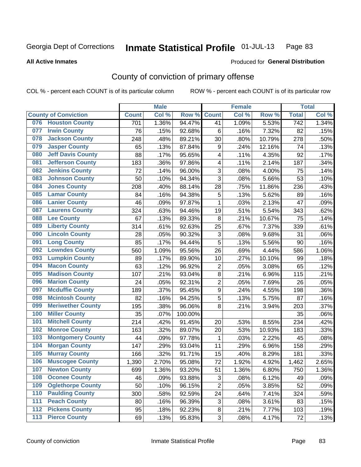#### **All Active Inmates**

#### Produced for **General Distribution**

### County of conviction of primary offense

|                                 |              | <b>Male</b> |         |                  | <b>Female</b> |        |                  | <b>Total</b> |
|---------------------------------|--------------|-------------|---------|------------------|---------------|--------|------------------|--------------|
| <b>County of Conviction</b>     | <b>Count</b> | Col %       | Row %   | <b>Count</b>     | Col %         | Row %  | <b>Total</b>     | Col %        |
| <b>Houston County</b><br>076    | 701          | 1.36%       | 94.47%  | 41               | 1.09%         | 5.53%  | $\overline{742}$ | 1.34%        |
| <b>Irwin County</b><br>077      | 76           | .15%        | 92.68%  | 6                | .16%          | 7.32%  | 82               | .15%         |
| <b>Jackson County</b><br>078    | 248          | .48%        | 89.21%  | 30               | .80%          | 10.79% | 278              | .50%         |
| <b>Jasper County</b><br>079     | 65           | .13%        | 87.84%  | 9                | .24%          | 12.16% | 74               | .13%         |
| <b>Jeff Davis County</b><br>080 | 88           | .17%        | 95.65%  | 4                | .11%          | 4.35%  | 92               | .17%         |
| 081<br><b>Jefferson County</b>  | 183          | .36%        | 97.86%  | 4                | .11%          | 2.14%  | 187              | .34%         |
| <b>Jenkins County</b><br>082    | 72           | .14%        | 96.00%  | 3                | .08%          | 4.00%  | 75               | .14%         |
| <b>Johnson County</b><br>083    | 50           | .10%        | 94.34%  | 3                | .08%          | 5.66%  | 53               | .10%         |
| <b>Jones County</b><br>084      | 208          | .40%        | 88.14%  | 28               | .75%          | 11.86% | 236              | .43%         |
| <b>Lamar County</b><br>085      | 84           | .16%        | 94.38%  | 5                | .13%          | 5.62%  | 89               | .16%         |
| <b>Lanier County</b><br>086     | 46           | .09%        | 97.87%  | 1                | .03%          | 2.13%  | 47               | .09%         |
| <b>Laurens County</b><br>087    | 324          | .63%        | 94.46%  | 19               | .51%          | 5.54%  | 343              | .62%         |
| <b>Lee County</b><br>088        | 67           | .13%        | 89.33%  | 8                | .21%          | 10.67% | 75               | .14%         |
| <b>Liberty County</b><br>089    | 314          | .61%        | 92.63%  | 25               | .67%          | 7.37%  | 339              | .61%         |
| <b>Lincoln County</b><br>090    | 28           | .05%        | 90.32%  | 3                | .08%          | 9.68%  | 31               | .06%         |
| <b>Long County</b><br>091       | 85           | .17%        | 94.44%  | 5                | .13%          | 5.56%  | 90               | .16%         |
| <b>Lowndes County</b><br>092    | 560          | 1.09%       | 95.56%  | 26               | .69%          | 4.44%  | 586              | 1.06%        |
| <b>Lumpkin County</b><br>093    | 89           | .17%        | 89.90%  | 10               | .27%          | 10.10% | 99               | .18%         |
| <b>Macon County</b><br>094      | 63           | .12%        | 96.92%  | $\mathbf 2$      | .05%          | 3.08%  | 65               | .12%         |
| <b>Madison County</b><br>095    | 107          | .21%        | 93.04%  | 8                | .21%          | 6.96%  | 115              | .21%         |
| <b>Marion County</b><br>096     | 24           | .05%        | 92.31%  | $\overline{2}$   | .05%          | 7.69%  | 26               | .05%         |
| <b>Mcduffie County</b><br>097   | 189          | .37%        | 95.45%  | $\boldsymbol{9}$ | .24%          | 4.55%  | 198              | .36%         |
| <b>Mcintosh County</b><br>098   | 82           | .16%        | 94.25%  | $\overline{5}$   | .13%          | 5.75%  | 87               | .16%         |
| <b>Meriwether County</b><br>099 | 195          | .38%        | 96.06%  | 8                | .21%          | 3.94%  | 203              | .37%         |
| <b>Miller County</b><br>100     | 35           | .07%        | 100.00% |                  |               |        | 35               | .06%         |
| <b>Mitchell County</b><br>101   | 214          | .42%        | 91.45%  | 20               | .53%          | 8.55%  | 234              | .42%         |
| <b>Monroe County</b><br>102     | 163          | .32%        | 89.07%  | 20               | .53%          | 10.93% | 183              | .33%         |
| <b>Montgomery County</b><br>103 | 44           | .09%        | 97.78%  | 1                | .03%          | 2.22%  | 45               | .08%         |
| <b>Morgan County</b><br>104     | 147          | .29%        | 93.04%  | 11               | .29%          | 6.96%  | 158              | .29%         |
| <b>Murray County</b><br>105     | 166          | .32%        | 91.71%  | 15               | .40%          | 8.29%  | 181              | .33%         |
| <b>Muscogee County</b><br>106   | 1,390        | 2.70%       | 95.08%  | 72               | 1.92%         | 4.92%  | 1,462            | 2.65%        |
| 107<br><b>Newton County</b>     | 699          | 1.36%       | 93.20%  | 51               | 1.36%         | 6.80%  | 750              | 1.36%        |
| <b>Oconee County</b><br>108     | 46           | .09%        | 93.88%  | 3                | .08%          | 6.12%  | 49               | .09%         |
| <b>Oglethorpe County</b><br>109 | 50           | .10%        | 96.15%  | $\overline{2}$   | .05%          | 3.85%  | 52               | .09%         |
| <b>Paulding County</b><br>110   | 300          | .58%        | 92.59%  | 24               | .64%          | 7.41%  | 324              | .59%         |
| <b>Peach County</b><br>111      | 80           | .16%        | 96.39%  | 3                | .08%          | 3.61%  | 83               | .15%         |
| <b>Pickens County</b><br>$112$  | 95           | .18%        | 92.23%  | 8                | .21%          | 7.77%  | 103              | .19%         |
| <b>Pierce County</b><br>$113$   | 69           | .13%        | 95.83%  | 3                | .08%          | 4.17%  | 72               | .13%         |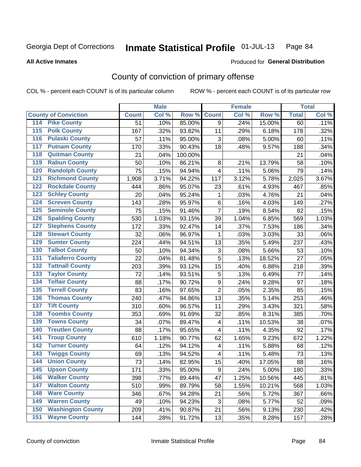#### **All Active Inmates**

# Produced for **General Distribution**

### County of conviction of primary offense

|                                          |              | <b>Male</b> |         |                           | <b>Female</b> |        |              | <b>Total</b> |
|------------------------------------------|--------------|-------------|---------|---------------------------|---------------|--------|--------------|--------------|
| <b>County of Conviction</b>              | <b>Count</b> | Col %       | Row %   | <b>Count</b>              | Col %         | Row %  | <b>Total</b> | Col %        |
| <b>Pike County</b><br>114                | 51           | .10%        | 85.00%  | 9                         | .24%          | 15.00% | 60           | .11%         |
| <b>Polk County</b><br>$\overline{115}$   | 167          | .32%        | 93.82%  | 11                        | .29%          | 6.18%  | 178          | .32%         |
| <b>Pulaski County</b><br>116             | 57           | .11%        | 95.00%  | 3                         | .08%          | 5.00%  | 60           | .11%         |
| <b>Putnam County</b><br>117              | 170          | .33%        | 90.43%  | 18                        | .48%          | 9.57%  | 188          | .34%         |
| <b>Quitman County</b><br>118             | 21           | .04%        | 100.00% |                           |               |        | 21           | .04%         |
| <b>Rabun County</b><br>119               | 50           | .10%        | 86.21%  | 8                         | .21%          | 13.79% | 58           | .10%         |
| <b>Randolph County</b><br>120            | 75           | .15%        | 94.94%  | $\overline{\mathbf{4}}$   | .11%          | 5.06%  | 79           | .14%         |
| <b>Richmond County</b><br>121            | 1,908        | 3.71%       | 94.22%  | 117                       | 3.12%         | 5.78%  | 2,025        | 3.67%        |
| <b>Rockdale County</b><br>122            | 444          | .86%        | 95.07%  | 23                        | .61%          | 4.93%  | 467          | .85%         |
| 123<br><b>Schley County</b>              | 20           | .04%        | 95.24%  | 1                         | .03%          | 4.76%  | 21           | .04%         |
| <b>Screven County</b><br>124             | 143          | .28%        | 95.97%  | 6                         | .16%          | 4.03%  | 149          | .27%         |
| <b>Seminole County</b><br>125            | 75           | .15%        | 91.46%  | $\overline{7}$            | .19%          | 8.54%  | 82           | .15%         |
| <b>Spalding County</b><br>126            | 530          | 1.03%       | 93.15%  | 39                        | 1.04%         | 6.85%  | 569          | 1.03%        |
| 127<br><b>Stephens County</b>            | 172          | .33%        | 92.47%  | 14                        | .37%          | 7.53%  | 186          | .34%         |
| <b>Stewart County</b><br>128             | 32           | .06%        | 96.97%  | 1                         | .03%          | 3.03%  | 33           | .06%         |
| <b>Sumter County</b><br>129              | 224          | .44%        | 94.51%  | 13                        | .35%          | 5.49%  | 237          | .43%         |
| <b>Talbot County</b><br>130              | 50           | .10%        | 94.34%  | $\ensuremath{\mathsf{3}}$ | .08%          | 5.66%  | 53           | .10%         |
| <b>Taliaferro County</b><br>131          | 22           | .04%        | 81.48%  | 5                         | .13%          | 18.52% | 27           | .05%         |
| <b>Tattnall County</b><br>132            | 203          | .39%        | 93.12%  | 15                        | .40%          | 6.88%  | 218          | .39%         |
| 133<br><b>Taylor County</b>              | 72           | .14%        | 93.51%  | $\mathbf 5$               | .13%          | 6.49%  | 77           | .14%         |
| <b>Telfair County</b><br>134             | 88           | .17%        | 90.72%  | $\boldsymbol{9}$          | .24%          | 9.28%  | 97           | .18%         |
| <b>Terrell County</b><br>135             | 83           | .16%        | 97.65%  | $\overline{2}$            | .05%          | 2.35%  | 85           | .15%         |
| <b>Thomas County</b><br>136              | 240          | .47%        | 94.86%  | 13                        | .35%          | 5.14%  | 253          | .46%         |
| <b>Tift County</b><br>137                | 310          | .60%        | 96.57%  | 11                        | .29%          | 3.43%  | 321          | .58%         |
| <b>Toombs County</b><br>138              | 353          | .69%        | 91.69%  | 32                        | .85%          | 8.31%  | 385          | .70%         |
| <b>Towns County</b><br>139               | 34           | .07%        | 89.47%  | 4                         | .11%          | 10.53% | 38           | .07%         |
| <b>Treutlen County</b><br>140            | 88           | .17%        | 95.65%  | 4                         | .11%          | 4.35%  | 92           | .17%         |
| <b>Troup County</b><br>141               | 610          | 1.18%       | 90.77%  | 62                        | 1.65%         | 9.23%  | 672          | 1.22%        |
| <b>Turner County</b><br>142              | 64           | .12%        | 94.12%  | 4                         | .11%          | 5.88%  | 68           | .12%         |
| $\overline{143}$<br><b>Twiggs County</b> | 69           | .13%        | 94.52%  | 4                         | .11%          | 5.48%  | 73           | .13%         |
| <b>Union County</b><br>144               | 73           | .14%        | 82.95%  | 15                        | .40%          | 17.05% | 88           | .16%         |
| 145<br><b>Upson County</b>               | 171          | .33%        | 95.00%  | 9                         | .24%          | 5.00%  | 180          | .33%         |
| <b>Walker County</b><br>146              | 398          | .77%        | 89.44%  | 47                        | 1.25%         | 10.56% | 445          | .81%         |
| <b>Walton County</b><br>147              | 510          | .99%        | 89.79%  | 58                        | 1.55%         | 10.21% | 568          | 1.03%        |
| <b>Ware County</b><br>148                | 346          | .67%        | 94.28%  | 21                        | .56%          | 5.72%  | 367          | .66%         |
| <b>Warren County</b><br>149              | 49           | .10%        | 94.23%  | 3                         | .08%          | 5.77%  | 52           | .09%         |
| <b>Washington County</b><br>150          | 209          | .41%        | 90.87%  | 21                        | .56%          | 9.13%  | 230          | .42%         |
| <b>Wayne County</b><br>151               | 144          | .28%        | 91.72%  | 13                        | .35%          | 8.28%  | 157          | .28%         |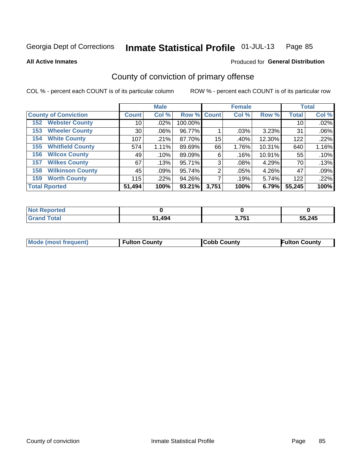#### **All Active Inmates**

# Produced for **General Distribution**

### County of conviction of primary offense

|                                |              | <b>Male</b> |             |       | <b>Female</b> |        |              | <b>Total</b> |
|--------------------------------|--------------|-------------|-------------|-------|---------------|--------|--------------|--------------|
| <b>County of Conviction</b>    | <b>Count</b> | Col %       | Row % Count |       | Col %         | Row %  | <b>Total</b> | Col %        |
| <b>Webster County</b><br>152   | 10           | .02%        | 100.00%     |       |               |        | 10           | .02%         |
| <b>Wheeler County</b><br>153   | 30           | $.06\%$     | 96.77%      |       | .03%          | 3.23%  | 31           | .06%         |
| <b>White County</b><br>154     | 107          | .21%        | 87.70%      | 15    | .40%          | 12.30% | 122          | .22%         |
| <b>Whitfield County</b><br>155 | 574          | 1.11%       | 89.69%      | 66    | 1.76%         | 10.31% | 640          | 1.16%        |
| <b>Wilcox County</b><br>156    | 49           | .10%        | 89.09%      | 6     | .16%          | 10.91% | 55           | .10%         |
| <b>Wilkes County</b><br>157    | 67           | .13%        | 95.71%      | 3     | .08%          | 4.29%  | 70           | .13%         |
| <b>Wilkinson County</b><br>158 | 45           | .09%        | 95.74%      | 2     | .05%          | 4.26%  | 47           | .09%         |
| <b>Worth County</b><br>159     | 115          | .22%        | 94.26%      |       | .19%          | 5.74%  | 122          | .22%         |
| <b>Total Rported</b>           | 51,494       | 100%        | 93.21%      | 3,751 | 100%          | 6.79%  | 55,245       | 100%         |

| <b>Not Reported</b> |        |       |        |
|---------------------|--------|-------|--------|
| <b>Grand Total</b>  | 51,494 | 3,751 | 55,245 |

| Mode (most frequent) | <b>Fulton County</b> | <b>Cobb County</b> | <b>Fulton County</b> |
|----------------------|----------------------|--------------------|----------------------|
|                      |                      |                    |                      |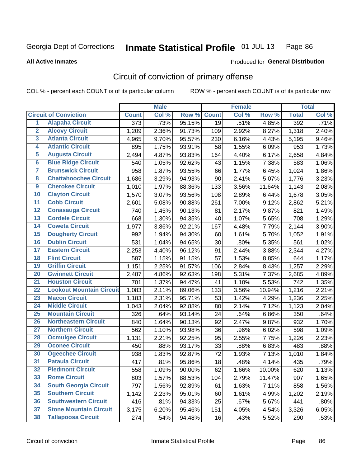Produced for **General Distribution**

#### **All Active Inmates**

### Circuit of conviction of primary offense

|                         |                                 |                  | <b>Male</b> |        |              | <b>Female</b> |        |              | <b>Total</b> |
|-------------------------|---------------------------------|------------------|-------------|--------|--------------|---------------|--------|--------------|--------------|
|                         | <b>Circuit of Conviction</b>    | <b>Count</b>     | Col %       | Row %  | <b>Count</b> | Col %         | Row %  | <b>Total</b> | Col %        |
| $\overline{1}$          | <b>Alapaha Circuit</b>          | $\overline{373}$ | .73%        | 95.15% | 19           | .51%          | 4.85%  | 392          | .71%         |
| $\overline{2}$          | <b>Alcovy Circuit</b>           | 1,209            | 2.36%       | 91.73% | 109          | 2.92%         | 8.27%  | 1,318        | 2.40%        |
| 3                       | <b>Atlanta Circuit</b>          | 4,965            | 9.70%       | 95.57% | 230          | 6.16%         | 4.43%  | 5,195        | 9.46%        |
| 4                       | <b>Atlantic Circuit</b>         | 895              | 1.75%       | 93.91% | 58           | 1.55%         | 6.09%  | 953          | 1.73%        |
| 5                       | <b>Augusta Circuit</b>          | 2,494            | 4.87%       | 93.83% | 164          | 4.40%         | 6.17%  | 2,658        | 4.84%        |
| 6                       | <b>Blue Ridge Circuit</b>       | 540              | 1.05%       | 92.62% | 43           | 1.15%         | 7.38%  | 583          | 1.06%        |
| $\overline{\mathbf{7}}$ | <b>Brunswick Circuit</b>        | 958              | 1.87%       | 93.55% | 66           | 1.77%         | 6.45%  | 1,024        | 1.86%        |
| 8                       | <b>Chattahoochee Circuit</b>    | 1,686            | 3.29%       | 94.93% | 90           | 2.41%         | 5.07%  | 1,776        | 3.23%        |
| $\overline{9}$          | <b>Cherokee Circuit</b>         | 1,010            | 1.97%       | 88.36% | 133          | 3.56%         | 11.64% | 1,143        | 2.08%        |
| 10                      | <b>Clayton Circuit</b>          | 1,570            | 3.07%       | 93.56% | 108          | 2.89%         | 6.44%  | 1,678        | 3.05%        |
| 11                      | <b>Cobb Circuit</b>             | 2,601            | 5.08%       | 90.88% | 261          | 7.00%         | 9.12%  | 2,862        | 5.21%        |
| 12                      | <b>Conasauga Circuit</b>        | 740              | 1.45%       | 90.13% | 81           | 2.17%         | 9.87%  | 821          | 1.49%        |
| 13                      | <b>Cordele Circuit</b>          | 668              | 1.30%       | 94.35% | 40           | 1.07%         | 5.65%  | 708          | 1.29%        |
| 14                      | <b>Coweta Circuit</b>           | 1,977            | 3.86%       | 92.21% | 167          | 4.48%         | 7.79%  | 2,144        | 3.90%        |
| 15                      | <b>Dougherty Circuit</b>        | 992              | 1.94%       | 94.30% | 60           | 1.61%         | 5.70%  | 1,052        | 1.91%        |
| 16                      | <b>Dublin Circuit</b>           | 531              | 1.04%       | 94.65% | 30           | .80%          | 5.35%  | 561          | 1.02%        |
| 17                      | <b>Eastern Circuit</b>          | 2,253            | 4.40%       | 96.12% | 91           | 2.44%         | 3.88%  | 2,344        | 4.27%        |
| 18                      | <b>Flint Circuit</b>            | 587              | 1.15%       | 91.15% | 57           | 1.53%         | 8.85%  | 644          | 1.17%        |
| 19                      | <b>Griffin Circuit</b>          | 1,151            | $2.25\%$    | 91.57% | 106          | 2.84%         | 8.43%  | 1,257        | 2.29%        |
| 20                      | <b>Gwinnett Circuit</b>         | 2,487            | 4.86%       | 92.63% | 198          | 5.31%         | 7.37%  | 2,685        | 4.89%        |
| $\overline{21}$         | <b>Houston Circuit</b>          | 701              | 1.37%       | 94.47% | 41           | 1.10%         | 5.53%  | 742          | 1.35%        |
| $\overline{22}$         | <b>Lookout Mountain Circuit</b> | 1,083            | 2.11%       | 89.06% | 133          | 3.56%         | 10.94% | 1,216        | 2.21%        |
| 23                      | <b>Macon Circuit</b>            | 1,183            | 2.31%       | 95.71% | 53           | 1.42%         | 4.29%  | 1,236        | 2.25%        |
| 24                      | <b>Middle Circuit</b>           | 1,043            | 2.04%       | 92.88% | 80           | 2.14%         | 7.12%  | 1,123        | 2.04%        |
| 25                      | <b>Mountain Circuit</b>         | 326              | .64%        | 93.14% | 24           | .64%          | 6.86%  | 350          | .64%         |
| 26                      | <b>Northeastern Circuit</b>     | 840              | 1.64%       | 90.13% | 92           | 2.47%         | 9.87%  | 932          | 1.70%        |
| $\overline{27}$         | <b>Northern Circuit</b>         | 562              | 1.10%       | 93.98% | 36           | .96%          | 6.02%  | 598          | 1.09%        |
| 28                      | <b>Ocmulgee Circuit</b>         | 1,131            | 2.21%       | 92.25% | 95           | 2.55%         | 7.75%  | 1,226        | 2.23%        |
| 29                      | <b>Oconee Circuit</b>           | 450              | .88%        | 93.17% | 33           | .88%          | 6.83%  | 483          | .88%         |
| 30                      | <b>Ogeechee Circuit</b>         | 938              | 1.83%       | 92.87% | 72           | 1.93%         | 7.13%  | 1,010        | 1.84%        |
| $\overline{31}$         | <b>Pataula Circuit</b>          | 417              | .81%        | 95.86% | 18           | .48%          | 4.14%  | 435          | .79%         |
| 32                      | <b>Piedmont Circuit</b>         | 558              | 1.09%       | 90.00% | 62           | 1.66%         | 10.00% | 620          | 1.13%        |
| 33                      | <b>Rome Circuit</b>             | 803              | 1.57%       | 88.53% | 104          | 2.79%         | 11.47% | 907          | 1.65%        |
| 34                      | <b>South Georgia Circuit</b>    | 797              | 1.56%       | 92.89% | 61           | 1.63%         | 7.11%  | 858          | 1.56%        |
| 35                      | <b>Southern Circuit</b>         | 1,142            | 2.23%       | 95.01% | 60           | 1.61%         | 4.99%  | 1,202        | 2.19%        |
| 36                      | <b>Southwestern Circuit</b>     | 416              | .81%        | 94.33% | 25           | .67%          | 5.67%  | 441          | .80%         |
| 37                      | <b>Stone Mountain Circuit</b>   | 3,175            | 6.20%       | 95.46% | 151          | 4.05%         | 4.54%  | 3,326        | 6.05%        |
| 38                      | <b>Tallapoosa Circuit</b>       | 274              | .54%        | 94.48% | 16           | .43%          | 5.52%  | 290          | .53%         |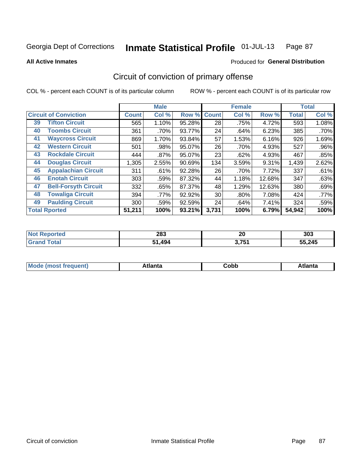**All Active Inmates**

#### Produced for **General Distribution**

### Circuit of conviction of primary offense

|    |                              |              | <b>Male</b> |        |              | <b>Female</b> |        |              | <b>Total</b> |
|----|------------------------------|--------------|-------------|--------|--------------|---------------|--------|--------------|--------------|
|    | <b>Circuit of Conviction</b> | <b>Count</b> | Col %       | Row %  | <b>Count</b> | Col %         | Row %  | <b>Total</b> | Col %        |
| 39 | <b>Tifton Circuit</b>        | 565          | 1.10%       | 95.28% | 28           | .75%          | 4.72%  | 593          | 1.08%        |
| 40 | <b>Toombs Circuit</b>        | 361          | .70%        | 93.77% | 24           | .64%          | 6.23%  | 385          | .70%         |
| 41 | <b>Waycross Circuit</b>      | 869          | 1.70%       | 93.84% | 57           | 1.53%         | 6.16%  | 926          | 1.69%        |
| 42 | <b>Western Circuit</b>       | 501          | .98%        | 95.07% | 26           | .70%          | 4.93%  | 527          | .96%         |
| 43 | <b>Rockdale Circuit</b>      | 444          | .87%        | 95.07% | 23           | .62%          | 4.93%  | 467          | .85%         |
| 44 | <b>Douglas Circuit</b>       | 1,305        | 2.55%       | 90.69% | 134          | 3.59%         | 9.31%  | 1,439        | 2.62%        |
| 45 | <b>Appalachian Circuit</b>   | 311          | .61%        | 92.28% | 26           | .70%          | 7.72%  | 337          | .61%         |
| 46 | <b>Enotah Circuit</b>        | 303          | .59%        | 87.32% | 44           | 1.18%         | 12.68% | 347          | .63%         |
| 47 | <b>Bell-Forsyth Circuit</b>  | 332          | .65%        | 87.37% | 48           | 1.29%         | 12.63% | 380          | .69%         |
| 48 | <b>Towaliga Circuit</b>      | 394          | .77%        | 92.92% | 30           | $.80\%$       | 7.08%  | 424          | .77%         |
| 49 | <b>Paulding Circuit</b>      | 300          | .59%        | 92.59% | 24           | .64%          | 7.41%  | 324          | .59%         |
|    | <b>Total Rported</b>         | 51,211       | 100%        | 93.21% | 3,731        | 100%          | 6.79%  | 54,942       | 100%         |

| тео | 283 | nr.<br>ZU   | 303    |
|-----|-----|-------------|--------|
|     | 494 | 2751<br>. . | 55,245 |

| M | . | -----<br>oг | ----<br>пLс |
|---|---|-------------|-------------|
|   |   | <b>OUNN</b> |             |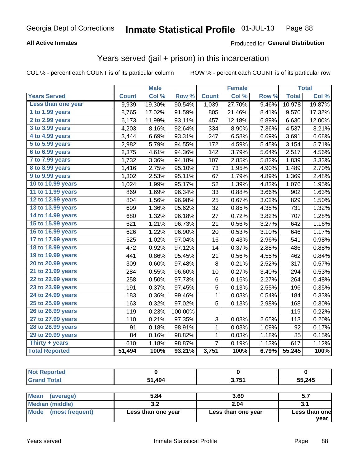#### **All Active Inmates**

#### Produced for **General Distribution**

#### Years served (jail + prison) in this incarceration

|                              |              | <b>Male</b> |         |                | <b>Female</b> |                  |              | <b>Total</b> |
|------------------------------|--------------|-------------|---------|----------------|---------------|------------------|--------------|--------------|
| <b>Years Served</b>          | <b>Count</b> | Col %       | Row %   | <b>Count</b>   | Col %         | Row <sub>%</sub> | <b>Total</b> | Col %        |
| Less than one year           | 9,939        | 19.30%      | 90.54%  | 1,039          | 27.70%        | 9.46%            | 10,978       | 19.87%       |
| 1 to 1.99 years              | 8,765        | 17.02%      | 91.59%  | 805            | 21.46%        | 8.41%            | 9,570        | 17.32%       |
| 2 to 2.99 years              | 6,173        | 11.99%      | 93.11%  | 457            | 12.18%        | 6.89%            | 6,630        | 12.00%       |
| $3$ to $3.99$ years          | 4,203        | 8.16%       | 92.64%  | 334            | 8.90%         | 7.36%            | 4,537        | 8.21%        |
| $\overline{4}$ to 4.99 years | 3,444        | 6.69%       | 93.31%  | 247            | 6.58%         | 6.69%            | 3,691        | 6.68%        |
| 5 to 5.99 years              | 2,982        | 5.79%       | 94.55%  | 172            | 4.59%         | 5.45%            | 3,154        | 5.71%        |
| $6$ to $6.99$ years          | 2,375        | 4.61%       | 94.36%  | 142            | 3.79%         | 5.64%            | 2,517        | 4.56%        |
| 7 to 7.99 years              | 1,732        | 3.36%       | 94.18%  | 107            | 2.85%         | 5.82%            | 1,839        | 3.33%        |
| 8 to 8.99 years              | 1,416        | 2.75%       | 95.10%  | 73             | 1.95%         | 4.90%            | 1,489        | 2.70%        |
| 9 to 9.99 years              | 1,302        | 2.53%       | 95.11%  | 67             | 1.79%         | 4.89%            | 1,369        | 2.48%        |
| 10 to 10.99 years            | 1,024        | 1.99%       | 95.17%  | 52             | 1.39%         | 4.83%            | 1,076        | 1.95%        |
| 11 to 11.99 years            | 869          | 1.69%       | 96.34%  | 33             | 0.88%         | 3.66%            | 902          | 1.63%        |
| 12 to 12.99 years            | 804          | 1.56%       | 96.98%  | 25             | 0.67%         | 3.02%            | 829          | 1.50%        |
| 13 to 13.99 years            | 699          | 1.36%       | 95.62%  | 32             | 0.85%         | 4.38%            | 731          | 1.32%        |
| 14 to 14.99 years            | 680          | 1.32%       | 96.18%  | 27             | 0.72%         | 3.82%            | 707          | 1.28%        |
| 15 to 15.99 years            | 621          | 1.21%       | 96.73%  | 21             | 0.56%         | 3.27%            | 642          | 1.16%        |
| 16 to 16.99 years            | 626          | 1.22%       | 96.90%  | 20             | 0.53%         | 3.10%            | 646          | 1.17%        |
| 17 to 17.99 years            | 525          | 1.02%       | 97.04%  | 16             | 0.43%         | 2.96%            | 541          | 0.98%        |
| 18 to 18.99 years            | 472          | 0.92%       | 97.12%  | 14             | 0.37%         | 2.88%            | 486          | 0.88%        |
| 19 to 19.99 years            | 441          | 0.86%       | 95.45%  | 21             | 0.56%         | 4.55%            | 462          | 0.84%        |
| 20 to 20.99 years            | 309          | 0.60%       | 97.48%  | 8              | 0.21%         | 2.52%            | 317          | 0.57%        |
| 21 to 21.99 years            | 284          | 0.55%       | 96.60%  | 10             | 0.27%         | 3.40%            | 294          | 0.53%        |
| 22 to 22.99 years            | 258          | 0.50%       | 97.73%  | $\,6$          | 0.16%         | 2.27%            | 264          | 0.48%        |
| 23 to 23.99 years            | 191          | 0.37%       | 97.45%  | 5              | 0.13%         | 2.55%            | 196          | 0.35%        |
| 24 to 24.99 years            | 183          | 0.36%       | 99.46%  | 1              | 0.03%         | 0.54%            | 184          | 0.33%        |
| 25 to 25.99 years            | 163          | 0.32%       | 97.02%  | 5              | 0.13%         | 2.98%            | 168          | 0.30%        |
| 26 to 26.99 years            | 119          | 0.23%       | 100.00% |                |               |                  | 119          | 0.22%        |
| 27 to 27.99 years            | 110          | 0.21%       | 97.35%  | 3              | 0.08%         | 2.65%            | 113          | 0.20%        |
| 28 to 28.99 years            | 91           | 0.18%       | 98.91%  | 1              | 0.03%         | 1.09%            | 92           | 0.17%        |
| 29 to 29.99 years            | 84           | 0.16%       | 98.82%  | 1              | 0.03%         | 1.18%            | 85           | 0.15%        |
| Thirty + years               | 610          | 1.18%       | 98.87%  | $\overline{7}$ | 0.19%         | 1.13%            | 617          | 1.12%        |
| <b>Total Reported</b>        | 51,494       | 100%        | 93.21%  | 3,751          | 100%          | 6.79%            | 55,245       | 100%         |

| nrteol    |     |              |        |
|-----------|-----|--------------|--------|
| $^{\sim}$ | 494 | <b>2 7E4</b> | 55,245 |

| <b>Mean</b><br>(average) | 5.84               | 3.69               | 5.7           |
|--------------------------|--------------------|--------------------|---------------|
| Median (middle)          |                    | 2.04               | 3.1           |
| Mode (most frequent)     | Less than one year | Less than one year | Less than one |
|                          |                    |                    | vear          |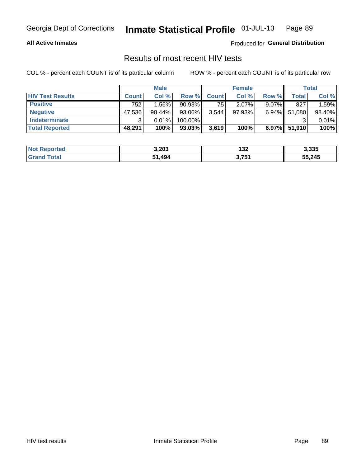#### **All Active Inmates**

Produced for **General Distribution**

#### Results of most recent HIV tests

|                         | <b>Male</b>  |        |           | <b>Female</b> |           |          | Total  |        |
|-------------------------|--------------|--------|-----------|---------------|-----------|----------|--------|--------|
| <b>HIV Test Results</b> | <b>Count</b> | Col %  | Row %I    | <b>Count</b>  | Col %     | Row %    | Total  | Col %  |
| <b>Positive</b>         | 752          | 1.56%  | $90.93\%$ | 751           | $2.07\%$  | $9.07\%$ | 827    | 1.59%  |
| <b>Negative</b>         | 47,536       | 98.44% | 93.06%    | 3,544         | $97.93\%$ | 6.94%    | 51,080 | 98.40% |
| Indeterminate           | ີ            | 0.01%  | 100.00%   |               |           |          |        | 0.01%  |
| <b>Total Reported</b>   | 48,291       | 100%   | $93.03\%$ | 3,619         | 100%      | $6.97\%$ | 51,910 | 100%   |

| <b>Not Reported</b>          | 3,203  | 132   | 3,335  |
|------------------------------|--------|-------|--------|
| <b>Total</b><br><b>Grand</b> | 51,494 | 3,751 | 55,245 |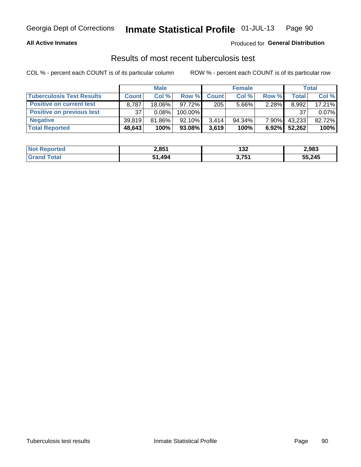#### **All Active Inmates**

#### Produced for **General Distribution**

#### Results of most recent tuberculosis test

|                                  | <b>Male</b>  |           |            | <b>Female</b> |           |          | Total  |        |
|----------------------------------|--------------|-----------|------------|---------------|-----------|----------|--------|--------|
| <b>Tuberculosis Test Results</b> | <b>Count</b> | Col%      | Row %      | <b>Count</b>  | Col %     | Row %    | Total  | Col %  |
| <b>Positive on current test</b>  | 8,787        | 18.06%    | $97.72\%$  | 205           | $5.66\%$  | 2.28%    | 8,992  | 17.21% |
| <b>Positive on previous test</b> | 37           | 0.08%     | $100.00\%$ |               |           |          | 37     | 0.07%  |
| <b>Negative</b>                  | 39.819       | $81.86\%$ | $92.10\%$  | 3.414         | $94.34\%$ | $7.90\%$ | 43,233 | 82.72% |
| <b>Total Reported</b>            | 48,643       | 100%      | 93.08%     | 3,619         | 100%      | $6.92\%$ | 52.262 | 100%   |

| <b>Not Reported</b>     | 2,851      | 132   | 2,983  |
|-------------------------|------------|-------|--------|
| <b>Total</b><br>' Grand | ,494<br>51 | 3 751 | 55,245 |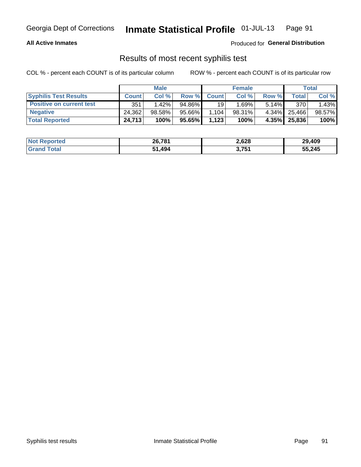#### **All Active Inmates**

Produced for **General Distribution**

#### Results of most recent syphilis test

|                                 | <b>Male</b>  |           |           | <b>Female</b> |           |          | Total        |        |
|---------------------------------|--------------|-----------|-----------|---------------|-----------|----------|--------------|--------|
| <b>Syphilis Test Results</b>    | <b>Count</b> | Col%      | Row %     | <b>Count</b>  | Col %     | Row %    | Total I      | Col %  |
| <b>Positive on current test</b> | 351          | $1.42\%$  | $94.86\%$ | 19            | 1.69%     | $5.14\%$ | 370          | 1.43%  |
| <b>Negative</b>                 | 24.362       | $98.58\%$ | 95.66%    | .104          | $98.31\%$ |          | 4.34% 25,466 | 98.57% |
| <b>Total Reported</b>           | 24,713       | 100%      | 95.65%    | 1,123         | 100%      | $4.35\%$ | 25,836       | 100%   |

| <b>Not Reported</b> | 26,781 | 2,628 | 29,409 |
|---------------------|--------|-------|--------|
| <b>Grand Total</b>  | ∣.494  | 3,751 | 55,245 |